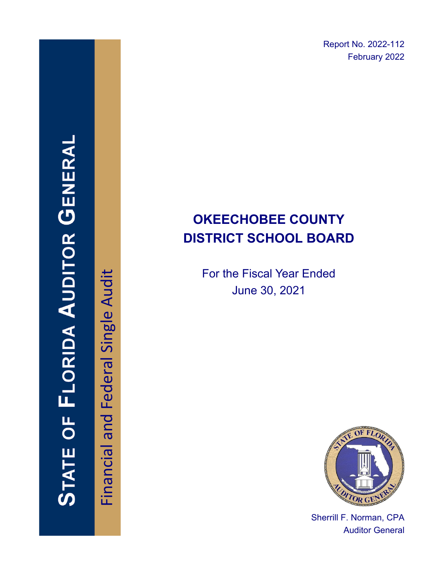Report No. 2022-112 February 2022

# **OKEECHOBEE COUNTY DISTRICT SCHOOL BOARD**

For the Fiscal Year Ended June 30, 2021



Sherrill F. Norman, CPA Auditor General

Financial and Federal Single Audit Financial and Federal Single Audit

STATE OF FLORIDA AUDITOR GENERAI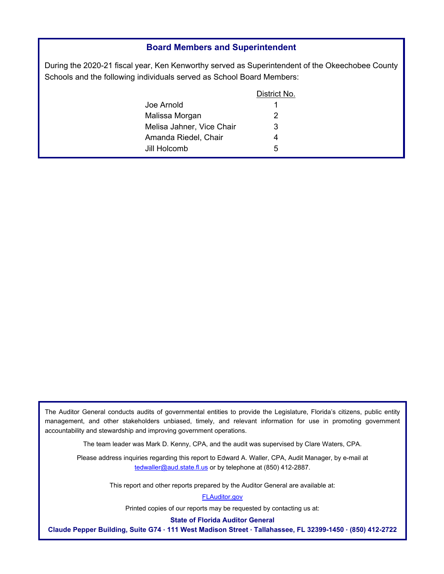#### **Board Members and Superintendent**

During the 2020-21 fiscal year, Ken Kenworthy served as Superintendent of the Okeechobee County Schools and the following individuals served as School Board Members:

|                           | District No. |
|---------------------------|--------------|
| Joe Arnold                |              |
| Malissa Morgan            | 2            |
| Melisa Jahner, Vice Chair | 3            |
| Amanda Riedel, Chair      |              |
| Jill Holcomb              | 5            |
|                           |              |

The Auditor General conducts audits of governmental entities to provide the Legislature, Florida's citizens, public entity management, and other stakeholders unbiased, timely, and relevant information for use in promoting government accountability and stewardship and improving government operations.

The team leader was Mark D. Kenny, CPA, and the audit was supervised by Clare Waters, CPA.

Please address inquiries regarding this report to Edward A. Waller, CPA, Audit Manager, by e-mail at tedwaller@aud.state.fl.us or by telephone at (850) 412-2887.

This report and other reports prepared by the Auditor General are available at:

[FLAuditor.gov](http://flauditor.gov/)

Printed copies of our reports may be requested by contacting us at:

**State of Florida Auditor General** 

**Claude Pepper Building, Suite G74 · 111 West Madison Street · Tallahassee, FL 32399-1450 · (850) 412-2722**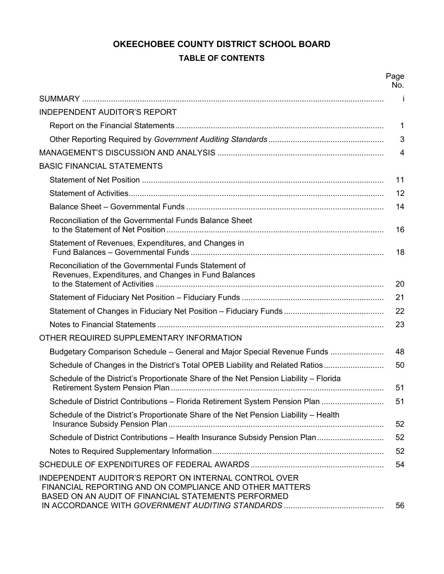# **OKEECHOBEE COUNTY DISTRICT SCHOOL BOARD TABLE OF CONTENTS**

|                                                                                                                                                                         | Page<br>No.    |
|-------------------------------------------------------------------------------------------------------------------------------------------------------------------------|----------------|
|                                                                                                                                                                         | Ť              |
| <b>INDEPENDENT AUDITOR'S REPORT</b>                                                                                                                                     |                |
|                                                                                                                                                                         | 1              |
|                                                                                                                                                                         | 3              |
|                                                                                                                                                                         | $\overline{4}$ |
| <b>BASIC FINANCIAL STATEMENTS</b>                                                                                                                                       |                |
|                                                                                                                                                                         | 11             |
|                                                                                                                                                                         | 12             |
|                                                                                                                                                                         | 14             |
| Reconciliation of the Governmental Funds Balance Sheet                                                                                                                  | 16             |
| Statement of Revenues, Expenditures, and Changes in                                                                                                                     | 18             |
| Reconciliation of the Governmental Funds Statement of<br>Revenues, Expenditures, and Changes in Fund Balances                                                           | 20             |
|                                                                                                                                                                         | 21             |
|                                                                                                                                                                         | 22             |
|                                                                                                                                                                         | 23             |
| OTHER REQUIRED SUPPLEMENTARY INFORMATION                                                                                                                                |                |
| Budgetary Comparison Schedule – General and Major Special Revenue Funds                                                                                                 | 48             |
| Schedule of Changes in the District's Total OPEB Liability and Related Ratios                                                                                           | 50             |
| Schedule of the District's Proportionate Share of the Net Pension Liability – Florida                                                                                   | 51             |
| Schedule of District Contributions - Florida Retirement System Pension Plan                                                                                             | 51             |
| Schedule of the District's Proportionate Share of the Net Pension Liability - Health                                                                                    | 52             |
| Schedule of District Contributions - Health Insurance Subsidy Pension Plan                                                                                              | 52             |
|                                                                                                                                                                         | 52             |
|                                                                                                                                                                         | 54             |
| INDEPENDENT AUDITOR'S REPORT ON INTERNAL CONTROL OVER<br>FINANCIAL REPORTING AND ON COMPLIANCE AND OTHER MATTERS<br>BASED ON AN AUDIT OF FINANCIAL STATEMENTS PERFORMED | 56             |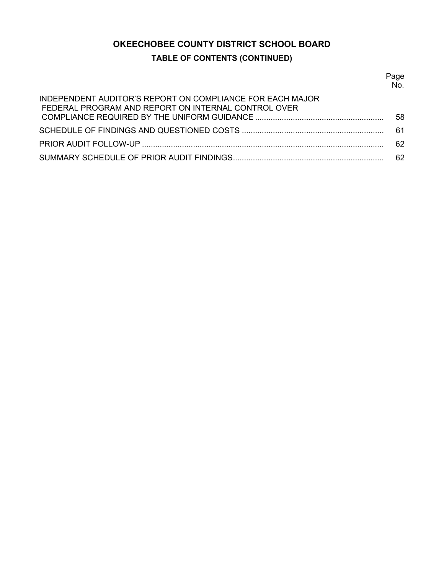# **OKEECHOBEE COUNTY DISTRICT SCHOOL BOARD**

#### **TABLE OF CONTENTS (CONTINUED)**

|                                                                                                                  | Page<br>No. |
|------------------------------------------------------------------------------------------------------------------|-------------|
| INDEPENDENT AUDITOR'S REPORT ON COMPLIANCE FOR EACH MAJOR<br>FEDERAL PROGRAM AND REPORT ON INTERNAL CONTROL OVER |             |
|                                                                                                                  | 58          |
|                                                                                                                  |             |
|                                                                                                                  | -62         |
|                                                                                                                  |             |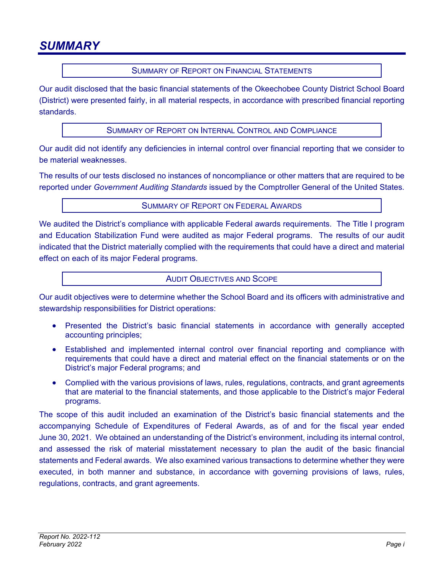#### SUMMARY OF REPORT ON FINANCIAL STATEMENTS

<span id="page-4-0"></span>Our audit disclosed that the basic financial statements of the Okeechobee County District School Board (District) were presented fairly, in all material respects, in accordance with prescribed financial reporting standards.

SUMMARY OF REPORT ON INTERNAL CONTROL AND COMPLIANCE

Our audit did not identify any deficiencies in internal control over financial reporting that we consider to be material weaknesses.

The results of our tests disclosed no instances of noncompliance or other matters that are required to be reported under *Government Auditing Standards* issued by the Comptroller General of the United States*.* 

SUMMARY OF REPORT ON FEDERAL AWARDS

We audited the District's compliance with applicable Federal awards requirements. The Title I program and Education Stabilization Fund were audited as major Federal programs. The results of our audit indicated that the District materially complied with the requirements that could have a direct and material effect on each of its major Federal programs.

#### AUDIT OBJECTIVES AND SCOPE

Our audit objectives were to determine whether the School Board and its officers with administrative and stewardship responsibilities for District operations:

- Presented the District's basic financial statements in accordance with generally accepted accounting principles;
- Established and implemented internal control over financial reporting and compliance with requirements that could have a direct and material effect on the financial statements or on the District's major Federal programs; and
- Complied with the various provisions of laws, rules, regulations, contracts, and grant agreements that are material to the financial statements, and those applicable to the District's major Federal programs.

The scope of this audit included an examination of the District's basic financial statements and the accompanying Schedule of Expenditures of Federal Awards, as of and for the fiscal year ended June 30, 2021. We obtained an understanding of the District's environment, including its internal control, and assessed the risk of material misstatement necessary to plan the audit of the basic financial statements and Federal awards. We also examined various transactions to determine whether they were executed, in both manner and substance, in accordance with governing provisions of laws, rules, regulations, contracts, and grant agreements.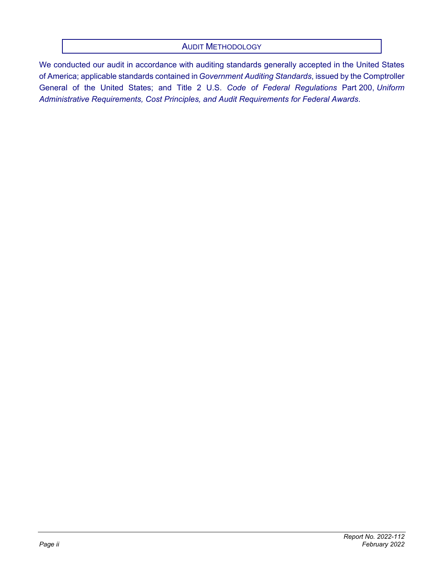#### AUDIT METHODOLOGY

We conducted our audit in accordance with auditing standards generally accepted in the United States of America; applicable standards contained in *Government Auditing Standards*, issued by the Comptroller General of the United States; and Title 2 U.S. *Code of Federal Regulations* Part 200, *Uniform Administrative Requirements, Cost Principles, and Audit Requirements for Federal Awards*.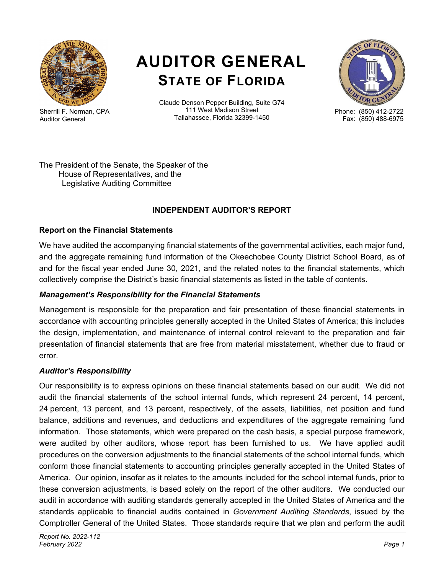<span id="page-6-0"></span>

Sherrill F. Norman, CPA Auditor General

# **AUDITOR GENERAL STATE OF FLORIDA**

Claude Denson Pepper Building, Suite G74 111 West Madison Street Tallahassee, Florida 32399-1450



Phone: (850) 412-2722 Fax: (850) 488-6975

The President of the Senate, the Speaker of the House of Representatives, and the Legislative Auditing Committee

#### **INDEPENDENT AUDITOR'S REPORT**

#### **Report on the Financial Statements**

We have audited the accompanying financial statements of the governmental activities, each major fund, and the aggregate remaining fund information of the Okeechobee County District School Board, as of and for the fiscal year ended June 30, 2021, and the related notes to the financial statements, which collectively comprise the District's basic financial statements as listed in the table of contents.

#### *Management's Responsibility for the Financial Statements*

Management is responsible for the preparation and fair presentation of these financial statements in accordance with accounting principles generally accepted in the United States of America; this includes the design, implementation, and maintenance of internal control relevant to the preparation and fair presentation of financial statements that are free from material misstatement, whether due to fraud or error.

#### *Auditor's Responsibility*

Our responsibility is to express opinions on these financial statements based on our audit. We did not audit the financial statements of the school internal funds, which represent 24 percent, 14 percent, 24 percent, 13 percent, and 13 percent, respectively, of the assets, liabilities, net position and fund balance, additions and revenues, and deductions and expenditures of the aggregate remaining fund information. Those statements, which were prepared on the cash basis, a special purpose framework, were audited by other auditors, whose report has been furnished to us. We have applied audit procedures on the conversion adjustments to the financial statements of the school internal funds, which conform those financial statements to accounting principles generally accepted in the United States of America. Our opinion, insofar as it relates to the amounts included for the school internal funds, prior to these conversion adjustments, is based solely on the report of the other auditors. We conducted our audit in accordance with auditing standards generally accepted in the United States of America and the standards applicable to financial audits contained in *Government Auditing Standards*, issued by the Comptroller General of the United States. Those standards require that we plan and perform the audit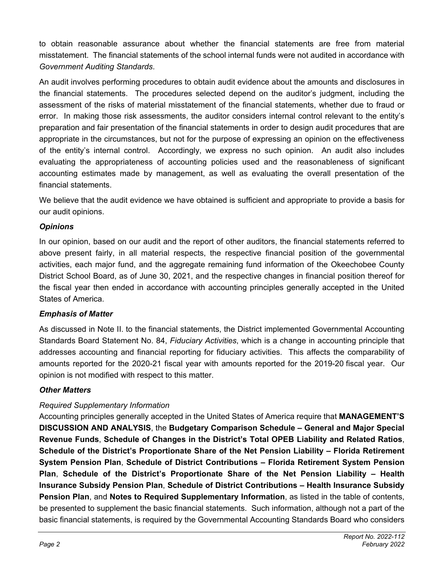to obtain reasonable assurance about whether the financial statements are free from material misstatement. The financial statements of the school internal funds were not audited in accordance with *Government Auditing Standards*.

An audit involves performing procedures to obtain audit evidence about the amounts and disclosures in the financial statements. The procedures selected depend on the auditor's judgment, including the assessment of the risks of material misstatement of the financial statements, whether due to fraud or error. In making those risk assessments, the auditor considers internal control relevant to the entity's preparation and fair presentation of the financial statements in order to design audit procedures that are appropriate in the circumstances, but not for the purpose of expressing an opinion on the effectiveness of the entity's internal control. Accordingly, we express no such opinion. An audit also includes evaluating the appropriateness of accounting policies used and the reasonableness of significant accounting estimates made by management, as well as evaluating the overall presentation of the financial statements.

We believe that the audit evidence we have obtained is sufficient and appropriate to provide a basis for our audit opinions.

#### *Opinions*

In our opinion, based on our audit and the report of other auditors, the financial statements referred to above present fairly, in all material respects, the respective financial position of the governmental activities, each major fund, and the aggregate remaining fund information of the Okeechobee County District School Board, as of June 30, 2021, and the respective changes in financial position thereof for the fiscal year then ended in accordance with accounting principles generally accepted in the United States of America.

#### *Emphasis of Matter*

As discussed in Note II. to the financial statements, the District implemented Governmental Accounting Standards Board Statement No. 84, *Fiduciary Activities*, which is a change in accounting principle that addresses accounting and financial reporting for fiduciary activities. This affects the comparability of amounts reported for the 2020-21 fiscal year with amounts reported for the 2019-20 fiscal year. Our opinion is not modified with respect to this matter.

#### *Other Matters*

#### *Required Supplementary Information*

Accounting principles generally accepted in the United States of America require that **MANAGEMENT'S DISCUSSION AND ANALYSIS**, the **Budgetary Comparison Schedule – General and Major Special Revenue Funds**, **Schedule of Changes in the District's Total OPEB Liability and Related Ratios**, **Schedule of the District's Proportionate Share of the Net Pension Liability – Florida Retirement System Pension Plan**, **Schedule of District Contributions – Florida Retirement System Pension Plan**, **Schedule of the District's Proportionate Share of the Net Pension Liability – Health Insurance Subsidy Pension Plan**, **Schedule of District Contributions – Health Insurance Subsidy Pension Plan**, and **Notes to Required Supplementary Information**, as listed in the table of contents, be presented to supplement the basic financial statements. Such information, although not a part of the basic financial statements, is required by the Governmental Accounting Standards Board who considers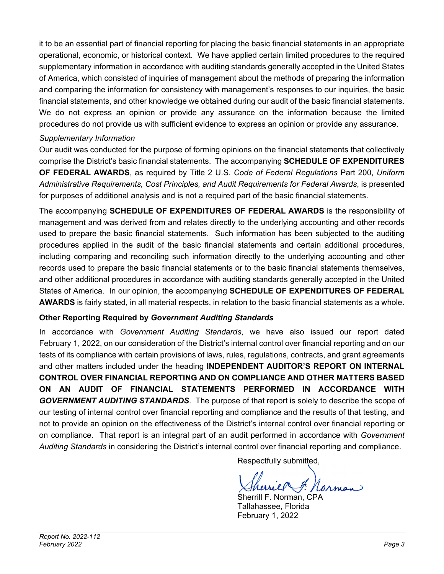<span id="page-8-0"></span>it to be an essential part of financial reporting for placing the basic financial statements in an appropriate operational, economic, or historical context. We have applied certain limited procedures to the required supplementary information in accordance with auditing standards generally accepted in the United States of America, which consisted of inquiries of management about the methods of preparing the information and comparing the information for consistency with management's responses to our inquiries, the basic financial statements, and other knowledge we obtained during our audit of the basic financial statements. We do not express an opinion or provide any assurance on the information because the limited procedures do not provide us with sufficient evidence to express an opinion or provide any assurance.

#### *Supplementary Information*

Our audit was conducted for the purpose of forming opinions on the financial statements that collectively comprise the District's basic financial statements. The accompanying **SCHEDULE OF EXPENDITURES OF FEDERAL AWARDS**, as required by Title 2 U.S. *Code of Federal Regulations* Part 200, *Uniform Administrative Requirements, Cost Principles, and Audit Requirements for Federal Awards*, is presented for purposes of additional analysis and is not a required part of the basic financial statements.

The accompanying **SCHEDULE OF EXPENDITURES OF FEDERAL AWARDS** is the responsibility of management and was derived from and relates directly to the underlying accounting and other records used to prepare the basic financial statements. Such information has been subjected to the auditing procedures applied in the audit of the basic financial statements and certain additional procedures, including comparing and reconciling such information directly to the underlying accounting and other records used to prepare the basic financial statements or to the basic financial statements themselves, and other additional procedures in accordance with auditing standards generally accepted in the United States of America. In our opinion, the accompanying **SCHEDULE OF EXPENDITURES OF FEDERAL AWARDS** is fairly stated, in all material respects, in relation to the basic financial statements as a whole.

#### **Other Reporting Required by** *Government Auditing Standards*

In accordance with *Government Auditing Standards*, we have also issued our report dated February 1, 2022, on our consideration of the District's internal control over financial reporting and on our tests of its compliance with certain provisions of laws, rules, regulations, contracts, and grant agreements and other matters included under the heading **INDEPENDENT AUDITOR'S REPORT ON INTERNAL CONTROL OVER FINANCIAL REPORTING AND ON COMPLIANCE AND OTHER MATTERS BASED ON AN AUDIT OF FINANCIAL STATEMENTS PERFORMED IN ACCORDANCE WITH**  *GOVERNMENT AUDITING STANDARDS*. The purpose of that report is solely to describe the scope of our testing of internal control over financial reporting and compliance and the results of that testing, and not to provide an opinion on the effectiveness of the District's internal control over financial reporting or on compliance. That report is an integral part of an audit performed in accordance with *Government Auditing Standards* in considering the District's internal control over financial reporting and compliance.

Respectfully submitted,

Corman

Sherrill F. Norman, CPA Tallahassee, Florida February 1, 2022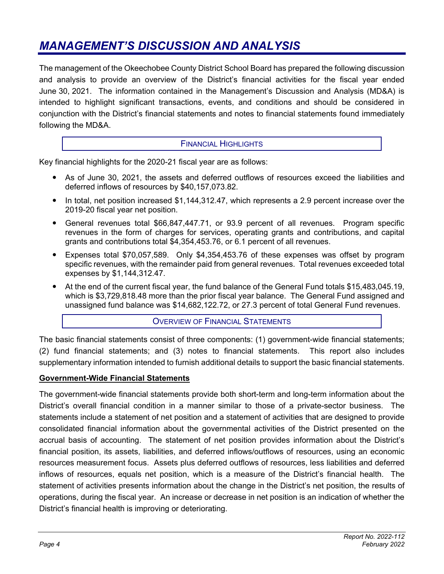# <span id="page-9-0"></span>*MANAGEMENT'S DISCUSSION AND ANALYSIS*

The management of the Okeechobee County District School Board has prepared the following discussion and analysis to provide an overview of the District's financial activities for the fiscal year ended June 30, 2021. The information contained in the Management's Discussion and Analysis (MD&A) is intended to highlight significant transactions, events, and conditions and should be considered in conjunction with the District's financial statements and notes to financial statements found immediately following the MD&A.

#### FINANCIAL HIGHLIGHTS

Key financial highlights for the 2020-21 fiscal year are as follows:

- As of June 30, 2021, the assets and deferred outflows of resources exceed the liabilities and deferred inflows of resources by \$40,157,073.82.
- In total, net position increased \$1,144,312.47, which represents a 2.9 percent increase over the 2019-20 fiscal year net position.
- General revenues total \$66,847,447.71, or 93.9 percent of all revenues. Program specific revenues in the form of charges for services, operating grants and contributions, and capital grants and contributions total \$4,354,453.76, or 6.1 percent of all revenues.
- Expenses total \$70,057,589. Only \$4,354,453.76 of these expenses was offset by program specific revenues, with the remainder paid from general revenues. Total revenues exceeded total expenses by \$1,144,312.47.
- At the end of the current fiscal year, the fund balance of the General Fund totals \$15,483,045.19, which is \$3,729,818.48 more than the prior fiscal year balance. The General Fund assigned and unassigned fund balance was \$14,682,122.72, or 27.3 percent of total General Fund revenues.

#### OVERVIEW OF FINANCIAL STATEMENTS

The basic financial statements consist of three components: (1) government-wide financial statements; (2) fund financial statements; and (3) notes to financial statements. This report also includes supplementary information intended to furnish additional details to support the basic financial statements.

#### **Government-Wide Financial Statements**

The government-wide financial statements provide both short-term and long-term information about the District's overall financial condition in a manner similar to those of a private-sector business. The statements include a statement of net position and a statement of activities that are designed to provide consolidated financial information about the governmental activities of the District presented on the accrual basis of accounting. The statement of net position provides information about the District's financial position, its assets, liabilities, and deferred inflows/outflows of resources, using an economic resources measurement focus. Assets plus deferred outflows of resources, less liabilities and deferred inflows of resources, equals net position, which is a measure of the District's financial health. The statement of activities presents information about the change in the District's net position, the results of operations, during the fiscal year. An increase or decrease in net position is an indication of whether the District's financial health is improving or deteriorating.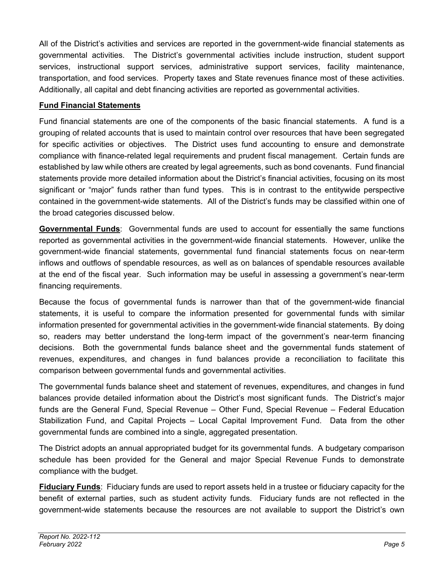All of the District's activities and services are reported in the government-wide financial statements as governmental activities. The District's governmental activities include instruction, student support services, instructional support services, administrative support services, facility maintenance, transportation, and food services. Property taxes and State revenues finance most of these activities. Additionally, all capital and debt financing activities are reported as governmental activities.

#### **Fund Financial Statements**

Fund financial statements are one of the components of the basic financial statements. A fund is a grouping of related accounts that is used to maintain control over resources that have been segregated for specific activities or objectives. The District uses fund accounting to ensure and demonstrate compliance with finance-related legal requirements and prudent fiscal management. Certain funds are established by law while others are created by legal agreements, such as bond covenants. Fund financial statements provide more detailed information about the District's financial activities, focusing on its most significant or "major" funds rather than fund types. This is in contrast to the entitywide perspective contained in the government-wide statements. All of the District's funds may be classified within one of the broad categories discussed below.

**Governmental Funds**: Governmental funds are used to account for essentially the same functions reported as governmental activities in the government-wide financial statements. However, unlike the government-wide financial statements, governmental fund financial statements focus on near-term inflows and outflows of spendable resources, as well as on balances of spendable resources available at the end of the fiscal year. Such information may be useful in assessing a government's near-term financing requirements.

Because the focus of governmental funds is narrower than that of the government-wide financial statements, it is useful to compare the information presented for governmental funds with similar information presented for governmental activities in the government-wide financial statements. By doing so, readers may better understand the long-term impact of the government's near-term financing decisions. Both the governmental funds balance sheet and the governmental funds statement of revenues, expenditures, and changes in fund balances provide a reconciliation to facilitate this comparison between governmental funds and governmental activities.

The governmental funds balance sheet and statement of revenues, expenditures, and changes in fund balances provide detailed information about the District's most significant funds. The District's major funds are the General Fund, Special Revenue – Other Fund, Special Revenue – Federal Education Stabilization Fund, and Capital Projects – Local Capital Improvement Fund. Data from the other governmental funds are combined into a single, aggregated presentation.

The District adopts an annual appropriated budget for its governmental funds. A budgetary comparison schedule has been provided for the General and major Special Revenue Funds to demonstrate compliance with the budget.

**Fiduciary Funds**: Fiduciary funds are used to report assets held in a trustee or fiduciary capacity for the benefit of external parties, such as student activity funds. Fiduciary funds are not reflected in the government-wide statements because the resources are not available to support the District's own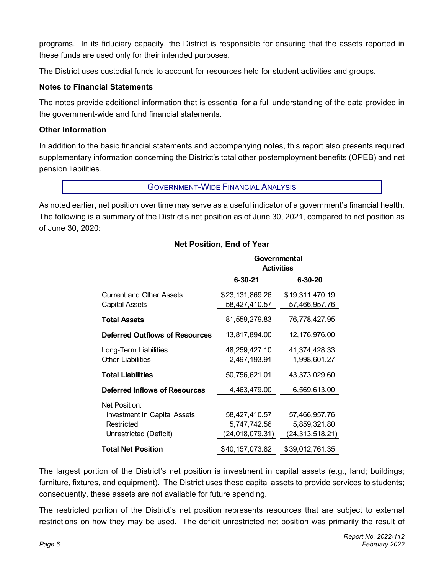programs. In its fiduciary capacity, the District is responsible for ensuring that the assets reported in these funds are used only for their intended purposes.

The District uses custodial funds to account for resources held for student activities and groups.

#### **Notes to Financial Statements**

The notes provide additional information that is essential for a full understanding of the data provided in the government-wide and fund financial statements.

#### **Other Information**

In addition to the basic financial statements and accompanying notes, this report also presents required supplementary information concerning the District's total other postemployment benefits (OPEB) and net pension liabilities.

GOVERNMENT-WIDE FINANCIAL ANALYSIS

As noted earlier, net position over time may serve as a useful indicator of a government's financial health. The following is a summary of the District's net position as of June 30, 2021, compared to net position as of June 30, 2020:

|                                                                                              | Governmental<br><b>Activities</b>                  |                                                    |
|----------------------------------------------------------------------------------------------|----------------------------------------------------|----------------------------------------------------|
|                                                                                              | 6-30-21                                            | 6-30-20                                            |
| <b>Current and Other Assets</b><br><b>Capital Assets</b>                                     | \$23,131,869.26<br>58,427,410.57                   | \$19,311,470.19<br>57,466,957.76                   |
| <b>Total Assets</b>                                                                          | 81,559,279.83                                      | 76,778,427.95                                      |
| <b>Deferred Outflows of Resources</b>                                                        | 13,817,894.00                                      | 12,176,976.00                                      |
| Long-Term Liabilities<br><b>Other Liabilities</b>                                            | 48,259,427.10<br>2,497,193.91                      | 41,374,428.33<br>1,998,601.27                      |
| <b>Total Liabilities</b>                                                                     | 50,756,621.01                                      | 43,373,029.60                                      |
| Deferred Inflows of Resources                                                                | 4,463,479.00                                       | 6,569,613.00                                       |
| Net Position:<br><b>Investment in Capital Assets</b><br>Restricted<br>Unrestricted (Deficit) | 58,427,410.57<br>5,747,742.56<br>(24, 018, 079.31) | 57,466,957.76<br>5,859,321.80<br>(24, 313, 518.21) |
| <b>Total Net Position</b>                                                                    | \$40,157,073.82                                    | \$39,012,761.35                                    |

#### **Net Position, End of Year**

The largest portion of the District's net position is investment in capital assets (e.g., land; buildings; furniture, fixtures, and equipment). The District uses these capital assets to provide services to students; consequently, these assets are not available for future spending.

The restricted portion of the District's net position represents resources that are subject to external restrictions on how they may be used. The deficit unrestricted net position was primarily the result of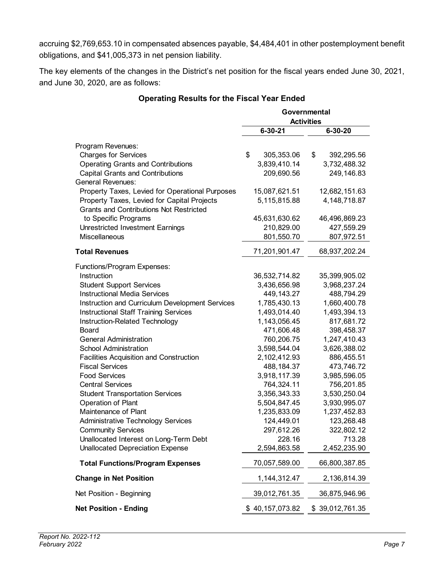accruing \$2,769,653.10 in compensated absences payable, \$4,484,401 in other postemployment benefit obligations, and \$41,005,373 in net pension liability.

The key elements of the changes in the District's net position for the fiscal years ended June 30, 2021, and June 30, 2020, are as follows:

|                                                                                               | Governmental     |                   |  |  |
|-----------------------------------------------------------------------------------------------|------------------|-------------------|--|--|
|                                                                                               |                  | <b>Activities</b> |  |  |
|                                                                                               | 6-30-21          | 6-30-20           |  |  |
| Program Revenues:                                                                             |                  |                   |  |  |
| <b>Charges for Services</b>                                                                   | \$<br>305,353.06 | \$<br>392,295.56  |  |  |
| <b>Operating Grants and Contributions</b>                                                     | 3,839,410.14     | 3,732,488.32      |  |  |
| <b>Capital Grants and Contributions</b>                                                       | 209,690.56       | 249,146.83        |  |  |
| <b>General Revenues:</b>                                                                      |                  |                   |  |  |
| Property Taxes, Levied for Operational Purposes                                               | 15,087,621.51    | 12,682,151.63     |  |  |
| Property Taxes, Levied for Capital Projects<br><b>Grants and Contributions Not Restricted</b> | 5,115,815.88     | 4,148,718.87      |  |  |
| to Specific Programs                                                                          | 45,631,630.62    | 46,496,869.23     |  |  |
| Unrestricted Investment Earnings                                                              | 210,829.00       | 427,559.29        |  |  |
| Miscellaneous                                                                                 | 801,550.70       | 807,972.51        |  |  |
| <b>Total Revenues</b>                                                                         | 71,201,901.47    | 68,937,202.24     |  |  |
| Functions/Program Expenses:                                                                   |                  |                   |  |  |
| Instruction                                                                                   | 36,532,714.82    | 35,399,905.02     |  |  |
| <b>Student Support Services</b>                                                               | 3,436,656.98     | 3,968,237.24      |  |  |
| <b>Instructional Media Services</b>                                                           | 449, 143. 27     | 488,794.29        |  |  |
| Instruction and Curriculum Development Services                                               | 1,785,430.13     | 1,660,400.78      |  |  |
| <b>Instructional Staff Training Services</b>                                                  | 1,493,014.40     | 1,493,394.13      |  |  |
| Instruction-Related Technology                                                                | 1,143,056.45     | 817,681.72        |  |  |
| <b>Board</b>                                                                                  | 471,606.48       | 398,458.37        |  |  |
| <b>General Administration</b>                                                                 | 760,206.75       | 1,247,410.43      |  |  |
| <b>School Administration</b>                                                                  | 3,598,544.04     | 3,626,388.02      |  |  |
| <b>Facilities Acquisition and Construction</b>                                                | 2,102,412.93     | 886,455.51        |  |  |
| <b>Fiscal Services</b>                                                                        | 488,184.37       | 473,746.72        |  |  |
| <b>Food Services</b>                                                                          | 3,918,117.39     | 3,985,596.05      |  |  |
| <b>Central Services</b>                                                                       | 764,324.11       | 756,201.85        |  |  |
| <b>Student Transportation Services</b>                                                        | 3,356,343.33     | 3,530,250.04      |  |  |
| Operation of Plant                                                                            | 5,504,847.45     | 3,930,995.07      |  |  |
| Maintenance of Plant                                                                          | 1,235,833.09     | 1,237,452.83      |  |  |
| Administrative Technology Services                                                            | 124,449.01       | 123,268.48        |  |  |
| <b>Community Services</b>                                                                     | 297,612.26       | 322,802.12        |  |  |
| Unallocated Interest on Long-Term Debt                                                        | 228.16           | 713.28            |  |  |
| <b>Unallocated Depreciation Expense</b>                                                       | 2,594,863.58     | 2,452,235.90      |  |  |
| <b>Total Functions/Program Expenses</b>                                                       | 70,057,589.00    | 66,800,387.85     |  |  |
| <b>Change in Net Position</b>                                                                 | 1,144,312.47     | 2,136,814.39      |  |  |
| Net Position - Beginning                                                                      | 39,012,761.35    | 36,875,946.96     |  |  |
| <b>Net Position - Ending</b>                                                                  | \$40,157,073.82  | \$39,012,761.35   |  |  |

#### **Operating Results for the Fiscal Year Ended**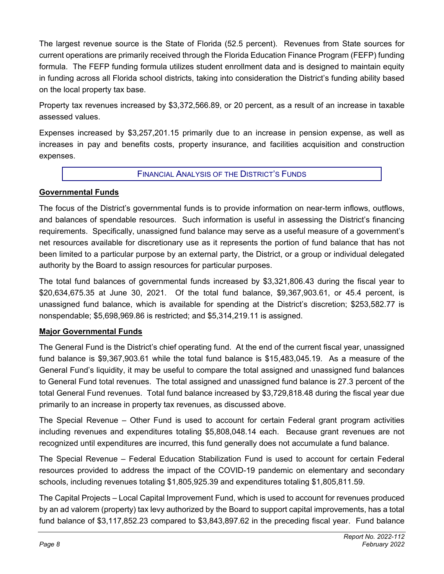The largest revenue source is the State of Florida (52.5 percent). Revenues from State sources for current operations are primarily received through the Florida Education Finance Program (FEFP) funding formula. The FEFP funding formula utilizes student enrollment data and is designed to maintain equity in funding across all Florida school districts, taking into consideration the District's funding ability based on the local property tax base.

Property tax revenues increased by \$3,372,566.89, or 20 percent, as a result of an increase in taxable assessed values.

Expenses increased by \$3,257,201.15 primarily due to an increase in pension expense, as well as increases in pay and benefits costs, property insurance, and facilities acquisition and construction expenses.

FINANCIAL ANALYSIS OF THE DISTRICT'S FUNDS

#### **Governmental Funds**

The focus of the District's governmental funds is to provide information on near-term inflows, outflows, and balances of spendable resources. Such information is useful in assessing the District's financing requirements. Specifically, unassigned fund balance may serve as a useful measure of a government's net resources available for discretionary use as it represents the portion of fund balance that has not been limited to a particular purpose by an external party, the District, or a group or individual delegated authority by the Board to assign resources for particular purposes.

The total fund balances of governmental funds increased by \$3,321,806.43 during the fiscal year to \$20,634,675.35 at June 30, 2021. Of the total fund balance, \$9,367,903.61, or 45.4 percent, is unassigned fund balance, which is available for spending at the District's discretion; \$253,582.77 is nonspendable; \$5,698,969.86 is restricted; and \$5,314,219.11 is assigned.

#### **Major Governmental Funds**

The General Fund is the District's chief operating fund. At the end of the current fiscal year, unassigned fund balance is \$9,367,903.61 while the total fund balance is \$15,483,045.19. As a measure of the General Fund's liquidity, it may be useful to compare the total assigned and unassigned fund balances to General Fund total revenues. The total assigned and unassigned fund balance is 27.3 percent of the total General Fund revenues. Total fund balance increased by \$3,729,818.48 during the fiscal year due primarily to an increase in property tax revenues, as discussed above.

The Special Revenue – Other Fund is used to account for certain Federal grant program activities including revenues and expenditures totaling \$5,808,048.14 each. Because grant revenues are not recognized until expenditures are incurred, this fund generally does not accumulate a fund balance.

The Special Revenue – Federal Education Stabilization Fund is used to account for certain Federal resources provided to address the impact of the COVID-19 pandemic on elementary and secondary schools, including revenues totaling \$1,805,925.39 and expenditures totaling \$1,805,811.59.

The Capital Projects – Local Capital Improvement Fund, which is used to account for revenues produced by an ad valorem (property) tax levy authorized by the Board to support capital improvements, has a total fund balance of \$3,117,852.23 compared to \$3,843,897.62 in the preceding fiscal year. Fund balance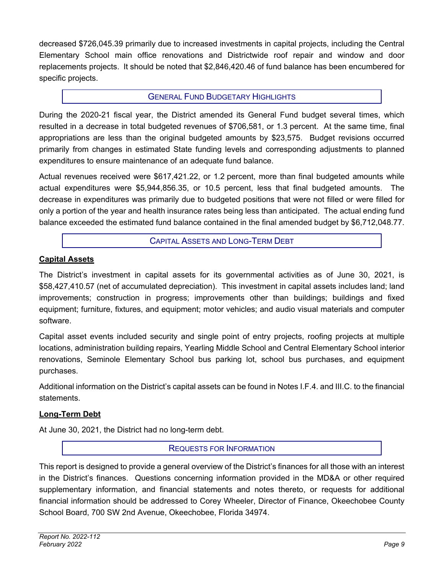decreased \$726,045.39 primarily due to increased investments in capital projects, including the Central Elementary School main office renovations and Districtwide roof repair and window and door replacements projects. It should be noted that \$2,846,420.46 of fund balance has been encumbered for specific projects.

#### GENERAL FUND BUDGETARY HIGHLIGHTS

During the 2020-21 fiscal year, the District amended its General Fund budget several times, which resulted in a decrease in total budgeted revenues of \$706,581, or 1.3 percent. At the same time, final appropriations are less than the original budgeted amounts by \$23,575. Budget revisions occurred primarily from changes in estimated State funding levels and corresponding adjustments to planned expenditures to ensure maintenance of an adequate fund balance.

Actual revenues received were \$617,421.22, or 1.2 percent, more than final budgeted amounts while actual expenditures were \$5,944,856.35, or 10.5 percent, less that final budgeted amounts. The decrease in expenditures was primarily due to budgeted positions that were not filled or were filled for only a portion of the year and health insurance rates being less than anticipated. The actual ending fund balance exceeded the estimated fund balance contained in the final amended budget by \$6,712,048.77.

#### CAPITAL ASSETS AND LONG-TERM DEBT

#### **Capital Assets**

The District's investment in capital assets for its governmental activities as of June 30, 2021, is \$58,427,410.57 (net of accumulated depreciation). This investment in capital assets includes land; land improvements; construction in progress; improvements other than buildings; buildings and fixed equipment; furniture, fixtures, and equipment; motor vehicles; and audio visual materials and computer software.

Capital asset events included security and single point of entry projects, roofing projects at multiple locations, administration building repairs, Yearling Middle School and Central Elementary School interior renovations, Seminole Elementary School bus parking lot, school bus purchases, and equipment purchases.

Additional information on the District's capital assets can be found in Notes I.F.4. and III.C. to the financial statements.

#### **Long-Term Debt**

At June 30, 2021, the District had no long-term debt.

#### REQUESTS FOR INFORMATION

This report is designed to provide a general overview of the District's finances for all those with an interest in the District's finances. Questions concerning information provided in the MD&A or other required supplementary information, and financial statements and notes thereto, or requests for additional financial information should be addressed to Corey Wheeler, Director of Finance, Okeechobee County School Board, 700 SW 2nd Avenue, Okeechobee, Florida 34974.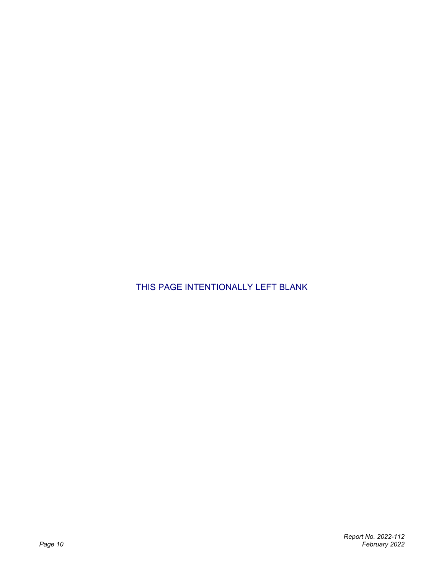THIS PAGE INTENTIONALLY LEFT BLANK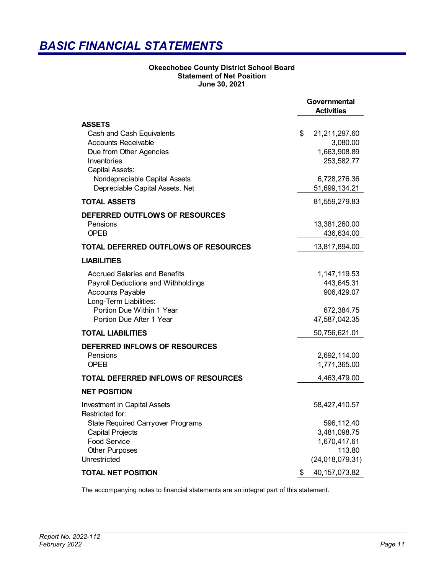# <span id="page-16-0"></span>*BASIC FINANCIAL STATEMENTS*

#### **Okeechobee County District School Board Statement of Net Position June 30, 2021**

|                                                                                                                                                                                                           | Governmental<br><b>Activities</b>                                                              |
|-----------------------------------------------------------------------------------------------------------------------------------------------------------------------------------------------------------|------------------------------------------------------------------------------------------------|
| <b>ASSETS</b><br>Cash and Cash Equivalents<br><b>Accounts Receivable</b><br>Due from Other Agencies<br>Inventories<br>Capital Assets:<br>Nondepreciable Capital Assets<br>Depreciable Capital Assets, Net | \$<br>21,211,297.60<br>3,080.00<br>1,663,908.89<br>253,582.77<br>6,728,276.36<br>51,699,134.21 |
| <b>TOTAL ASSETS</b>                                                                                                                                                                                       | 81,559,279.83                                                                                  |
| DEFERRED OUTFLOWS OF RESOURCES<br>Pensions<br><b>OPEB</b>                                                                                                                                                 | 13,381,260.00<br>436,634.00                                                                    |
| <b>TOTAL DEFERRED OUTFLOWS OF RESOURCES</b>                                                                                                                                                               | 13,817,894.00                                                                                  |
| <b>LIABILITIES</b>                                                                                                                                                                                        |                                                                                                |
| <b>Accrued Salaries and Benefits</b><br>Payroll Deductions and Withholdings<br><b>Accounts Payable</b><br>Long-Term Liabilities:<br>Portion Due Within 1 Year<br>Portion Due After 1 Year                 | 1, 147, 119.53<br>443,645.31<br>906,429.07<br>672,384.75<br>47,587,042.35                      |
| <b>TOTAL LIABILITIES</b>                                                                                                                                                                                  | 50,756,621.01                                                                                  |
| DEFERRED INFLOWS OF RESOURCES<br>Pensions<br><b>OPEB</b>                                                                                                                                                  | 2,692,114.00<br>1,771,365.00                                                                   |
| TOTAL DEFERRED INFLOWS OF RESOURCES                                                                                                                                                                       | 4,463,479.00                                                                                   |
| <b>NET POSITION</b>                                                                                                                                                                                       |                                                                                                |
| <b>Investment in Capital Assets</b><br>Restricted for:                                                                                                                                                    | 58,427,410.57                                                                                  |
| <b>State Required Carryover Programs</b><br><b>Capital Projects</b><br><b>Food Service</b><br><b>Other Purposes</b><br>Unrestricted                                                                       | 596, 112.40<br>3,481,098.75<br>1,670,417.61<br>113.80<br>(24, 018, 079.31)                     |
| <b>TOTAL NET POSITION</b>                                                                                                                                                                                 | \$<br>40, 157, 073.82                                                                          |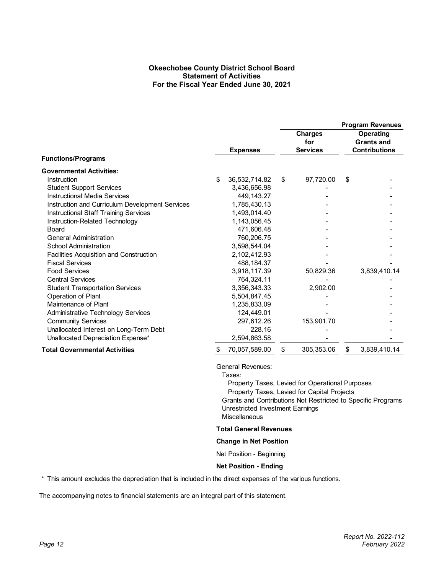#### **Okeechobee County District School Board Statement of Activities For the Fiscal Year Ended June 30, 2021**

<span id="page-17-0"></span>

|                                                 |    |                 |                                          |                                                        | <b>Program Revenues</b> |
|-------------------------------------------------|----|-----------------|------------------------------------------|--------------------------------------------------------|-------------------------|
|                                                 |    | <b>Expenses</b> | <b>Charges</b><br>for<br><b>Services</b> | Operating<br><b>Grants and</b><br><b>Contributions</b> |                         |
| <b>Functions/Programs</b>                       |    |                 |                                          |                                                        |                         |
| <b>Governmental Activities:</b>                 |    |                 |                                          |                                                        |                         |
| Instruction                                     | \$ | 36,532,714.82   | \$<br>97,720.00                          | \$                                                     |                         |
| <b>Student Support Services</b>                 |    | 3,436,656.98    |                                          |                                                        |                         |
| <b>Instructional Media Services</b>             |    | 449, 143. 27    |                                          |                                                        |                         |
| Instruction and Curriculum Development Services |    | 1,785,430.13    |                                          |                                                        |                         |
| <b>Instructional Staff Training Services</b>    |    | 1.493.014.40    |                                          |                                                        |                         |
| Instruction-Related Technology                  |    | 1,143,056.45    |                                          |                                                        |                         |
| Board                                           |    | 471,606.48      |                                          |                                                        |                         |
| <b>General Administration</b>                   |    | 760,206.75      |                                          |                                                        |                         |
| <b>School Administration</b>                    |    | 3,598,544.04    |                                          |                                                        |                         |
| Facilities Acquisition and Construction         |    | 2,102,412.93    |                                          |                                                        |                         |
| <b>Fiscal Services</b>                          |    | 488,184.37      |                                          |                                                        |                         |
| <b>Food Services</b>                            |    | 3,918,117.39    | 50,829.36                                |                                                        | 3,839,410.14            |
| <b>Central Services</b>                         |    | 764,324.11      |                                          |                                                        |                         |
| <b>Student Transportation Services</b>          |    | 3,356,343.33    | 2,902.00                                 |                                                        |                         |
| Operation of Plant                              |    | 5,504,847.45    |                                          |                                                        |                         |
| Maintenance of Plant                            |    | 1,235,833.09    |                                          |                                                        |                         |
| Administrative Technology Services              |    | 124,449.01      |                                          |                                                        |                         |
| <b>Community Services</b>                       |    | 297,612.26      | 153,901.70                               |                                                        |                         |
| Unallocated Interest on Long-Term Debt          |    | 228.16          |                                          |                                                        |                         |
| Unallocated Depreciation Expense*               |    | 2,594,863.58    |                                          |                                                        |                         |
| <b>Total Governmental Activities</b>            | \$ | 70,057,589.00   | \$<br>305,353.06                         | \$                                                     | 3,839,410.14            |

General Revenues:

Taxes:

 Property Taxes, Levied for Operational Purposes Property Taxes, Levied for Capital Projects Grants and Contributions Not Restricted to Specific Programs Unrestricted Investment Earnings Miscellaneous

#### **Total General Revenues**

#### **Change in Net Position**

Net Position - Beginning

#### **Net Position - Ending**

\* This amount excludes the depreciation that is included in the direct expenses of the various functions.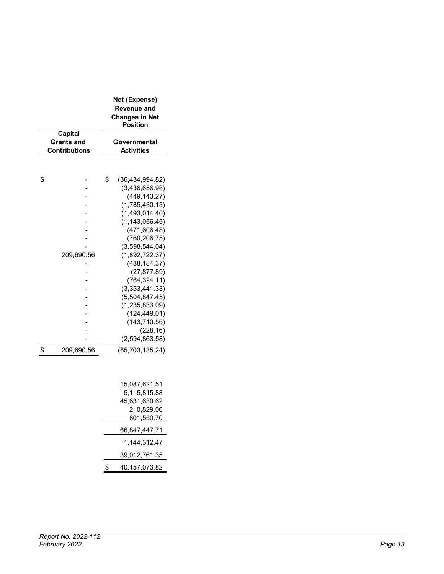|                      | Net (Expense)     |                       |  |  |  |
|----------------------|-------------------|-----------------------|--|--|--|
|                      |                   | Revenue and           |  |  |  |
|                      |                   | <b>Changes in Net</b> |  |  |  |
|                      |                   | <b>Position</b>       |  |  |  |
| <b>Capital</b>       |                   |                       |  |  |  |
| <b>Grants and</b>    | Governmental      |                       |  |  |  |
| <b>Contributions</b> | <b>Activities</b> |                       |  |  |  |
|                      |                   |                       |  |  |  |
| \$                   | \$                | (36, 434, 994.82)     |  |  |  |
|                      |                   | (3,436,656.98)        |  |  |  |
|                      |                   | (449, 143.27)         |  |  |  |
|                      |                   | (1,785,430.13)        |  |  |  |
|                      |                   | (1,493,014.40)        |  |  |  |
|                      | (1, 143, 056.45)  |                       |  |  |  |
|                      | (471, 606.48)     |                       |  |  |  |
|                      | (760, 206.75)     |                       |  |  |  |
|                      |                   | (3,598,544.04)        |  |  |  |
| 209,690.56           |                   | (1,892,722.37)        |  |  |  |
|                      |                   | (488, 184.37)         |  |  |  |
|                      |                   | (27, 877.89)          |  |  |  |
|                      |                   | (764, 324.11)         |  |  |  |
|                      |                   | (3,353,441.33)        |  |  |  |
|                      |                   | (5,504,847.45)        |  |  |  |
|                      |                   | (1, 235, 833.09)      |  |  |  |
|                      |                   | (124, 449.01)         |  |  |  |
|                      |                   | (143, 710.56)         |  |  |  |
|                      |                   | (228.16)              |  |  |  |
|                      |                   | (2,594,863.58)        |  |  |  |
| \$<br>209,690.56     |                   | (65,703,135.24)       |  |  |  |

|   | 15.087.621.51   |
|---|-----------------|
|   | 5.115.815.88    |
|   | 45,631,630.62   |
|   | 210.829.00      |
|   | 801,550.70      |
|   | 66,847,447.71   |
|   | 1.144,312.47    |
|   | 39,012,761.35   |
| ዳ | 40, 157, 073.82 |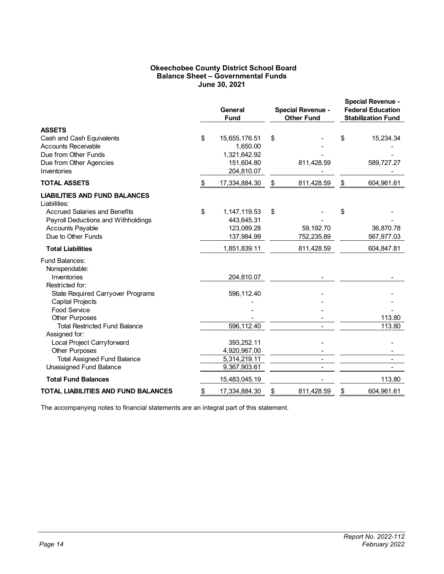#### **Okeechobee County District School Board Balance Sheet – Governmental Funds June 30, 2021**

<span id="page-19-0"></span>

|                                                                                                                                                                                      |    | <b>General</b><br><b>Fund</b>                                         | <b>Special Revenue -</b><br><b>Other Fund</b> | <b>Special Revenue -</b><br><b>Federal Education</b><br><b>Stabilization Fund</b> |                                            |  |
|--------------------------------------------------------------------------------------------------------------------------------------------------------------------------------------|----|-----------------------------------------------------------------------|-----------------------------------------------|-----------------------------------------------------------------------------------|--------------------------------------------|--|
| <b>ASSETS</b><br>Cash and Cash Equivalents<br><b>Accounts Receivable</b><br>Due from Other Funds<br>Due from Other Agencies<br>Inventories                                           | \$ | 15,655,176.51<br>1,650.00<br>1,321,642.92<br>151,604.80<br>204,810.07 | \$<br>811,428.59                              | \$                                                                                | 15,234.34<br>589,727.27                    |  |
| <b>TOTAL ASSETS</b>                                                                                                                                                                  | S. | 17,334,884.30                                                         | \$<br>811,428.59                              | \$                                                                                | 604,961.61                                 |  |
| <b>LIABILITIES AND FUND BALANCES</b><br>Liabilities:<br><b>Accrued Salaries and Benefits</b><br>Payroll Deductions and Withholdings<br><b>Accounts Payable</b><br>Due to Other Funds | \$ | 1, 147, 119.53<br>443,645.31<br>123,089.28<br>137,984.99              | \$<br>59,192.70<br>752,235.89                 | \$                                                                                | 36,870.78<br>567,977.03                    |  |
| <b>Total Liabilities</b>                                                                                                                                                             |    | 1,851,839.11                                                          | 811,428.59                                    |                                                                                   | 604,847.81                                 |  |
| Fund Balances:<br>Nonspendable:<br>Inventories<br>Restricted for:                                                                                                                    |    | 204,810.07                                                            |                                               |                                                                                   |                                            |  |
| State Required Carryover Programs<br><b>Capital Projects</b><br><b>Food Service</b><br><b>Other Purposes</b>                                                                         |    | 596,112.40                                                            |                                               |                                                                                   | 113.80                                     |  |
| <b>Total Restricted Fund Balance</b>                                                                                                                                                 |    | 596,112.40                                                            |                                               |                                                                                   | 113.80                                     |  |
| Assigned for:<br>Local Project Carryforward<br><b>Other Purposes</b><br><b>Total Assigned Fund Balance</b><br>Unassigned Fund Balance                                                |    | 393,252.11<br>4,920,967.00<br>5,314,219.11<br>9,367,903.61            | $\blacksquare$                                |                                                                                   | $\overline{\phantom{a}}$<br>$\blacksquare$ |  |
| <b>Total Fund Balances</b>                                                                                                                                                           |    | 15,483,045.19                                                         |                                               |                                                                                   | 113.80                                     |  |
| TOTAL LIABILITIES AND FUND BALANCES                                                                                                                                                  | \$ | 17,334,884.30                                                         | \$<br>811,428.59                              | \$                                                                                | 604,961.61                                 |  |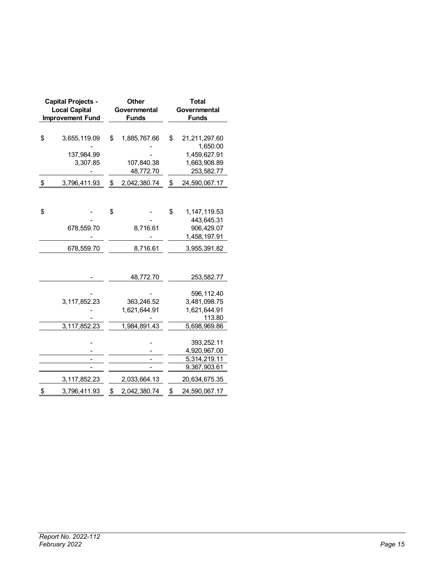| <b>Capital Projects -</b><br><b>Local Capital</b><br><b>Improvement Fund</b> |    | Other<br>Governmental<br><b>Funds</b> |                            | <b>Total</b><br>Governmental<br><b>Funds</b> |  |
|------------------------------------------------------------------------------|----|---------------------------------------|----------------------------|----------------------------------------------|--|
| \$<br>3,655,119.09                                                           | \$ | 1,885,767.66                          | \$                         | 21,211,297.60                                |  |
|                                                                              |    |                                       |                            | 1,650.00                                     |  |
| 137,984.99                                                                   |    |                                       |                            | 1,459,627.91                                 |  |
| 3,307.85                                                                     |    | 107.840.38                            |                            | 1,663,908.89                                 |  |
|                                                                              |    | 48,772.70                             |                            | 253,582.77                                   |  |
| \$<br>3,796,411.93                                                           | \$ | 2,042,380.74                          | \$                         | 24,590,067.17                                |  |
|                                                                              |    |                                       |                            |                                              |  |
| \$                                                                           | \$ |                                       | \$                         | 1,147,119.53                                 |  |
|                                                                              |    |                                       |                            | 443,645.31                                   |  |
| 678,559.70                                                                   |    | 8,716.61                              | 906,429.07<br>1,458,197.91 |                                              |  |
| 678,559.70                                                                   |    | 8,716.61                              | 3,955,391.82               |                                              |  |
|                                                                              |    | 48,772.70                             |                            | 253,582.77                                   |  |
|                                                                              |    |                                       |                            |                                              |  |
|                                                                              |    |                                       |                            | 596,112.40                                   |  |
| 3,117,852.23                                                                 |    | 363,246.52<br>1,621,644.91            |                            | 3,481,098.75<br>1,621,644.91                 |  |
|                                                                              |    |                                       |                            | 113.80                                       |  |
| 3,117,852.23                                                                 |    | 1,984,891.43                          |                            | 5,698,969.86                                 |  |
|                                                                              |    |                                       |                            |                                              |  |
|                                                                              |    |                                       |                            | 393,252.11                                   |  |
|                                                                              |    |                                       |                            | 4,920,967.00                                 |  |
|                                                                              |    |                                       |                            | 5,314,219.11                                 |  |
|                                                                              |    |                                       |                            | 9,367,903.61                                 |  |
| 3,117,852.23                                                                 |    | 2,033,664.13                          |                            | 20,634,675.35                                |  |
| \$<br>3,796,411.93                                                           | \$ | 2,042,380.74                          | \$                         | 24,590,067.17                                |  |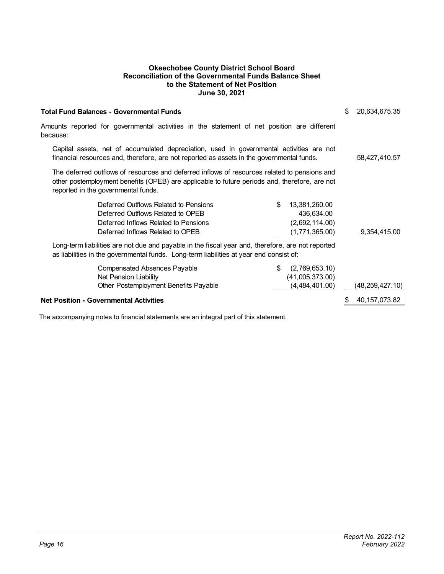#### **Okeechobee County District School Board Reconciliation of the Governmental Funds Balance Sheet to the Statement of Net Position June 30, 2021**

<span id="page-21-0"></span>

| Total Fund Balances - Governmental Funds | \$                                                                                                                                                                                                                                   | 20,634,675.35                                                         |   |                 |
|------------------------------------------|--------------------------------------------------------------------------------------------------------------------------------------------------------------------------------------------------------------------------------------|-----------------------------------------------------------------------|---|-----------------|
| because:                                 | Amounts reported for governmental activities in the statement of net position are different                                                                                                                                          |                                                                       |   |                 |
|                                          | Capital assets, net of accumulated depreciation, used in governmental activities are not<br>financial resources and, therefore, are not reported as assets in the governmental funds.                                                |                                                                       |   | 58,427,410.57   |
|                                          | The deferred outflows of resources and deferred inflows of resources related to pensions and<br>other postemployment benefits (OPEB) are applicable to future periods and, therefore, are not<br>reported in the governmental funds. |                                                                       |   |                 |
|                                          | Deferred Outflows Related to Pensions<br>Deferred Outflows Related to OPEB<br>Deferred Inflows Related to Pensions<br>Deferred Inflows Related to OPEB                                                                               | \$<br>13,381,260.00<br>436,634.00<br>(2,692,114.00)<br>(1,771,365.00) |   | 9,354,415.00    |
|                                          | Long-term liabilities are not due and payable in the fiscal year and, therefore, are not reported<br>as liabilities in the governmental funds. Long-term liabilities at year end consist of:                                         |                                                                       |   |                 |
|                                          | <b>Compensated Absences Payable</b><br>Net Pension Liability<br>Other Postemployment Benefits Payable                                                                                                                                | \$<br>(2,769,653.10)<br>(41,005,373.00)<br>(4,484,401.00)             |   | (48,259,427.10) |
|                                          | <b>Net Position - Governmental Activities</b>                                                                                                                                                                                        |                                                                       | S | 40, 157, 073.82 |
|                                          |                                                                                                                                                                                                                                      |                                                                       |   |                 |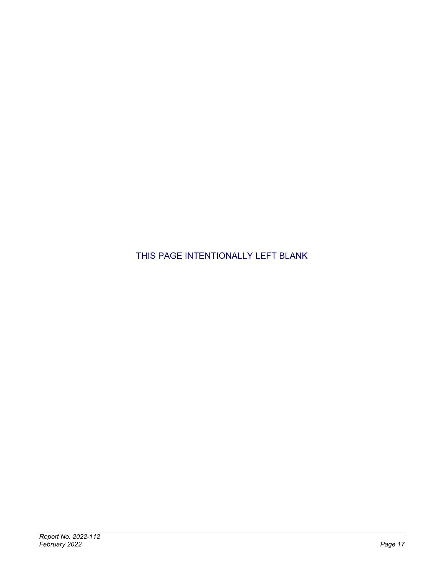THIS PAGE INTENTIONALLY LEFT BLANK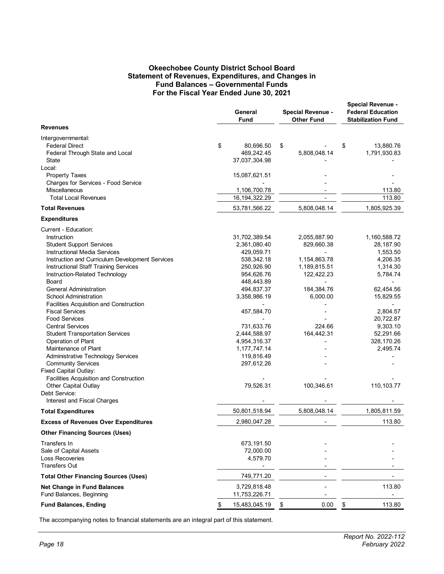#### **Okeechobee County District School Board Statement of Revenues, Expenditures, and Changes in Fund Balances – Governmental Funds For the Fiscal Year Ended June 30, 2021**

<span id="page-23-0"></span>

|                                                                                |    | General<br><b>Fund</b>        | <b>Special Revenue -</b><br><b>Other Fund</b> | <b>Special Revenue -</b><br><b>Federal Education</b><br><b>Stabilization Fund</b> |                           |
|--------------------------------------------------------------------------------|----|-------------------------------|-----------------------------------------------|-----------------------------------------------------------------------------------|---------------------------|
| <b>Revenues</b>                                                                |    |                               |                                               |                                                                                   |                           |
| Intergovernmental:<br><b>Federal Direct</b><br>Federal Through State and Local | \$ | 80,696.50<br>469,242.45       | \$<br>5,808,048.14                            | \$                                                                                | 13,880.76<br>1,791,930.83 |
| State<br>Local:                                                                |    | 37,037,304.98                 |                                               |                                                                                   |                           |
| <b>Property Taxes</b><br>Charges for Services - Food Service                   |    | 15,087,621.51                 |                                               |                                                                                   |                           |
| Miscellaneous                                                                  |    | 1,106,700.78                  |                                               |                                                                                   | 113.80                    |
| <b>Total Local Revenues</b>                                                    |    | 16, 194, 322. 29              |                                               |                                                                                   | 113.80                    |
| <b>Total Revenues</b>                                                          |    | 53,781,566.22                 | 5,808,048.14                                  |                                                                                   | 1,805,925.39              |
| <b>Expenditures</b>                                                            |    |                               |                                               |                                                                                   |                           |
| Current - Education:                                                           |    |                               |                                               |                                                                                   |                           |
| Instruction                                                                    |    | 31,702,389.54                 | 2,055,887.90                                  |                                                                                   | 1,160,588.72              |
| <b>Student Support Services</b>                                                |    | 2,361,080.40                  | 829,660.38                                    |                                                                                   | 28,187.90                 |
| <b>Instructional Media Services</b>                                            |    | 429,059.71                    |                                               |                                                                                   | 1,553.50                  |
| Instruction and Curriculum Development Services                                |    | 538,342.18                    | 1,154,863.78                                  |                                                                                   | 4,206.35                  |
| <b>Instructional Staff Training Services</b>                                   |    | 250,926.90                    | 1,189,815.51                                  |                                                                                   | 1,314.30                  |
| Instruction-Related Technology                                                 |    | 954,626.76                    | 122,422.23                                    |                                                                                   | 5,784.74                  |
| Board                                                                          |    | 448,443.89                    |                                               |                                                                                   |                           |
| <b>General Administration</b>                                                  |    | 494,837.37                    | 184,384.76                                    |                                                                                   | 62,454.56                 |
| School Administration                                                          |    | 3,358,986.19                  | 6,000.00                                      |                                                                                   | 15,829.55                 |
| <b>Facilities Acquisition and Construction</b>                                 |    |                               |                                               |                                                                                   |                           |
| <b>Fiscal Services</b>                                                         |    | 457,584.70                    |                                               |                                                                                   | 2,804.57                  |
| <b>Food Services</b>                                                           |    |                               |                                               |                                                                                   | 20,722.87                 |
| <b>Central Services</b>                                                        |    | 731,633.76                    | 224.66                                        |                                                                                   | 9,303.10                  |
| <b>Student Transportation Services</b>                                         |    | 2,444,588.97                  | 164,442.31                                    |                                                                                   | 52,291.66                 |
| Operation of Plant                                                             |    | 4,954,316.37                  |                                               |                                                                                   | 328,170.26                |
| Maintenance of Plant                                                           |    | 1,177,747.14                  |                                               |                                                                                   | 2,495.74                  |
| Administrative Technology Services                                             |    | 119,816.49                    |                                               |                                                                                   |                           |
| <b>Community Services</b>                                                      |    | 297,612.26                    |                                               |                                                                                   |                           |
| Fixed Capital Outlay:                                                          |    |                               |                                               |                                                                                   |                           |
| Facilities Acquisition and Construction                                        |    |                               |                                               |                                                                                   |                           |
| <b>Other Capital Outlay</b>                                                    |    | 79,526.31                     | 100,346.61                                    |                                                                                   | 110,103.77                |
| Debt Service:<br>Interest and Fiscal Charges                                   |    |                               |                                               |                                                                                   |                           |
| <b>Total Expenditures</b>                                                      |    | 50,801,518.94                 | 5,808,048.14                                  |                                                                                   | 1,805,811.59              |
| <b>Excess of Revenues Over Expenditures</b>                                    |    | 2,980,047.28                  |                                               |                                                                                   | 113.80                    |
| <b>Other Financing Sources (Uses)</b>                                          |    |                               |                                               |                                                                                   |                           |
| Transfers In                                                                   |    | 673,191.50                    |                                               |                                                                                   |                           |
| Sale of Capital Assets                                                         |    | 72,000.00                     |                                               |                                                                                   |                           |
| Loss Recoveries                                                                |    | 4,579.70                      |                                               |                                                                                   |                           |
| <b>Transfers Out</b>                                                           |    |                               |                                               |                                                                                   |                           |
| <b>Total Other Financing Sources (Uses)</b>                                    |    | 749,771.20                    |                                               |                                                                                   |                           |
| <b>Net Change in Fund Balances</b><br>Fund Balances, Beginning                 |    | 3,729,818.48<br>11,753,226.71 |                                               |                                                                                   | 113.80                    |
| <b>Fund Balances, Ending</b>                                                   | \$ | 15,483,045.19                 | \$<br>0.00                                    | \$                                                                                | 113.80                    |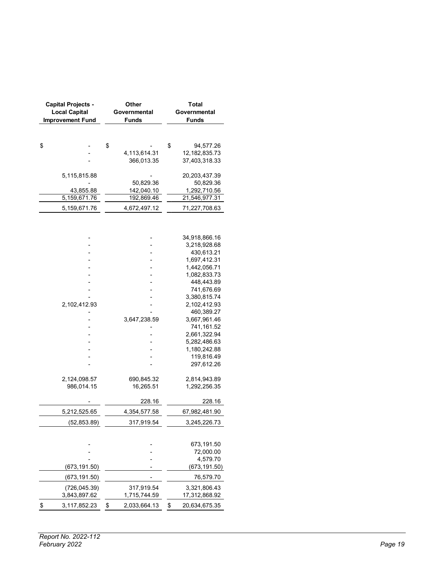| <b>Capital Projects -</b><br><b>Local Capital</b><br><b>Improvement Fund</b> | Other<br>Governmental<br><b>Funds</b> | Total<br>Governmental<br><b>Funds</b> |                            |
|------------------------------------------------------------------------------|---------------------------------------|---------------------------------------|----------------------------|
|                                                                              |                                       |                                       |                            |
|                                                                              |                                       |                                       |                            |
| \$                                                                           | \$                                    | \$                                    | 94,577.26                  |
|                                                                              | 4,113,614.31                          |                                       | 12, 182, 835. 73           |
|                                                                              | 366,013.35                            |                                       | 37,403,318.33              |
| 5,115,815.88                                                                 |                                       |                                       | 20,203,437.39              |
|                                                                              | 50,829.36                             |                                       | 50,829.36                  |
| 43,855.88                                                                    | 142,040.10                            |                                       | 1,292,710.56               |
| 5,159,671.76                                                                 | 192,869.46                            |                                       | 21,546,977.31              |
| 5,159,671.76                                                                 | 4,672,497.12                          |                                       | 71,227,708.63              |
|                                                                              |                                       |                                       |                            |
|                                                                              |                                       |                                       | 34,918,866.16              |
|                                                                              |                                       |                                       | 3,218,928.68               |
|                                                                              |                                       |                                       | 430,613.21                 |
|                                                                              |                                       |                                       | 1,697,412.31               |
|                                                                              |                                       |                                       | 1,442,056.71               |
|                                                                              |                                       |                                       | 1,082,833.73               |
|                                                                              |                                       |                                       | 448,443.89                 |
|                                                                              |                                       |                                       | 741,676.69<br>3,380,815.74 |
| 2,102,412.93                                                                 |                                       |                                       | 2,102,412.93               |
|                                                                              |                                       |                                       | 460,389.27                 |
|                                                                              | 3,647,238.59                          |                                       | 3,667,961.46               |
|                                                                              |                                       |                                       | 741,161.52                 |
|                                                                              |                                       |                                       | 2,661,322.94               |
|                                                                              |                                       |                                       | 5,282,486.63               |
|                                                                              |                                       |                                       | 1,180,242.88               |
|                                                                              |                                       |                                       | 119,816.49                 |
|                                                                              |                                       |                                       | 297,612.26                 |
| 2,124,098.57                                                                 | 690,845.32                            |                                       | 2,814,943.89               |
| 986,014.15                                                                   | 16,265.51                             |                                       | 1,292,256.35               |
|                                                                              |                                       |                                       |                            |
|                                                                              | 228.16                                |                                       | 228.16                     |
| 5,212,525.65                                                                 | 4,354,577.58                          |                                       | 67,982,481.90              |
| (52, 853.89)                                                                 | 317,919.54                            |                                       | 3,245,226.73               |
|                                                                              |                                       |                                       |                            |
|                                                                              |                                       |                                       | 673,191.50                 |
|                                                                              |                                       |                                       | 72,000.00                  |
|                                                                              |                                       |                                       | 4,579.70                   |
| (673,191.50)                                                                 |                                       |                                       | (673, 191.50)              |
| (673, 191.50)                                                                |                                       |                                       | 76,579.70                  |
| (726,045.39)                                                                 | 317,919.54                            |                                       | 3,321,806.43               |
| 3,843,897.62                                                                 | 1,715,744.59                          |                                       | 17,312,868.92              |
| \$<br>3,117,852.23                                                           | \$<br>2,033,664.13                    | \$                                    | 20,634,675.35              |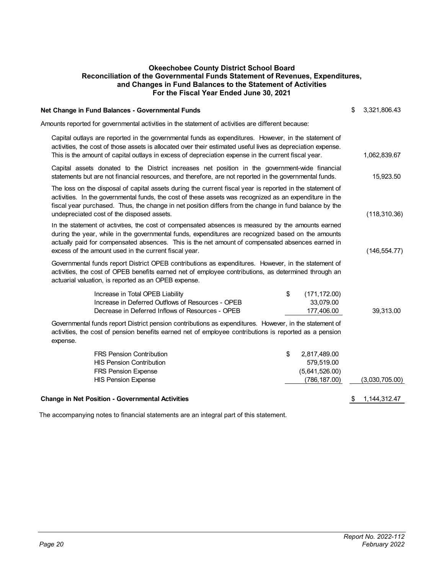#### <span id="page-25-0"></span>**Okeechobee County District School Board Reconciliation of the Governmental Funds Statement of Revenues, Expenditures, and Changes in Fund Balances to the Statement of Activities For the Fiscal Year Ended June 30, 2021**

| Net Change in Fund Balances - Governmental Funds                                                                                                                                                                                                                                                                                                                             | \$<br>3,321,806.43 |
|------------------------------------------------------------------------------------------------------------------------------------------------------------------------------------------------------------------------------------------------------------------------------------------------------------------------------------------------------------------------------|--------------------|
| Amounts reported for governmental activities in the statement of activities are different because:                                                                                                                                                                                                                                                                           |                    |
| Capital outlays are reported in the governmental funds as expenditures. However, in the statement of<br>activities, the cost of those assets is allocated over their estimated useful lives as depreciation expense.<br>This is the amount of capital outlays in excess of depreciation expense in the current fiscal year.                                                  | 1,062,839.67       |
| Capital assets donated to the District increases net position in the government-wide financial<br>statements but are not financial resources, and therefore, are not reported in the governmental funds.                                                                                                                                                                     | 15,923.50          |
| The loss on the disposal of capital assets during the current fiscal year is reported in the statement of<br>activities. In the governmental funds, the cost of these assets was recognized as an expenditure in the<br>fiscal year purchased. Thus, the change in net position differs from the change in fund balance by the<br>undepreciated cost of the disposed assets. | (118, 310.36)      |
| In the statement of activities, the cost of compensated absences is measured by the amounts earned<br>during the year, while in the governmental funds, expenditures are recognized based on the amounts<br>actually paid for compensated absences. This is the net amount of compensated absences earned in<br>excess of the amount used in the current fiscal year.        | (146, 554.77)      |
| Governmental funds report District OPEB contributions as expenditures. However, in the statement of<br>activities, the cost of OPEB benefits earned net of employee contributions, as determined through an<br>actuarial valuation, is reported as an OPEB expense.                                                                                                          |                    |
| \$<br>Increase in Total OPEB Liability<br>(171, 172.00)<br>Increase in Deferred Outflows of Resources - OPEB<br>33,079.00<br>Decrease in Deferred Inflows of Resources - OPEB<br>177,406.00                                                                                                                                                                                  | 39,313.00          |
| Governmental funds report District pension contributions as expenditures. However, in the statement of<br>activities, the cost of pension benefits earned net of employee contributions is reported as a pension<br>expense.                                                                                                                                                 |                    |
| <b>FRS Pension Contribution</b><br>\$<br>2,817,489.00<br><b>HIS Pension Contribution</b><br>579,519.00<br>(5,641,526.00)<br>FRS Pension Expense<br><b>HIS Pension Expense</b><br>(786, 187.00)                                                                                                                                                                               | (3,030,705.00)     |
| <b>Change in Net Position - Governmental Activities</b>                                                                                                                                                                                                                                                                                                                      | \$<br>1,144,312.47 |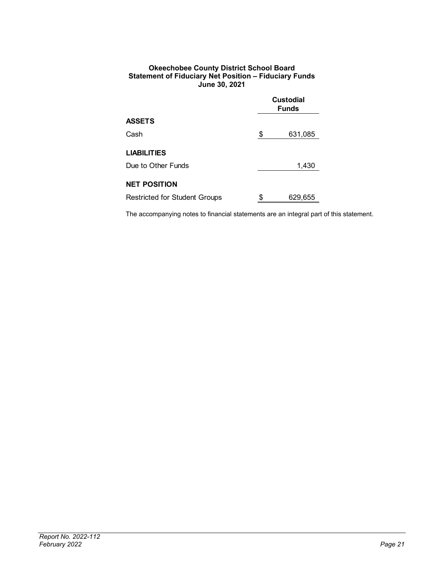#### <span id="page-26-0"></span>**Okeechobee County District School Board Statement of Fiduciary Net Position – Fiduciary Funds June 30, 2021**

|                                      | <b>Custodial</b><br><b>Funds</b> |  |  |  |
|--------------------------------------|----------------------------------|--|--|--|
| <b>ASSETS</b>                        |                                  |  |  |  |
| Cash                                 | \$<br>631,085                    |  |  |  |
| <b>LIABILITIES</b>                   |                                  |  |  |  |
| Due to Other Funds                   | 1,430                            |  |  |  |
| <b>NET POSITION</b>                  |                                  |  |  |  |
| <b>Restricted for Student Groups</b> | \$<br>629,655                    |  |  |  |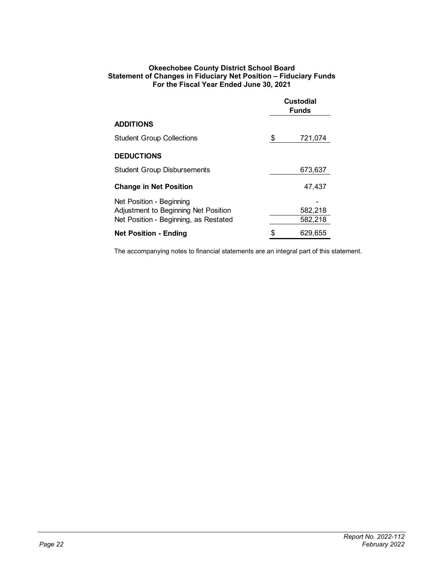#### <span id="page-27-0"></span>**Okeechobee County District School Board Statement of Changes in Fiduciary Net Position – Fiduciary Funds For the Fiscal Year Ended June 30, 2021**

|                                                                  | <b>Custodial</b><br><b>Funds</b> |  |  |  |
|------------------------------------------------------------------|----------------------------------|--|--|--|
| <b>ADDITIONS</b>                                                 |                                  |  |  |  |
| <b>Student Group Collections</b>                                 | \$<br>721,074                    |  |  |  |
| <b>DEDUCTIONS</b>                                                |                                  |  |  |  |
| <b>Student Group Disbursements</b>                               | 673,637                          |  |  |  |
| <b>Change in Net Position</b>                                    | 47,437                           |  |  |  |
| Net Position - Beginning<br>Adjustment to Beginning Net Position | 582,218                          |  |  |  |
| Net Position - Beginning, as Restated                            | 582,218                          |  |  |  |
| <b>Net Position - Ending</b>                                     | \$<br>629.655                    |  |  |  |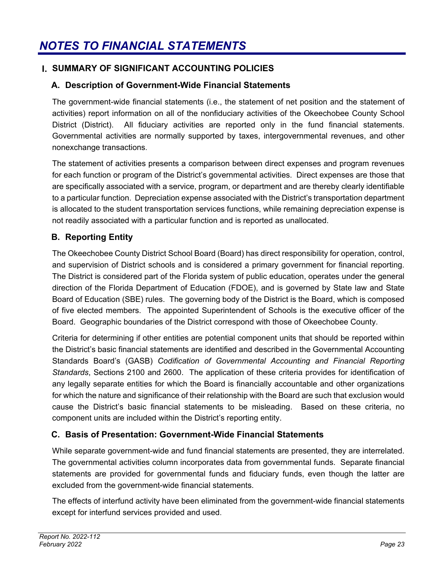#### <span id="page-28-0"></span> **SUMMARY OF SIGNIFICANT ACCOUNTING POLICIES**

#### **A. Description of Government-Wide Financial Statements**

The government-wide financial statements (i.e., the statement of net position and the statement of activities) report information on all of the nonfiduciary activities of the Okeechobee County School District (District). All fiduciary activities are reported only in the fund financial statements. Governmental activities are normally supported by taxes, intergovernmental revenues, and other nonexchange transactions.

The statement of activities presents a comparison between direct expenses and program revenues for each function or program of the District's governmental activities. Direct expenses are those that are specifically associated with a service, program, or department and are thereby clearly identifiable to a particular function. Depreciation expense associated with the District's transportation department is allocated to the student transportation services functions, while remaining depreciation expense is not readily associated with a particular function and is reported as unallocated.

#### **B. Reporting Entity**

The Okeechobee County District School Board (Board) has direct responsibility for operation, control, and supervision of District schools and is considered a primary government for financial reporting. The District is considered part of the Florida system of public education, operates under the general direction of the Florida Department of Education (FDOE), and is governed by State law and State Board of Education (SBE) rules. The governing body of the District is the Board, which is composed of five elected members. The appointed Superintendent of Schools is the executive officer of the Board. Geographic boundaries of the District correspond with those of Okeechobee County.

Criteria for determining if other entities are potential component units that should be reported within the District's basic financial statements are identified and described in the Governmental Accounting Standards Board's (GASB) *Codification of Governmental Accounting and Financial Reporting Standards*, Sections 2100 and 2600. The application of these criteria provides for identification of any legally separate entities for which the Board is financially accountable and other organizations for which the nature and significance of their relationship with the Board are such that exclusion would cause the District's basic financial statements to be misleading. Based on these criteria, no component units are included within the District's reporting entity.

#### **C. Basis of Presentation: Government-Wide Financial Statements**

While separate government-wide and fund financial statements are presented, they are interrelated. The governmental activities column incorporates data from governmental funds. Separate financial statements are provided for governmental funds and fiduciary funds, even though the latter are excluded from the government-wide financial statements.

The effects of interfund activity have been eliminated from the government-wide financial statements except for interfund services provided and used.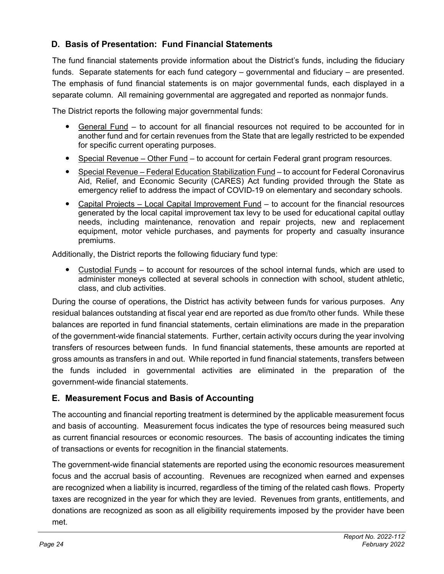### **D. Basis of Presentation: Fund Financial Statements**

The fund financial statements provide information about the District's funds, including the fiduciary funds. Separate statements for each fund category – governmental and fiduciary – are presented. The emphasis of fund financial statements is on major governmental funds, each displayed in a separate column. All remaining governmental are aggregated and reported as nonmajor funds.

The District reports the following major governmental funds:

- General Fund to account for all financial resources not required to be accounted for in another fund and for certain revenues from the State that are legally restricted to be expended for specific current operating purposes.
- Special Revenue Other Fund to account for certain Federal grant program resources.
- Special Revenue Federal Education Stabilization Fund to account for Federal Coronavirus Aid, Relief, and Economic Security (CARES) Act funding provided through the State as emergency relief to address the impact of COVID-19 on elementary and secondary schools.
- Capital Projects Local Capital Improvement Fund to account for the financial resources generated by the local capital improvement tax levy to be used for educational capital outlay needs, including maintenance, renovation and repair projects, new and replacement equipment, motor vehicle purchases, and payments for property and casualty insurance premiums.

Additionally, the District reports the following fiduciary fund type:

 Custodial Funds – to account for resources of the school internal funds, which are used to administer moneys collected at several schools in connection with school, student athletic, class, and club activities.

During the course of operations, the District has activity between funds for various purposes. Any residual balances outstanding at fiscal year end are reported as due from/to other funds. While these balances are reported in fund financial statements, certain eliminations are made in the preparation of the government-wide financial statements. Further, certain activity occurs during the year involving transfers of resources between funds. In fund financial statements, these amounts are reported at gross amounts as transfers in and out. While reported in fund financial statements, transfers between the funds included in governmental activities are eliminated in the preparation of the government-wide financial statements.

#### **E. Measurement Focus and Basis of Accounting**

The accounting and financial reporting treatment is determined by the applicable measurement focus and basis of accounting. Measurement focus indicates the type of resources being measured such as current financial resources or economic resources. The basis of accounting indicates the timing of transactions or events for recognition in the financial statements.

The government-wide financial statements are reported using the economic resources measurement focus and the accrual basis of accounting. Revenues are recognized when earned and expenses are recognized when a liability is incurred, regardless of the timing of the related cash flows. Property taxes are recognized in the year for which they are levied. Revenues from grants, entitlements, and donations are recognized as soon as all eligibility requirements imposed by the provider have been met.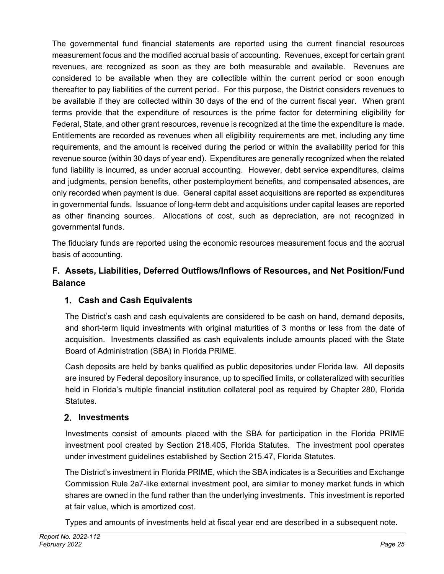The governmental fund financial statements are reported using the current financial resources measurement focus and the modified accrual basis of accounting. Revenues, except for certain grant revenues, are recognized as soon as they are both measurable and available. Revenues are considered to be available when they are collectible within the current period or soon enough thereafter to pay liabilities of the current period. For this purpose, the District considers revenues to be available if they are collected within 30 days of the end of the current fiscal year. When grant terms provide that the expenditure of resources is the prime factor for determining eligibility for Federal, State, and other grant resources, revenue is recognized at the time the expenditure is made. Entitlements are recorded as revenues when all eligibility requirements are met, including any time requirements, and the amount is received during the period or within the availability period for this revenue source (within 30 days of year end). Expenditures are generally recognized when the related fund liability is incurred, as under accrual accounting. However, debt service expenditures, claims and judgments, pension benefits, other postemployment benefits, and compensated absences, are only recorded when payment is due. General capital asset acquisitions are reported as expenditures in governmental funds. Issuance of long-term debt and acquisitions under capital leases are reported as other financing sources. Allocations of cost, such as depreciation, are not recognized in governmental funds.

The fiduciary funds are reported using the economic resources measurement focus and the accrual basis of accounting.

# **F. Assets, Liabilities, Deferred Outflows/Inflows of Resources, and Net Position/Fund Balance**

# **Cash and Cash Equivalents**

The District's cash and cash equivalents are considered to be cash on hand, demand deposits, and short-term liquid investments with original maturities of 3 months or less from the date of acquisition. Investments classified as cash equivalents include amounts placed with the State Board of Administration (SBA) in Florida PRIME.

Cash deposits are held by banks qualified as public depositories under Florida law. All deposits are insured by Federal depository insurance, up to specified limits, or collateralized with securities held in Florida's multiple financial institution collateral pool as required by Chapter 280, Florida Statutes.

## **Investments**

Investments consist of amounts placed with the SBA for participation in the Florida PRIME investment pool created by Section 218.405, Florida Statutes. The investment pool operates under investment guidelines established by Section 215.47, Florida Statutes.

The District's investment in Florida PRIME, which the SBA indicates is a Securities and Exchange Commission Rule 2a7-like external investment pool, are similar to money market funds in which shares are owned in the fund rather than the underlying investments. This investment is reported at fair value, which is amortized cost.

Types and amounts of investments held at fiscal year end are described in a subsequent note.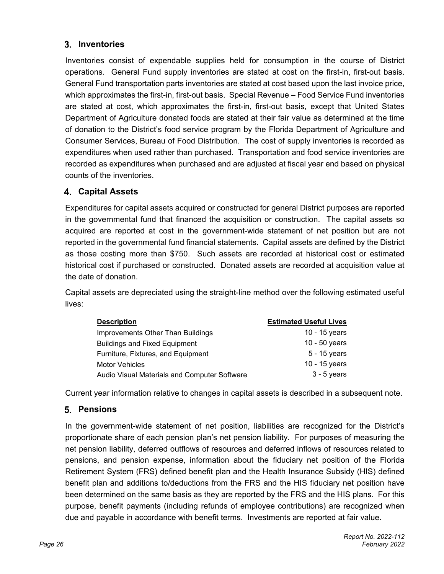#### **Inventories**

Inventories consist of expendable supplies held for consumption in the course of District operations. General Fund supply inventories are stated at cost on the first-in, first-out basis. General Fund transportation parts inventories are stated at cost based upon the last invoice price, which approximates the first-in, first-out basis. Special Revenue – Food Service Fund inventories are stated at cost, which approximates the first-in, first-out basis, except that United States Department of Agriculture donated foods are stated at their fair value as determined at the time of donation to the District's food service program by the Florida Department of Agriculture and Consumer Services, Bureau of Food Distribution. The cost of supply inventories is recorded as expenditures when used rather than purchased. Transportation and food service inventories are recorded as expenditures when purchased and are adjusted at fiscal year end based on physical counts of the inventories.

#### **Capital Assets**

Expenditures for capital assets acquired or constructed for general District purposes are reported in the governmental fund that financed the acquisition or construction. The capital assets so acquired are reported at cost in the government-wide statement of net position but are not reported in the governmental fund financial statements. Capital assets are defined by the District as those costing more than \$750. Such assets are recorded at historical cost or estimated historical cost if purchased or constructed. Donated assets are recorded at acquisition value at the date of donation.

Capital assets are depreciated using the straight-line method over the following estimated useful lives:

| <b>Description</b>                           | <b>Estimated Useful Lives</b> |
|----------------------------------------------|-------------------------------|
| Improvements Other Than Buildings            | 10 - 15 years                 |
| <b>Buildings and Fixed Equipment</b>         | 10 - 50 years                 |
| Furniture, Fixtures, and Equipment           | 5 - 15 years                  |
| <b>Motor Vehicles</b>                        | 10 - 15 years                 |
| Audio Visual Materials and Computer Software | $3 - 5$ years                 |

Current year information relative to changes in capital assets is described in a subsequent note.

#### **Pensions**

In the government-wide statement of net position, liabilities are recognized for the District's proportionate share of each pension plan's net pension liability. For purposes of measuring the net pension liability, deferred outflows of resources and deferred inflows of resources related to pensions, and pension expense, information about the fiduciary net position of the Florida Retirement System (FRS) defined benefit plan and the Health Insurance Subsidy (HIS) defined benefit plan and additions to/deductions from the FRS and the HIS fiduciary net position have been determined on the same basis as they are reported by the FRS and the HIS plans. For this purpose, benefit payments (including refunds of employee contributions) are recognized when due and payable in accordance with benefit terms. Investments are reported at fair value.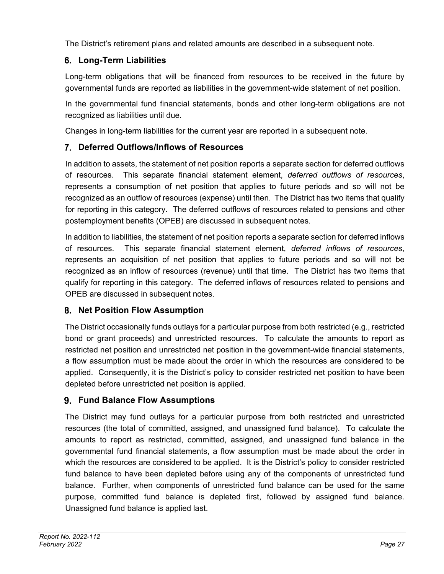The District's retirement plans and related amounts are described in a subsequent note.

# **Long-Term Liabilities**

Long-term obligations that will be financed from resources to be received in the future by governmental funds are reported as liabilities in the government-wide statement of net position.

In the governmental fund financial statements, bonds and other long-term obligations are not recognized as liabilities until due.

Changes in long-term liabilities for the current year are reported in a subsequent note.

# **Deferred Outflows/Inflows of Resources**

In addition to assets, the statement of net position reports a separate section for deferred outflows of resources. This separate financial statement element, *deferred outflows of resources*, represents a consumption of net position that applies to future periods and so will not be recognized as an outflow of resources (expense) until then. The District has two items that qualify for reporting in this category. The deferred outflows of resources related to pensions and other postemployment benefits (OPEB) are discussed in subsequent notes.

In addition to liabilities, the statement of net position reports a separate section for deferred inflows of resources. This separate financial statement element, *deferred inflows of resources*, represents an acquisition of net position that applies to future periods and so will not be recognized as an inflow of resources (revenue) until that time. The District has two items that qualify for reporting in this category. The deferred inflows of resources related to pensions and OPEB are discussed in subsequent notes.

# **Net Position Flow Assumption**

The District occasionally funds outlays for a particular purpose from both restricted (e.g., restricted bond or grant proceeds) and unrestricted resources. To calculate the amounts to report as restricted net position and unrestricted net position in the government-wide financial statements, a flow assumption must be made about the order in which the resources are considered to be applied. Consequently, it is the District's policy to consider restricted net position to have been depleted before unrestricted net position is applied.

# **Fund Balance Flow Assumptions**

The District may fund outlays for a particular purpose from both restricted and unrestricted resources (the total of committed, assigned, and unassigned fund balance). To calculate the amounts to report as restricted, committed, assigned, and unassigned fund balance in the governmental fund financial statements, a flow assumption must be made about the order in which the resources are considered to be applied. It is the District's policy to consider restricted fund balance to have been depleted before using any of the components of unrestricted fund balance. Further, when components of unrestricted fund balance can be used for the same purpose, committed fund balance is depleted first, followed by assigned fund balance. Unassigned fund balance is applied last.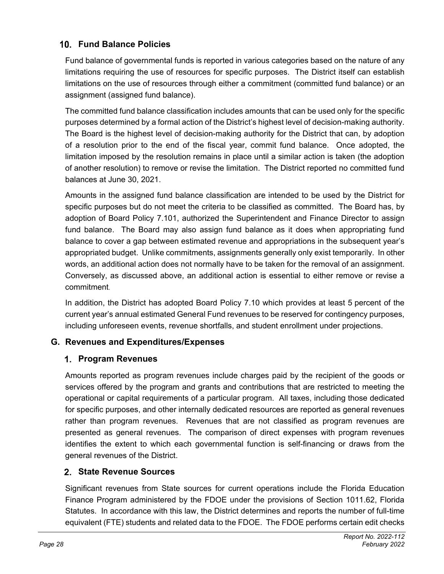# **Fund Balance Policies**

Fund balance of governmental funds is reported in various categories based on the nature of any limitations requiring the use of resources for specific purposes. The District itself can establish limitations on the use of resources through either a commitment (committed fund balance) or an assignment (assigned fund balance).

The committed fund balance classification includes amounts that can be used only for the specific purposes determined by a formal action of the District's highest level of decision-making authority. The Board is the highest level of decision-making authority for the District that can, by adoption of a resolution prior to the end of the fiscal year, commit fund balance. Once adopted, the limitation imposed by the resolution remains in place until a similar action is taken (the adoption of another resolution) to remove or revise the limitation. The District reported no committed fund balances at June 30, 2021.

Amounts in the assigned fund balance classification are intended to be used by the District for specific purposes but do not meet the criteria to be classified as committed. The Board has, by adoption of Board Policy 7.101, authorized the Superintendent and Finance Director to assign fund balance. The Board may also assign fund balance as it does when appropriating fund balance to cover a gap between estimated revenue and appropriations in the subsequent year's appropriated budget. Unlike commitments, assignments generally only exist temporarily. In other words, an additional action does not normally have to be taken for the removal of an assignment. Conversely, as discussed above, an additional action is essential to either remove or revise a commitment.

In addition, the District has adopted Board Policy 7.10 which provides at least 5 percent of the current year's annual estimated General Fund revenues to be reserved for contingency purposes, including unforeseen events, revenue shortfalls, and student enrollment under projections.

## **G. Revenues and Expenditures/Expenses**

#### **Program Revenues**

Amounts reported as program revenues include charges paid by the recipient of the goods or services offered by the program and grants and contributions that are restricted to meeting the operational or capital requirements of a particular program. All taxes, including those dedicated for specific purposes, and other internally dedicated resources are reported as general revenues rather than program revenues. Revenues that are not classified as program revenues are presented as general revenues. The comparison of direct expenses with program revenues identifies the extent to which each governmental function is self-financing or draws from the general revenues of the District.

## **State Revenue Sources**

Significant revenues from State sources for current operations include the Florida Education Finance Program administered by the FDOE under the provisions of Section 1011.62, Florida Statutes. In accordance with this law, the District determines and reports the number of full-time equivalent (FTE) students and related data to the FDOE. The FDOE performs certain edit checks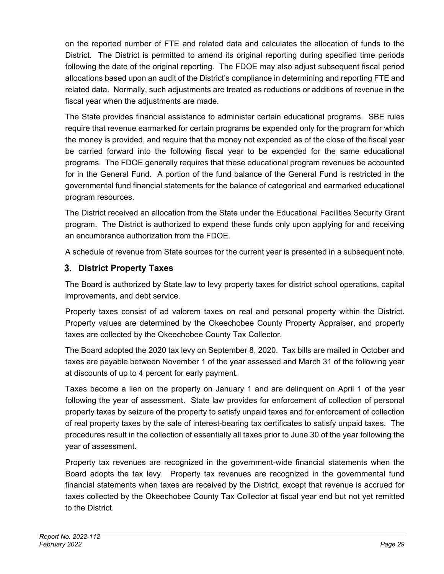on the reported number of FTE and related data and calculates the allocation of funds to the District. The District is permitted to amend its original reporting during specified time periods following the date of the original reporting. The FDOE may also adjust subsequent fiscal period allocations based upon an audit of the District's compliance in determining and reporting FTE and related data. Normally, such adjustments are treated as reductions or additions of revenue in the fiscal year when the adjustments are made.

The State provides financial assistance to administer certain educational programs. SBE rules require that revenue earmarked for certain programs be expended only for the program for which the money is provided, and require that the money not expended as of the close of the fiscal year be carried forward into the following fiscal year to be expended for the same educational programs. The FDOE generally requires that these educational program revenues be accounted for in the General Fund. A portion of the fund balance of the General Fund is restricted in the governmental fund financial statements for the balance of categorical and earmarked educational program resources.

The District received an allocation from the State under the Educational Facilities Security Grant program. The District is authorized to expend these funds only upon applying for and receiving an encumbrance authorization from the FDOE.

A schedule of revenue from State sources for the current year is presented in a subsequent note.

# **District Property Taxes**

The Board is authorized by State law to levy property taxes for district school operations, capital improvements, and debt service.

Property taxes consist of ad valorem taxes on real and personal property within the District. Property values are determined by the Okeechobee County Property Appraiser, and property taxes are collected by the Okeechobee County Tax Collector.

The Board adopted the 2020 tax levy on September 8, 2020. Tax bills are mailed in October and taxes are payable between November 1 of the year assessed and March 31 of the following year at discounts of up to 4 percent for early payment.

Taxes become a lien on the property on January 1 and are delinquent on April 1 of the year following the year of assessment. State law provides for enforcement of collection of personal property taxes by seizure of the property to satisfy unpaid taxes and for enforcement of collection of real property taxes by the sale of interest-bearing tax certificates to satisfy unpaid taxes. The procedures result in the collection of essentially all taxes prior to June 30 of the year following the year of assessment.

Property tax revenues are recognized in the government-wide financial statements when the Board adopts the tax levy. Property tax revenues are recognized in the governmental fund financial statements when taxes are received by the District, except that revenue is accrued for taxes collected by the Okeechobee County Tax Collector at fiscal year end but not yet remitted to the District.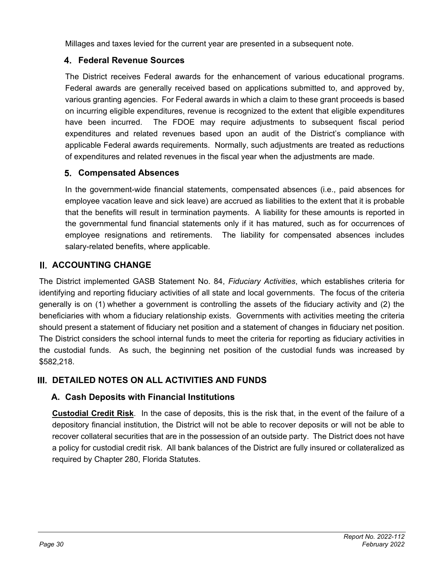Millages and taxes levied for the current year are presented in a subsequent note.

#### **Federal Revenue Sources**

The District receives Federal awards for the enhancement of various educational programs. Federal awards are generally received based on applications submitted to, and approved by, various granting agencies. For Federal awards in which a claim to these grant proceeds is based on incurring eligible expenditures, revenue is recognized to the extent that eligible expenditures have been incurred. The FDOE may require adjustments to subsequent fiscal period expenditures and related revenues based upon an audit of the District's compliance with applicable Federal awards requirements. Normally, such adjustments are treated as reductions of expenditures and related revenues in the fiscal year when the adjustments are made.

#### **Compensated Absences**

In the government-wide financial statements, compensated absences (i.e., paid absences for employee vacation leave and sick leave) are accrued as liabilities to the extent that it is probable that the benefits will result in termination payments. A liability for these amounts is reported in the governmental fund financial statements only if it has matured, such as for occurrences of employee resignations and retirements. The liability for compensated absences includes salary-related benefits, where applicable.

#### **II. ACCOUNTING CHANGE**

The District implemented GASB Statement No. 84, *Fiduciary Activities*, which establishes criteria for identifying and reporting fiduciary activities of all state and local governments. The focus of the criteria generally is on (1) whether a government is controlling the assets of the fiduciary activity and (2) the beneficiaries with whom a fiduciary relationship exists. Governments with activities meeting the criteria should present a statement of fiduciary net position and a statement of changes in fiduciary net position. The District considers the school internal funds to meet the criteria for reporting as fiduciary activities in the custodial funds. As such, the beginning net position of the custodial funds was increased by \$582,218.

#### **DETAILED NOTES ON ALL ACTIVITIES AND FUNDS**

#### **A. Cash Deposits with Financial Institutions**

**Custodial Credit Risk**. In the case of deposits, this is the risk that, in the event of the failure of a depository financial institution, the District will not be able to recover deposits or will not be able to recover collateral securities that are in the possession of an outside party. The District does not have a policy for custodial credit risk. All bank balances of the District are fully insured or collateralized as required by Chapter 280, Florida Statutes.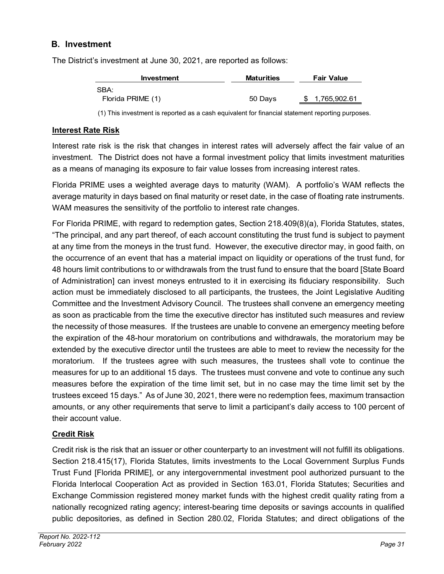#### **B. Investment**

The District's investment at June 30, 2021, are reported as follows:

| <b>Investment</b> | <b>Maturities</b> | <b>Fair Value</b> |
|-------------------|-------------------|-------------------|
| SBA:              |                   |                   |
| Florida PRIME (1) | 50 Days           | \$ 1,765,902.61   |

(1) This investment is reported as a cash equivalent for financial statement reporting purposes.

#### **Interest Rate Risk**

Interest rate risk is the risk that changes in interest rates will adversely affect the fair value of an investment. The District does not have a formal investment policy that limits investment maturities as a means of managing its exposure to fair value losses from increasing interest rates.

Florida PRIME uses a weighted average days to maturity (WAM). A portfolio's WAM reflects the average maturity in days based on final maturity or reset date, in the case of floating rate instruments. WAM measures the sensitivity of the portfolio to interest rate changes.

For Florida PRIME, with regard to redemption gates, Section 218.409(8)(a), Florida Statutes, states, "The principal, and any part thereof, of each account constituting the trust fund is subject to payment at any time from the moneys in the trust fund. However, the executive director may, in good faith, on the occurrence of an event that has a material impact on liquidity or operations of the trust fund, for 48 hours limit contributions to or withdrawals from the trust fund to ensure that the board [State Board of Administration] can invest moneys entrusted to it in exercising its fiduciary responsibility. Such action must be immediately disclosed to all participants, the trustees, the Joint Legislative Auditing Committee and the Investment Advisory Council. The trustees shall convene an emergency meeting as soon as practicable from the time the executive director has instituted such measures and review the necessity of those measures. If the trustees are unable to convene an emergency meeting before the expiration of the 48-hour moratorium on contributions and withdrawals, the moratorium may be extended by the executive director until the trustees are able to meet to review the necessity for the moratorium. If the trustees agree with such measures, the trustees shall vote to continue the measures for up to an additional 15 days. The trustees must convene and vote to continue any such measures before the expiration of the time limit set, but in no case may the time limit set by the trustees exceed 15 days." As of June 30, 2021, there were no redemption fees, maximum transaction amounts, or any other requirements that serve to limit a participant's daily access to 100 percent of their account value.

#### **Credit Risk**

Credit risk is the risk that an issuer or other counterparty to an investment will not fulfill its obligations. Section 218.415(17), Florida Statutes, limits investments to the Local Government Surplus Funds Trust Fund [Florida PRIME], or any intergovernmental investment pool authorized pursuant to the Florida Interlocal Cooperation Act as provided in Section 163.01, Florida Statutes; Securities and Exchange Commission registered money market funds with the highest credit quality rating from a nationally recognized rating agency; interest-bearing time deposits or savings accounts in qualified public depositories, as defined in Section 280.02, Florida Statutes; and direct obligations of the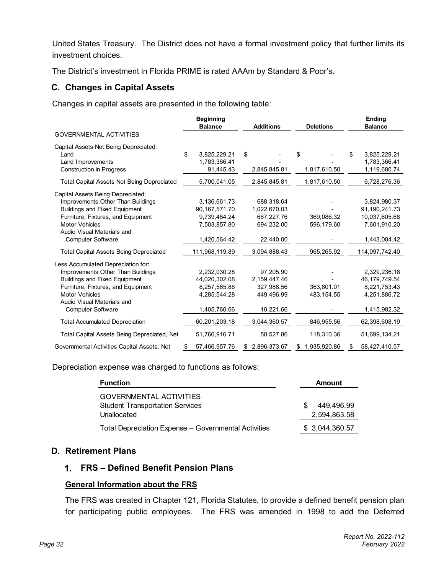United States Treasury. The District does not have a formal investment policy that further limits its investment choices.

The District's investment in Florida PRIME is rated AAAm by Standard & Poor's.

#### **C. Changes in Capital Assets**

Changes in capital assets are presented in the following table:

|                                                   | <b>Beginning</b><br><b>Balance</b> | <b>Additions</b> | <b>Deletions</b>   | <b>Ending</b><br><b>Balance</b> |
|---------------------------------------------------|------------------------------------|------------------|--------------------|---------------------------------|
| <b>GOVERNMENTAL ACTIVITIES</b>                    |                                    |                  |                    |                                 |
| Capital Assets Not Being Depreciated:             |                                    |                  |                    |                                 |
| Land                                              | \$<br>3,825,229.21                 | \$               | \$                 | \$<br>3,825,229.21              |
| Land Improvements                                 | 1,783,366.41                       |                  |                    | 1,783,366.41                    |
| <b>Construction in Progress</b>                   | 91,445.43                          | 2,845,845.81     | 1,817,610.50       | 1,119,680.74                    |
| <b>Total Capital Assets Not Being Depreciated</b> | 5,700,041.05                       | 2,845,845.81     | 1,817,610.50       | 6,728,276.36                    |
| Capital Assets Being Depreciated:                 |                                    |                  |                    |                                 |
| Improvements Other Than Buildings                 | 3,136,661.73                       | 688.318.64       |                    | 3,824,980.37                    |
| <b>Buildings and Fixed Equipment</b>              | 90, 167, 571. 70                   | 1,022,670.03     |                    | 91,190,241.73                   |
| Furniture, Fixtures, and Equipment                | 9,739,464.24                       | 667,227.76       | 369,086.32         | 10,037,605.68                   |
| <b>Motor Vehicles</b>                             | 7,503,857.80                       | 694,232.00       | 596,179.60         | 7,601,910.20                    |
| Audio Visual Materials and                        |                                    |                  |                    |                                 |
| <b>Computer Software</b>                          | 1,420,564.42                       | 22,440.00        |                    | 1,443,004.42                    |
| <b>Total Capital Assets Being Depreciated</b>     | 111,968,119.89                     | 3,094,888.43     | 965,265.92         | 114,097,742.40                  |
| Less Accumulated Depreciation for:                |                                    |                  |                    |                                 |
| Improvements Other Than Buildings                 | 2.232.030.28                       | 97,205.90        |                    | 2,329,236.18                    |
| <b>Buildings and Fixed Equipment</b>              | 44,020,302.08                      | 2,159,447.46     |                    | 46, 179, 749.54                 |
| Furniture, Fixtures, and Equipment                | 8,257,565.88                       | 327.988.56       | 363.801.01         | 8,221,753.43                    |
| <b>Motor Vehicles</b>                             | 4,285,544.28                       | 449,496.99       | 483, 154.55        | 4,251,886.72                    |
| Audio Visual Materials and                        |                                    |                  |                    |                                 |
| <b>Computer Software</b>                          | 1,405,760.66                       | 10,221.66        |                    | 1,415,982.32                    |
| <b>Total Accumulated Depreciation</b>             | 60,201,203.18                      | 3,044,360.57     | 846,955.56         | 62,398,608.19                   |
| Total Capital Assets Being Depreciated, Net       | 51,766,916.71                      | 50,527.86        | 118,310.36         | 51,699,134.21                   |
| Governmental Activities Capital Assets, Net       | \$<br>57,466,957.76                | \$2,896,373.67   | \$<br>1,935,920.86 | \$<br>58,427,410.57             |

Depreciation expense was charged to functions as follows:

| <b>Function</b>                                      | Amount |                |  |  |
|------------------------------------------------------|--------|----------------|--|--|
| <b>GOVERNMENTAL ACTIVITIES</b>                       |        |                |  |  |
| <b>Student Transportation Services</b>               |        | 449.496.99     |  |  |
| Unallocated                                          |        | 2,594,863.58   |  |  |
| Total Depreciation Expense - Governmental Activities |        | \$3,044,360.57 |  |  |

#### **D. Retirement Plans**

#### **FRS – Defined Benefit Pension Plans**

#### **General Information about the FRS**

The FRS was created in Chapter 121, Florida Statutes, to provide a defined benefit pension plan for participating public employees. The FRS was amended in 1998 to add the Deferred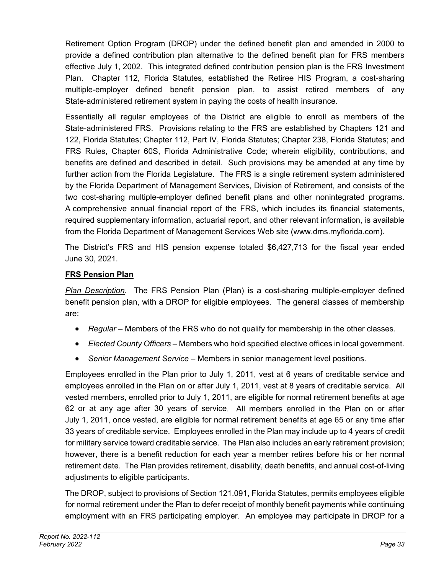Retirement Option Program (DROP) under the defined benefit plan and amended in 2000 to provide a defined contribution plan alternative to the defined benefit plan for FRS members effective July 1, 2002. This integrated defined contribution pension plan is the FRS Investment Plan. Chapter 112, Florida Statutes, established the Retiree HIS Program, a cost-sharing multiple-employer defined benefit pension plan, to assist retired members of any State-administered retirement system in paying the costs of health insurance.

Essentially all regular employees of the District are eligible to enroll as members of the State-administered FRS. Provisions relating to the FRS are established by Chapters 121 and 122, Florida Statutes; Chapter 112, Part IV, Florida Statutes; Chapter 238, Florida Statutes; and FRS Rules, Chapter 60S, Florida Administrative Code; wherein eligibility, contributions, and benefits are defined and described in detail. Such provisions may be amended at any time by further action from the Florida Legislature. The FRS is a single retirement system administered by the Florida Department of Management Services, Division of Retirement, and consists of the two cost-sharing multiple-employer defined benefit plans and other nonintegrated programs. A comprehensive annual financial report of the FRS, which includes its financial statements, required supplementary information, actuarial report, and other relevant information, is available from the Florida Department of Management Services Web site (www.dms.myflorida.com).

The District's FRS and HIS pension expense totaled \$6,427,713 for the fiscal year ended June 30, 2021.

#### **FRS Pension Plan**

*Plan Description*. The FRS Pension Plan (Plan) is a cost-sharing multiple-employer defined benefit pension plan, with a DROP for eligible employees. The general classes of membership are:

- *Regular* Members of the FRS who do not qualify for membership in the other classes.
- *Elected County Officers* Members who hold specified elective offices in local government.
- *Senior Management Service*  Members in senior management level positions.

Employees enrolled in the Plan prior to July 1, 2011, vest at 6 years of creditable service and employees enrolled in the Plan on or after July 1, 2011, vest at 8 years of creditable service. All vested members, enrolled prior to July 1, 2011, are eligible for normal retirement benefits at age 62 or at any age after 30 years of service. All members enrolled in the Plan on or after July 1, 2011, once vested, are eligible for normal retirement benefits at age 65 or any time after 33 years of creditable service. Employees enrolled in the Plan may include up to 4 years of credit for military service toward creditable service. The Plan also includes an early retirement provision; however, there is a benefit reduction for each year a member retires before his or her normal retirement date. The Plan provides retirement, disability, death benefits, and annual cost-of-living adjustments to eligible participants.

The DROP, subject to provisions of Section 121.091, Florida Statutes, permits employees eligible for normal retirement under the Plan to defer receipt of monthly benefit payments while continuing employment with an FRS participating employer. An employee may participate in DROP for a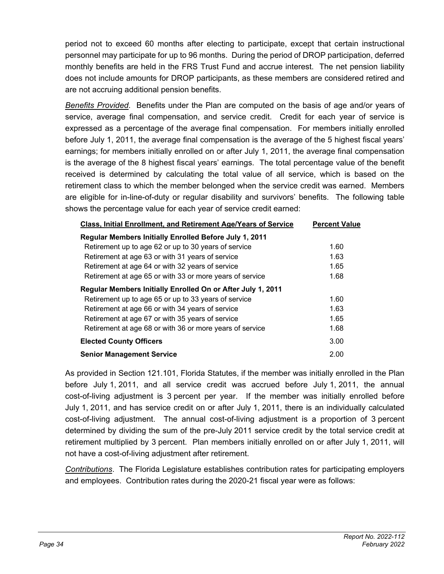period not to exceed 60 months after electing to participate, except that certain instructional personnel may participate for up to 96 months. During the period of DROP participation, deferred monthly benefits are held in the FRS Trust Fund and accrue interest. The net pension liability does not include amounts for DROP participants, as these members are considered retired and are not accruing additional pension benefits.

*Benefits Provided*. Benefits under the Plan are computed on the basis of age and/or years of service, average final compensation, and service credit. Credit for each year of service is expressed as a percentage of the average final compensation. For members initially enrolled before July 1, 2011, the average final compensation is the average of the 5 highest fiscal years' earnings; for members initially enrolled on or after July 1, 2011, the average final compensation is the average of the 8 highest fiscal years' earnings. The total percentage value of the benefit received is determined by calculating the total value of all service, which is based on the retirement class to which the member belonged when the service credit was earned. Members are eligible for in-line-of-duty or regular disability and survivors' benefits. The following table shows the percentage value for each year of service credit earned:

| <b>Class, Initial Enrollment, and Retirement Age/Years of Service</b> | <b>Percent Value</b> |
|-----------------------------------------------------------------------|----------------------|
| <b>Regular Members Initially Enrolled Before July 1, 2011</b>         |                      |
| Retirement up to age 62 or up to 30 years of service                  | 1.60                 |
| Retirement at age 63 or with 31 years of service                      | 1.63                 |
| Retirement at age 64 or with 32 years of service                      | 1.65                 |
| Retirement at age 65 or with 33 or more years of service              | 1.68                 |
| Regular Members Initially Enrolled On or After July 1, 2011           |                      |
| Retirement up to age 65 or up to 33 years of service                  | 1.60                 |
| Retirement at age 66 or with 34 years of service                      | 1.63                 |
| Retirement at age 67 or with 35 years of service                      | 1.65                 |
| Retirement at age 68 or with 36 or more years of service              | 1.68                 |
| <b>Elected County Officers</b>                                        | 3.00                 |
| <b>Senior Management Service</b>                                      | 2.00                 |

As provided in Section 121.101, Florida Statutes, if the member was initially enrolled in the Plan before July 1, 2011, and all service credit was accrued before July 1, 2011, the annual cost-of-living adjustment is 3 percent per year. If the member was initially enrolled before July 1, 2011, and has service credit on or after July 1, 2011, there is an individually calculated cost-of-living adjustment. The annual cost-of-living adjustment is a proportion of 3 percent determined by dividing the sum of the pre-July 2011 service credit by the total service credit at retirement multiplied by 3 percent. Plan members initially enrolled on or after July 1, 2011, will not have a cost-of-living adjustment after retirement.

*Contributions*. The Florida Legislature establishes contribution rates for participating employers and employees. Contribution rates during the 2020-21 fiscal year were as follows: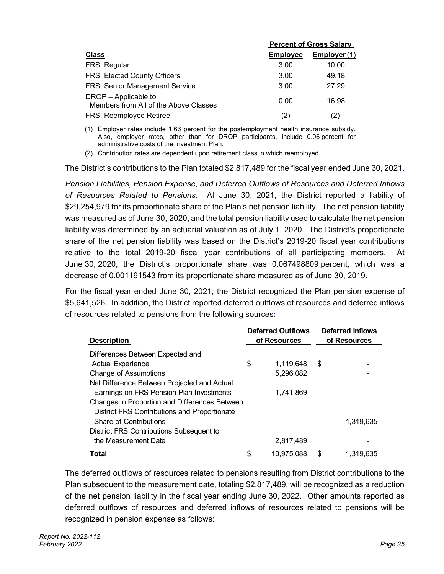|                                                               |                 | <b>Percent of Gross Salary</b> |  |  |  |  |
|---------------------------------------------------------------|-----------------|--------------------------------|--|--|--|--|
| <b>Class</b>                                                  | <b>Employee</b> | Employer(1)                    |  |  |  |  |
| FRS, Regular                                                  | 3.00            | 10.00                          |  |  |  |  |
| FRS, Elected County Officers                                  | 3.00            | 49.18                          |  |  |  |  |
| FRS, Senior Management Service                                | 3.00            | 27.29                          |  |  |  |  |
| DROP - Applicable to<br>Members from All of the Above Classes | 0.00            | 16.98                          |  |  |  |  |
| FRS, Reemployed Retiree                                       | (2)             | (2)                            |  |  |  |  |

(1) Employer rates include 1.66 percent for the postemployment health insurance subsidy. Also, employer rates, other than for DROP participants, include 0.06 percent for administrative costs of the Investment Plan.

(2) Contribution rates are dependent upon retirement class in which reemployed.

The District's contributions to the Plan totaled \$2,817,489 for the fiscal year ended June 30, 2021.

*Pension Liabilities, Pension Expense, and Deferred Outflows of Resources and Deferred Inflows of Resources Related to Pensions*. At June 30, 2021, the District reported a liability of \$29,254,979 for its proportionate share of the Plan's net pension liability. The net pension liability was measured as of June 30, 2020, and the total pension liability used to calculate the net pension liability was determined by an actuarial valuation as of July 1, 2020. The District's proportionate share of the net pension liability was based on the District's 2019-20 fiscal year contributions relative to the total 2019-20 fiscal year contributions of all participating members. At June 30, 2020, the District's proportionate share was 0.067498809 percent, which was a decrease of 0.001191543 from its proportionate share measured as of June 30, 2019.

For the fiscal year ended June 30, 2021, the District recognized the Plan pension expense of \$5,641,526. In addition, the District reported deferred outflows of resources and deferred inflows of resources related to pensions from the following sources:

| <b>Description</b>                            |    | <b>Deferred Outflows</b><br>of Resources | <b>Deferred Inflows</b><br>of Resources |           |  |
|-----------------------------------------------|----|------------------------------------------|-----------------------------------------|-----------|--|
| Differences Between Expected and              |    |                                          |                                         |           |  |
| <b>Actual Experience</b>                      | \$ | 1,119,648                                | \$                                      |           |  |
| <b>Change of Assumptions</b>                  |    | 5,296,082                                |                                         |           |  |
| Net Difference Between Projected and Actual   |    |                                          |                                         |           |  |
| Earnings on FRS Pension Plan Investments      |    | 1,741,869                                |                                         |           |  |
| Changes in Proportion and Differences Between |    |                                          |                                         |           |  |
| District FRS Contributions and Proportionate  |    |                                          |                                         |           |  |
| <b>Share of Contributions</b>                 |    |                                          |                                         | 1,319,635 |  |
| District FRS Contributions Subsequent to      |    |                                          |                                         |           |  |
| the Measurement Date                          |    | 2,817,489                                |                                         |           |  |
| Total                                         |    | 10,975,088                               |                                         | 1.319.635 |  |

The deferred outflows of resources related to pensions resulting from District contributions to the Plan subsequent to the measurement date, totaling \$2,817,489, will be recognized as a reduction of the net pension liability in the fiscal year ending June 30, 2022. Other amounts reported as deferred outflows of resources and deferred inflows of resources related to pensions will be recognized in pension expense as follows: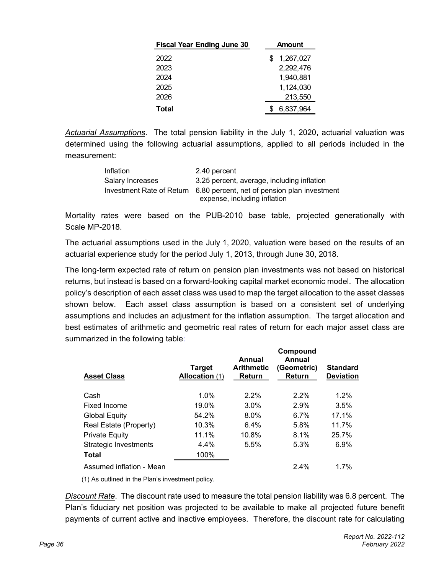| <b>Fiscal Year Ending June 30</b> | <b>Amount</b>  |
|-----------------------------------|----------------|
| 2022                              | 1,267,027<br>S |
| 2023                              | 2,292,476      |
| 2024                              | 1,940,881      |
| 2025                              | 1,124,030      |
| 2026                              | 213,550        |
| Total                             | 6,837,964      |

*Actuarial Assumptions*. The total pension liability in the July 1, 2020, actuarial valuation was determined using the following actuarial assumptions, applied to all periods included in the measurement:

| Inflation        | 2.40 percent                                                           |
|------------------|------------------------------------------------------------------------|
| Salary Increases | 3.25 percent, average, including inflation                             |
|                  | Investment Rate of Return 6.80 percent, net of pension plan investment |
|                  | expense, including inflation                                           |

Mortality rates were based on the PUB-2010 base table, projected generationally with Scale MP-2018.

The actuarial assumptions used in the July 1, 2020, valuation were based on the results of an actuarial experience study for the period July 1, 2013, through June 30, 2018.

The long-term expected rate of return on pension plan investments was not based on historical returns, but instead is based on a forward-looking capital market economic model. The allocation policy's description of each asset class was used to map the target allocation to the asset classes shown below. Each asset class assumption is based on a consistent set of underlying assumptions and includes an adjustment for the inflation assumption. The target allocation and best estimates of arithmetic and geometric real rates of return for each major asset class are summarized in the following table:

| <b>Asset Class</b>           | <b>Target</b><br><b>Allocation</b> (1) | Annual<br><b>Arithmetic</b><br>Return | Compound<br>Annual<br>(Geometric)<br>Return | <b>Standard</b><br><b>Deviation</b> |
|------------------------------|----------------------------------------|---------------------------------------|---------------------------------------------|-------------------------------------|
| Cash                         | 1.0%                                   | $2.2\%$                               | $2.2\%$                                     | $1.2\%$                             |
| Fixed Income                 | 19.0%                                  | 3.0%                                  | 2.9%                                        | 3.5%                                |
| Global Equity                | 54.2%                                  | 8.0%                                  | 6.7%                                        | 17.1%                               |
| Real Estate (Property)       | 10.3%                                  | 6.4%                                  | 5.8%                                        | 11.7%                               |
| <b>Private Equity</b>        | 11.1%                                  | 10.8%                                 | 8.1%                                        | 25.7%                               |
| <b>Strategic Investments</b> | 4.4%                                   | 5.5%                                  | 5.3%                                        | 6.9%                                |
| Total                        | 100%                                   |                                       |                                             |                                     |
| Assumed inflation - Mean     |                                        |                                       | 2.4%                                        | 1.7%                                |

(1) As outlined in the Plan's investment policy.

*Discount Rate*. The discount rate used to measure the total pension liability was 6.8 percent. The Plan's fiduciary net position was projected to be available to make all projected future benefit payments of current active and inactive employees. Therefore, the discount rate for calculating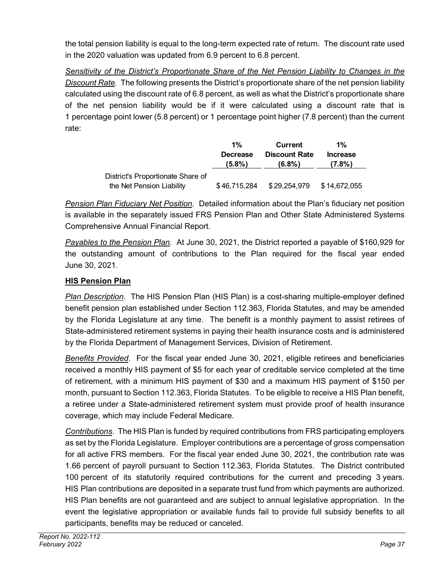the total pension liability is equal to the long-term expected rate of return. The discount rate used in the 2020 valuation was updated from 6.9 percent to 6.8 percent.

*Sensitivity of the District's Proportionate Share of the Net Pension Liability to Changes in the Discount Rate*. The following presents the District's proportionate share of the net pension liability calculated using the discount rate of 6.8 percent, as well as what the District's proportionate share of the net pension liability would be if it were calculated using a discount rate that is 1 percentage point lower (5.8 percent) or 1 percentage point higher (7.8 percent) than the current rate:

|                                   | 1%                           | Current                           | $1\%$                        |
|-----------------------------------|------------------------------|-----------------------------------|------------------------------|
|                                   | <b>Decrease</b><br>$(5.8\%)$ | <b>Discount Rate</b><br>$(6.8\%)$ | <b>Increase</b><br>$(7.8\%)$ |
| District's Proportionate Share of |                              |                                   |                              |
| the Net Pension Liability         | \$46,715,284                 | \$29,254,979                      | \$14,672,055                 |

*Pension Plan Fiduciary Net Position*. Detailed information about the Plan's fiduciary net position is available in the separately issued FRS Pension Plan and Other State Administered Systems Comprehensive Annual Financial Report.

*Payables to the Pension Plan*. At June 30, 2021, the District reported a payable of \$160,929 for the outstanding amount of contributions to the Plan required for the fiscal year ended June 30, 2021.

#### **HIS Pension Plan**

*Plan Description*. The HIS Pension Plan (HIS Plan) is a cost-sharing multiple-employer defined benefit pension plan established under Section 112.363, Florida Statutes, and may be amended by the Florida Legislature at any time. The benefit is a monthly payment to assist retirees of State-administered retirement systems in paying their health insurance costs and is administered by the Florida Department of Management Services, Division of Retirement.

*Benefits Provided*. For the fiscal year ended June 30, 2021, eligible retirees and beneficiaries received a monthly HIS payment of \$5 for each year of creditable service completed at the time of retirement, with a minimum HIS payment of \$30 and a maximum HIS payment of \$150 per month, pursuant to Section 112.363, Florida Statutes. To be eligible to receive a HIS Plan benefit, a retiree under a State-administered retirement system must provide proof of health insurance coverage, which may include Federal Medicare.

*Contributions*. The HIS Plan is funded by required contributions from FRS participating employers as set by the Florida Legislature. Employer contributions are a percentage of gross compensation for all active FRS members. For the fiscal year ended June 30, 2021, the contribution rate was 1.66 percent of payroll pursuant to Section 112.363, Florida Statutes. The District contributed 100 percent of its statutorily required contributions for the current and preceding 3 years. HIS Plan contributions are deposited in a separate trust fund from which payments are authorized. HIS Plan benefits are not guaranteed and are subject to annual legislative appropriation. In the event the legislative appropriation or available funds fail to provide full subsidy benefits to all participants, benefits may be reduced or canceled.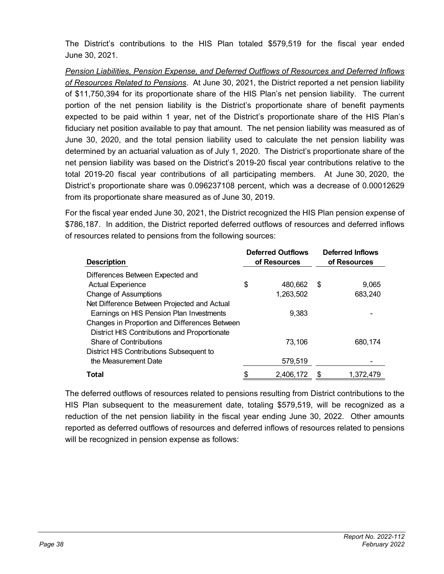The District's contributions to the HIS Plan totaled \$579,519 for the fiscal year ended June 30, 2021.

*Pension Liabilities, Pension Expense, and Deferred Outflows of Resources and Deferred Inflows of Resources Related to Pensions*. At June 30, 2021, the District reported a net pension liability of \$11,750,394 for its proportionate share of the HIS Plan's net pension liability. The current portion of the net pension liability is the District's proportionate share of benefit payments expected to be paid within 1 year, net of the District's proportionate share of the HIS Plan's fiduciary net position available to pay that amount. The net pension liability was measured as of June 30, 2020, and the total pension liability used to calculate the net pension liability was determined by an actuarial valuation as of July 1, 2020. The District's proportionate share of the net pension liability was based on the District's 2019-20 fiscal year contributions relative to the total 2019-20 fiscal year contributions of all participating members. At June 30, 2020, the District's proportionate share was 0.096237108 percent, which was a decrease of 0.00012629 from its proportionate share measured as of June 30, 2019.

For the fiscal year ended June 30, 2021, the District recognized the HIS Plan pension expense of \$786,187. In addition, the District reported deferred outflows of resources and deferred inflows of resources related to pensions from the following sources:

| <b>Description</b>                            | <b>Deferred Outflows</b><br>of Resources | <b>Deferred Inflows</b><br>of Resources |
|-----------------------------------------------|------------------------------------------|-----------------------------------------|
| Differences Between Expected and              |                                          |                                         |
| <b>Actual Experience</b>                      | \$<br>480,662                            | \$<br>9,065                             |
| <b>Change of Assumptions</b>                  | 1,263,502                                | 683,240                                 |
| Net Difference Between Projected and Actual   |                                          |                                         |
| Earnings on HIS Pension Plan Investments      | 9.383                                    |                                         |
| Changes in Proportion and Differences Between |                                          |                                         |
| District HIS Contributions and Proportionate  |                                          |                                         |
| <b>Share of Contributions</b>                 | 73,106                                   | 680,174                                 |
| District HIS Contributions Subsequent to      |                                          |                                         |
| the Measurement Date                          | 579,519                                  |                                         |
| <b>Total</b>                                  | 2,406,172                                | \$<br>1,372,479                         |

The deferred outflows of resources related to pensions resulting from District contributions to the HIS Plan subsequent to the measurement date, totaling \$579,519, will be recognized as a reduction of the net pension liability in the fiscal year ending June 30, 2022. Other amounts reported as deferred outflows of resources and deferred inflows of resources related to pensions will be recognized in pension expense as follows: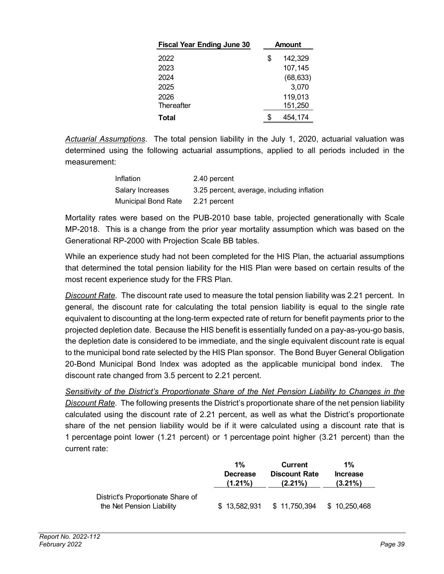| <b>Fiscal Year Ending June 30</b> |    | <b>Amount</b> |
|-----------------------------------|----|---------------|
| 2022                              | \$ | 142,329       |
| 2023                              |    | 107,145       |
| 2024                              |    | (68, 633)     |
| 2025                              |    | 3,070         |
| 2026                              |    | 119,013       |
| Thereafter                        |    | 151,250       |
| Total                             |    | 454.174       |

*Actuarial Assumptions*. The total pension liability in the July 1, 2020, actuarial valuation was determined using the following actuarial assumptions, applied to all periods included in the measurement:

| Inflation                  | 2.40 percent                               |
|----------------------------|--------------------------------------------|
| Salary Increases           | 3.25 percent, average, including inflation |
| <b>Municipal Bond Rate</b> | 2.21 percent                               |

Mortality rates were based on the PUB-2010 base table, projected generationally with Scale MP-2018. This is a change from the prior year mortality assumption which was based on the Generational RP-2000 with Projection Scale BB tables.

While an experience study had not been completed for the HIS Plan, the actuarial assumptions that determined the total pension liability for the HIS Plan were based on certain results of the most recent experience study for the FRS Plan.

*Discount Rate*. The discount rate used to measure the total pension liability was 2.21 percent. In general, the discount rate for calculating the total pension liability is equal to the single rate equivalent to discounting at the long-term expected rate of return for benefit payments prior to the projected depletion date. Because the HIS benefit is essentially funded on a pay-as-you-go basis, the depletion date is considered to be immediate, and the single equivalent discount rate is equal to the municipal bond rate selected by the HIS Plan sponsor. The Bond Buyer General Obligation 20-Bond Municipal Bond Index was adopted as the applicable municipal bond index. The discount rate changed from 3.5 percent to 2.21 percent.

*Sensitivity of the District's Proportionate Share of the Net Pension Liability to Changes in the Discount Rate*. The following presents the District's proportionate share of the net pension liability calculated using the discount rate of 2.21 percent, as well as what the District's proportionate share of the net pension liability would be if it were calculated using a discount rate that is 1 percentage point lower (1.21 percent) or 1 percentage point higher (3.21 percent) than the current rate:

|                                                                | $1\%$           | Current              | 1%              |
|----------------------------------------------------------------|-----------------|----------------------|-----------------|
|                                                                | <b>Decrease</b> | <b>Discount Rate</b> | <b>Increase</b> |
|                                                                | $(1.21\%)$      | $(2.21\%)$           | $(3.21\%)$      |
| District's Proportionate Share of<br>the Net Pension Liability | \$13,582,931    | \$11,750,394         | \$10,250,468    |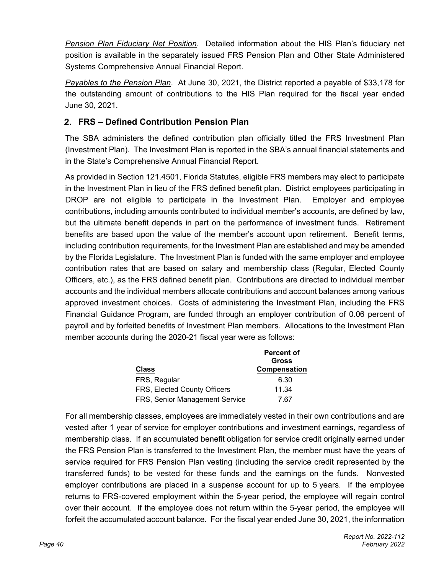*Pension Plan Fiduciary Net Position*. Detailed information about the HIS Plan's fiduciary net position is available in the separately issued FRS Pension Plan and Other State Administered Systems Comprehensive Annual Financial Report.

*Payables to the Pension Plan*. At June 30, 2021, the District reported a payable of \$33,178 for the outstanding amount of contributions to the HIS Plan required for the fiscal year ended June 30, 2021.

## **FRS – Defined Contribution Pension Plan**

The SBA administers the defined contribution plan officially titled the FRS Investment Plan (Investment Plan). The Investment Plan is reported in the SBA's annual financial statements and in the State's Comprehensive Annual Financial Report.

As provided in Section 121.4501, Florida Statutes, eligible FRS members may elect to participate in the Investment Plan in lieu of the FRS defined benefit plan. District employees participating in DROP are not eligible to participate in the Investment Plan. Employer and employee contributions, including amounts contributed to individual member's accounts, are defined by law, but the ultimate benefit depends in part on the performance of investment funds. Retirement benefits are based upon the value of the member's account upon retirement. Benefit terms, including contribution requirements, for the Investment Plan are established and may be amended by the Florida Legislature. The Investment Plan is funded with the same employer and employee contribution rates that are based on salary and membership class (Regular, Elected County Officers, etc.), as the FRS defined benefit plan. Contributions are directed to individual member accounts and the individual members allocate contributions and account balances among various approved investment choices. Costs of administering the Investment Plan, including the FRS Financial Guidance Program, are funded through an employer contribution of 0.06 percent of payroll and by forfeited benefits of Investment Plan members. Allocations to the Investment Plan member accounts during the 2020-21 fiscal year were as follows:

|                                | <b>Percent of</b> |
|--------------------------------|-------------------|
|                                | Gross             |
| <b>Class</b>                   | Compensation      |
| FRS, Regular                   | 6.30              |
| FRS, Elected County Officers   | 11.34             |
| FRS, Senior Management Service | 7 67              |

For all membership classes, employees are immediately vested in their own contributions and are vested after 1 year of service for employer contributions and investment earnings, regardless of membership class. If an accumulated benefit obligation for service credit originally earned under the FRS Pension Plan is transferred to the Investment Plan, the member must have the years of service required for FRS Pension Plan vesting (including the service credit represented by the transferred funds) to be vested for these funds and the earnings on the funds. Nonvested employer contributions are placed in a suspense account for up to 5 years. If the employee returns to FRS-covered employment within the 5-year period, the employee will regain control over their account. If the employee does not return within the 5-year period, the employee will forfeit the accumulated account balance. For the fiscal year ended June 30, 2021, the information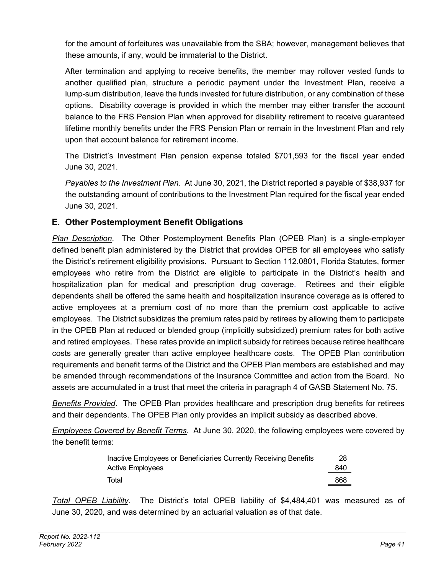for the amount of forfeitures was unavailable from the SBA; however, management believes that these amounts, if any, would be immaterial to the District.

After termination and applying to receive benefits, the member may rollover vested funds to another qualified plan, structure a periodic payment under the Investment Plan, receive a lump-sum distribution, leave the funds invested for future distribution, or any combination of these options. Disability coverage is provided in which the member may either transfer the account balance to the FRS Pension Plan when approved for disability retirement to receive guaranteed lifetime monthly benefits under the FRS Pension Plan or remain in the Investment Plan and rely upon that account balance for retirement income.

The District's Investment Plan pension expense totaled \$701,593 for the fiscal year ended June 30, 2021.

*Payables to the Investment Plan.* At June 30, 2021, the District reported a payable of \$38,937 for the outstanding amount of contributions to the Investment Plan required for the fiscal year ended June 30, 2021.

## **E. Other Postemployment Benefit Obligations**

*Plan Description*. The Other Postemployment Benefits Plan (OPEB Plan) is a single-employer defined benefit plan administered by the District that provides OPEB for all employees who satisfy the District's retirement eligibility provisions. Pursuant to Section 112.0801, Florida Statutes, former employees who retire from the District are eligible to participate in the District's health and hospitalization plan for medical and prescription drug coverage. Retirees and their eligible dependents shall be offered the same health and hospitalization insurance coverage as is offered to active employees at a premium cost of no more than the premium cost applicable to active employees. The District subsidizes the premium rates paid by retirees by allowing them to participate in the OPEB Plan at reduced or blended group (implicitly subsidized) premium rates for both active and retired employees. These rates provide an implicit subsidy for retirees because retiree healthcare costs are generally greater than active employee healthcare costs. The OPEB Plan contribution requirements and benefit terms of the District and the OPEB Plan members are established and may be amended through recommendations of the Insurance Committee and action from the Board. No assets are accumulated in a trust that meet the criteria in paragraph 4 of GASB Statement No. 75.

*Benefits Provided*.The OPEB Plan provides healthcare and prescription drug benefits for retirees and their dependents. The OPEB Plan only provides an implicit subsidy as described above.

*Employees Covered by Benefit Terms*. At June 30, 2020, the following employees were covered by the benefit terms:

| Inactive Employees or Beneficiaries Currently Receiving Benefits | 28  |
|------------------------------------------------------------------|-----|
| Active Employees                                                 | 840 |
| Total                                                            | 868 |

*Total OPEB Liability*. The District's total OPEB liability of \$4,484,401 was measured as of June 30, 2020, and was determined by an actuarial valuation as of that date.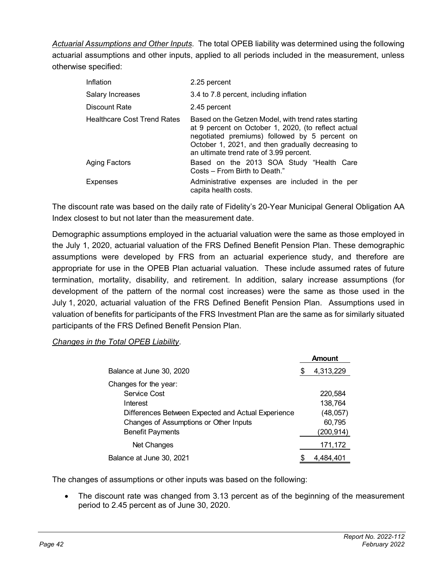*Actuarial Assumptions and Other Inputs*. The total OPEB liability was determined using the following actuarial assumptions and other inputs, applied to all periods included in the measurement, unless otherwise specified:

| Inflation                          | 2.25 percent                                                                                                                                                                                                                                                 |
|------------------------------------|--------------------------------------------------------------------------------------------------------------------------------------------------------------------------------------------------------------------------------------------------------------|
| Salary Increases                   | 3.4 to 7.8 percent, including inflation                                                                                                                                                                                                                      |
| Discount Rate                      | 2.45 percent                                                                                                                                                                                                                                                 |
| <b>Healthcare Cost Trend Rates</b> | Based on the Getzen Model, with trend rates starting<br>at 9 percent on October 1, 2020, (to reflect actual<br>negotiated premiums) followed by 5 percent on<br>October 1, 2021, and then gradually decreasing to<br>an ultimate trend rate of 3.99 percent. |
| Aging Factors                      | Based on the 2013 SOA Study "Health Care<br>Costs – From Birth to Death."                                                                                                                                                                                    |
| Expenses                           | Administrative expenses are included in the per<br>capita health costs.                                                                                                                                                                                      |

The discount rate was based on the daily rate of Fidelity's 20-Year Municipal General Obligation AA Index closest to but not later than the measurement date.

Demographic assumptions employed in the actuarial valuation were the same as those employed in the July 1, 2020, actuarial valuation of the FRS Defined Benefit Pension Plan. These demographic assumptions were developed by FRS from an actuarial experience study, and therefore are appropriate for use in the OPEB Plan actuarial valuation. These include assumed rates of future termination, mortality, disability, and retirement. In addition, salary increase assumptions (for development of the pattern of the normal cost increases) were the same as those used in the July 1, 2020, actuarial valuation of the FRS Defined Benefit Pension Plan. Assumptions used in valuation of benefits for participants of the FRS Investment Plan are the same as for similarly situated participants of the FRS Defined Benefit Pension Plan.

#### *Changes in the Total OPEB Liability*.

|                                                    |   | <b>Amount</b> |
|----------------------------------------------------|---|---------------|
| Balance at June 30, 2020                           |   | 4,313,229     |
| Changes for the year:                              |   |               |
| Service Cost                                       |   | 220,584       |
| Interest                                           |   | 138,764       |
| Differences Between Expected and Actual Experience |   | (48, 057)     |
| Changes of Assumptions or Other Inputs             |   | 60,795        |
| <b>Benefit Payments</b>                            |   | (200, 914)    |
| Net Changes                                        |   | 171,172       |
| Balance at June 30, 2021                           | S | 4.484.401     |

The changes of assumptions or other inputs was based on the following:

 The discount rate was changed from 3.13 percent as of the beginning of the measurement period to 2.45 percent as of June 30, 2020.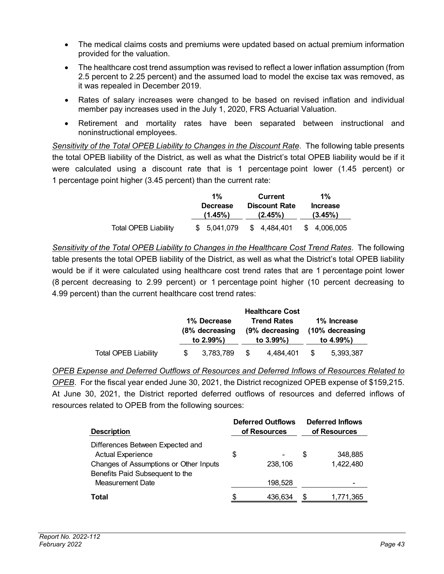- The medical claims costs and premiums were updated based on actual premium information provided for the valuation.
- The healthcare cost trend assumption was revised to reflect a lower inflation assumption (from 2.5 percent to 2.25 percent) and the assumed load to model the excise tax was removed, as it was repealed in December 2019.
- Rates of salary increases were changed to be based on revised inflation and individual member pay increases used in the July 1, 2020, FRS Actuarial Valuation.
- Retirement and mortality rates have been separated between instructional and noninstructional employees.

*Sensitivity of the Total OPEB Liability to Changes in the Discount Rate*. The following table presents the total OPEB liability of the District, as well as what the District's total OPEB liability would be if it were calculated using a discount rate that is 1 percentage point lower (1.45 percent) or 1 percentage point higher (3.45 percent) than the current rate:

|                             | $1\%$           | <b>Current</b>       | $1\%$           |
|-----------------------------|-----------------|----------------------|-----------------|
|                             | <b>Decrease</b> | <b>Discount Rate</b> | <b>Increase</b> |
|                             | (1.45%)         | $(2.45\%)$           | $(3.45\%)$      |
| <b>Total OPEB Liability</b> | \$ 5.041.079    | \$4.484.401          | \$4,006,005     |

*Sensitivity of the Total OPEB Liability to Changes in the Healthcare Cost Trend Rates*. The following table presents the total OPEB liability of the District, as well as what the District's total OPEB liability would be if it were calculated using healthcare cost trend rates that are 1 percentage point lower (8 percent decreasing to 2.99 percent) or 1 percentage point higher (10 percent decreasing to 4.99 percent) than the current healthcare cost trend rates:

|                      |     |                                 |     | <b>Healthcare Cost</b>          |                                  |             |
|----------------------|-----|---------------------------------|-----|---------------------------------|----------------------------------|-------------|
|                      |     | 1% Decrease                     |     | <b>Trend Rates</b>              |                                  | 1% Increase |
|                      |     | (8% decreasing<br>to $2.99\%$ ) |     | (9% decreasing<br>to $3.99\%$ ) | (10% decreasing<br>to $4.99\%$ ) |             |
| Total OPEB Liability | \$. | 3,783,789                       | \$. | 4.484.401                       | S                                | 5,393,387   |

*OPEB Expense and Deferred Outflows of Resources and Deferred Inflows of Resources Related to OPEB*. For the fiscal year ended June 30, 2021, the District recognized OPEB expense of \$159,215. At June 30, 2021, the District reported deferred outflows of resources and deferred inflows of resources related to OPEB from the following sources:

| <b>Description</b>                                                                                   |   | <b>Deferred Outflows</b><br>of Resources |   | <b>Deferred Inflows</b><br>of Resources |
|------------------------------------------------------------------------------------------------------|---|------------------------------------------|---|-----------------------------------------|
| Differences Between Expected and<br><b>Actual Experience</b>                                         | S |                                          | S | 348,885                                 |
| Changes of Assumptions or Other Inputs<br>Benefits Paid Subsequent to the<br><b>Measurement Date</b> |   | 238,106<br>198.528                       |   | 1,422,480                               |
| Total                                                                                                |   | 436,634                                  |   | 1,771,365                               |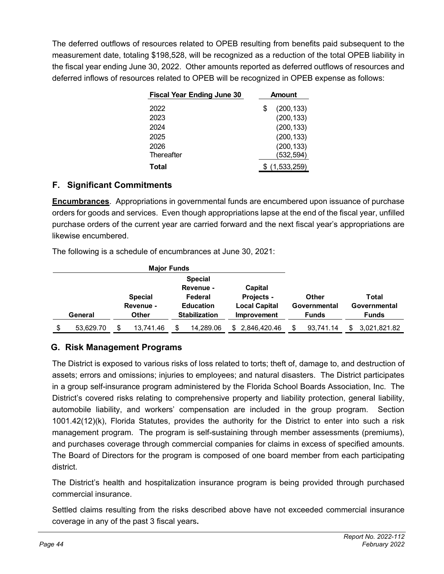The deferred outflows of resources related to OPEB resulting from benefits paid subsequent to the measurement date, totaling \$198,528, will be recognized as a reduction of the total OPEB liability in the fiscal year ending June 30, 2022. Other amounts reported as deferred outflows of resources and deferred inflows of resources related to OPEB will be recognized in OPEB expense as follows:

| <b>Fiscal Year Ending June 30</b> | <b>Amount</b> |             |  |
|-----------------------------------|---------------|-------------|--|
| 2022                              | \$            | (200, 133)  |  |
| 2023                              |               | (200, 133)  |  |
| 2024                              |               | (200, 133)  |  |
| 2025                              |               | (200, 133)  |  |
| 2026                              |               | (200, 133)  |  |
| Thereafter                        |               | (532, 594)  |  |
| Total                             |               | (1,533,259) |  |

#### **F. Significant Commitments**

**Encumbrances**. Appropriations in governmental funds are encumbered upon issuance of purchase orders for goods and services. Even though appropriations lapse at the end of the fiscal year, unfilled purchase orders of the current year are carried forward and the next fiscal year's appropriations are likewise encumbered.

The following is a schedule of encumbrances at June 30, 2021:

|                | <b>Major Funds</b> |                                                                 |                    |   |                                          |       |              |  |                                            |     |                              |  |                              |
|----------------|--------------------|-----------------------------------------------------------------|--------------------|---|------------------------------------------|-------|--------------|--|--------------------------------------------|-----|------------------------------|--|------------------------------|
| <b>Special</b> |                    | <b>Special</b><br>Capital<br>Revenue -<br>Projects -<br>Federal |                    |   |                                          | Other | Total        |  |                                            |     |                              |  |                              |
|                | General            |                                                                 | Revenue -<br>Other |   | <b>Education</b><br><b>Stabilization</b> |       |              |  | <b>Local Capital</b><br><b>Improvement</b> |     | Governmental<br><b>Funds</b> |  | Governmental<br><b>Funds</b> |
| S              | 53,629.70          |                                                                 | 13.741.46          | S | 14.289.06                                |       | 2,846,420.46 |  | 93.741.14                                  | \$. | 3,021,821.82                 |  |                              |

## **G. Risk Management Programs**

The District is exposed to various risks of loss related to torts; theft of, damage to, and destruction of assets; errors and omissions; injuries to employees; and natural disasters. The District participates in a group self-insurance program administered by the Florida School Boards Association, Inc. The District's covered risks relating to comprehensive property and liability protection, general liability, automobile liability, and workers' compensation are included in the group program. Section 1001.42(12)(k), Florida Statutes, provides the authority for the District to enter into such a risk management program. The program is self-sustaining through member assessments (premiums), and purchases coverage through commercial companies for claims in excess of specified amounts. The Board of Directors for the program is composed of one board member from each participating district.

The District's health and hospitalization insurance program is being provided through purchased commercial insurance.

Settled claims resulting from the risks described above have not exceeded commercial insurance coverage in any of the past 3 fiscal years**.**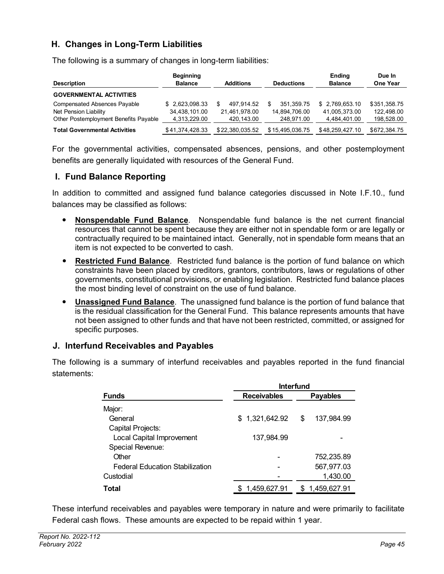### **H. Changes in Long-Term Liabilities**

| <b>Description</b>                                                                                    | <b>Beginning</b><br><b>Balance</b>              | <b>Additions</b>                          | <b>Deductions</b>                         | <b>Ending</b><br><b>Balance</b>                 | Due In<br><b>One Year</b>                |
|-------------------------------------------------------------------------------------------------------|-------------------------------------------------|-------------------------------------------|-------------------------------------------|-------------------------------------------------|------------------------------------------|
| <b>GOVERNMENTAL ACTIVITIES</b>                                                                        |                                                 |                                           |                                           |                                                 |                                          |
| <b>Compensated Absences Payable</b><br>Net Pension Liability<br>Other Postemployment Benefits Payable | \$2,623,098.33<br>34,438,101.00<br>4,313,229.00 | 497.914.52<br>21.461.978.00<br>420,143.00 | 351.359.75<br>14.894.706.00<br>248.971.00 | \$2.769.653.10<br>41.005.373.00<br>4.484.401.00 | \$351,358.75<br>122.498.00<br>198,528.00 |
| <b>Total Governmental Activities</b>                                                                  | \$41,374,428.33                                 | \$22,380,035.52                           | \$15.495.036.75                           | \$48.259.427.10                                 | \$672.384.75                             |

The following is a summary of changes in long-term liabilities:

For the governmental activities, compensated absences, pensions, and other postemployment benefits are generally liquidated with resources of the General Fund.

#### **I. Fund Balance Reporting**

In addition to committed and assigned fund balance categories discussed in Note I.F.10., fund balances may be classified as follows:

- **Nonspendable Fund Balance**. Nonspendable fund balance is the net current financial resources that cannot be spent because they are either not in spendable form or are legally or contractually required to be maintained intact. Generally, not in spendable form means that an item is not expected to be converted to cash.
- **Restricted Fund Balance**. Restricted fund balance is the portion of fund balance on which constraints have been placed by creditors, grantors, contributors, laws or regulations of other governments, constitutional provisions, or enabling legislation. Restricted fund balance places the most binding level of constraint on the use of fund balance.
- **Unassigned Fund Balance**. The unassigned fund balance is the portion of fund balance that is the residual classification for the General Fund. This balance represents amounts that have not been assigned to other funds and that have not been restricted, committed, or assigned for specific purposes.

#### **J. Interfund Receivables and Payables**

The following is a summary of interfund receivables and payables reported in the fund financial statements:

|                                        | <b>Interfund</b>   |                 |                |  |  |  |
|----------------------------------------|--------------------|-----------------|----------------|--|--|--|
| <b>Funds</b>                           | <b>Receivables</b> | <b>Payables</b> |                |  |  |  |
| Major:                                 |                    |                 |                |  |  |  |
| General                                | \$1,321,642.92     | \$              | 137,984.99     |  |  |  |
| Capital Projects:                      |                    |                 |                |  |  |  |
| <b>Local Capital Improvement</b>       | 137,984.99         |                 |                |  |  |  |
| Special Revenue:                       |                    |                 |                |  |  |  |
| Other                                  |                    |                 | 752,235.89     |  |  |  |
| <b>Federal Education Stabilization</b> |                    |                 | 567,977.03     |  |  |  |
| Custodial                              |                    |                 | 1,430.00       |  |  |  |
| Total                                  | 1,459,627.91       |                 | \$1,459,627.91 |  |  |  |

These interfund receivables and payables were temporary in nature and were primarily to facilitate Federal cash flows. These amounts are expected to be repaid within 1 year.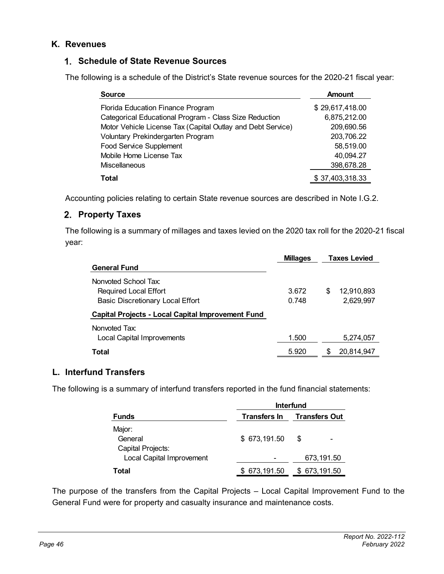#### **K. Revenues**

#### **Schedule of State Revenue Sources**

The following is a schedule of the District's State revenue sources for the 2020-21 fiscal year:

| <b>Source</b>                                               | <b>Amount</b>   |
|-------------------------------------------------------------|-----------------|
| Florida Education Finance Program                           | \$29,617,418.00 |
| Categorical Educational Program - Class Size Reduction      | 6,875,212.00    |
| Motor Vehicle License Tax (Capital Outlay and Debt Service) | 209,690.56      |
| Voluntary Prekindergarten Program                           | 203,706.22      |
| Food Service Supplement                                     | 58,519.00       |
| Mobile Home License Tax                                     | 40,094.27       |
| <b>Miscellaneous</b>                                        | 398,678.28      |
| <b>Total</b>                                                | \$37,403,318.33 |

Accounting policies relating to certain State revenue sources are described in Note I.G.2.

#### **Property Taxes**

The following is a summary of millages and taxes levied on the 2020 tax roll for the 2020-21 fiscal year:

|                                                          | <b>Millages</b> |   | <b>Taxes Levied</b> |
|----------------------------------------------------------|-----------------|---|---------------------|
| <b>General Fund</b>                                      |                 |   |                     |
| Nonvoted School Tax:                                     |                 |   |                     |
| Required Local Effort                                    | 3.672           | S | 12,910,893          |
| <b>Basic Discretionary Local Effort</b>                  | 0.748           |   | 2,629,997           |
| <b>Capital Projects - Local Capital Improvement Fund</b> |                 |   |                     |
| Nonvoted Tax:                                            |                 |   |                     |
| <b>Local Capital Improvements</b>                        | 1.500           |   | 5,274,057           |
| Total                                                    | 5.920           |   | 20,814,947          |

#### **L. Interfund Transfers**

The following is a summary of interfund transfers reported in the fund financial statements:

|                           | <b>Interfund</b>    |                      |  |  |  |  |  |
|---------------------------|---------------------|----------------------|--|--|--|--|--|
| <b>Funds</b>              | <b>Transfers In</b> | <b>Transfers Out</b> |  |  |  |  |  |
| Major:                    |                     |                      |  |  |  |  |  |
| General                   | \$673,191.50        | \$.                  |  |  |  |  |  |
| Capital Projects:         |                     |                      |  |  |  |  |  |
| Local Capital Improvement |                     | 673,191.50           |  |  |  |  |  |
| Total                     | \$673,191.50        | \$673,191.50         |  |  |  |  |  |

The purpose of the transfers from the Capital Projects – Local Capital Improvement Fund to the General Fund were for property and casualty insurance and maintenance costs.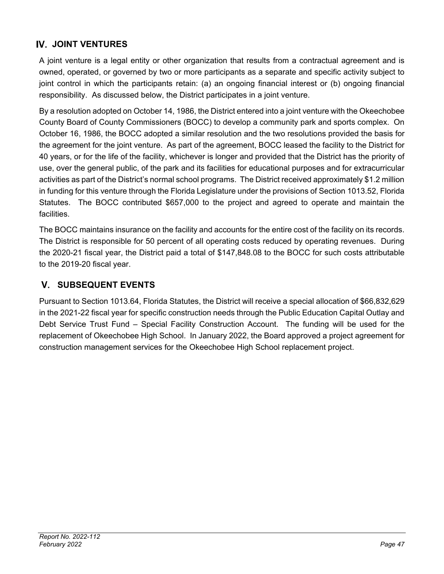## **JOINT VENTURES**

A joint venture is a legal entity or other organization that results from a contractual agreement and is owned, operated, or governed by two or more participants as a separate and specific activity subject to joint control in which the participants retain: (a) an ongoing financial interest or (b) ongoing financial responsibility. As discussed below, the District participates in a joint venture.

By a resolution adopted on October 14, 1986, the District entered into a joint venture with the Okeechobee County Board of County Commissioners (BOCC) to develop a community park and sports complex. On October 16, 1986, the BOCC adopted a similar resolution and the two resolutions provided the basis for the agreement for the joint venture. As part of the agreement, BOCC leased the facility to the District for 40 years, or for the life of the facility, whichever is longer and provided that the District has the priority of use, over the general public, of the park and its facilities for educational purposes and for extracurricular activities as part of the District's normal school programs. The District received approximately \$1.2 million in funding for this venture through the Florida Legislature under the provisions of Section 1013.52, Florida Statutes. The BOCC contributed \$657,000 to the project and agreed to operate and maintain the facilities.

The BOCC maintains insurance on the facility and accounts for the entire cost of the facility on its records. The District is responsible for 50 percent of all operating costs reduced by operating revenues. During the 2020-21 fiscal year, the District paid a total of \$147,848.08 to the BOCC for such costs attributable to the 2019-20 fiscal year.

# **SUBSEQUENT EVENTS**

Pursuant to Section 1013.64, Florida Statutes, the District will receive a special allocation of \$66,832,629 in the 2021-22 fiscal year for specific construction needs through the Public Education Capital Outlay and Debt Service Trust Fund – Special Facility Construction Account. The funding will be used for the replacement of Okeechobee High School. In January 2022, the Board approved a project agreement for construction management services for the Okeechobee High School replacement project.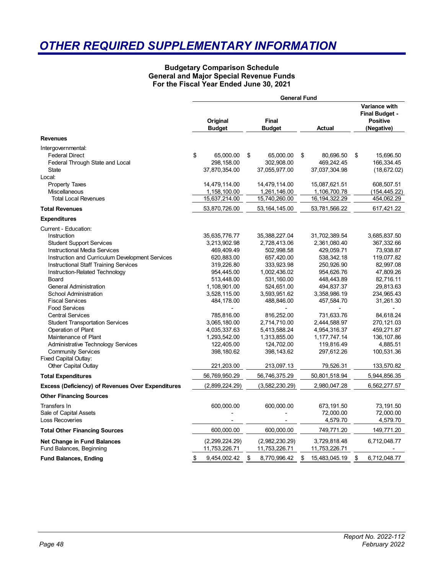# <span id="page-53-0"></span>*OTHER REQUIRED SUPPLEMENTARY INFORMATION*

#### **Budgetary Comparison Schedule General and Major Special Revenue Funds For the Fiscal Year Ended June 30, 2021**

|                                                                                                                                                                                                                                                                                                                                                                                                                                                                                                                                                                                                         | <b>General Fund</b> |                                                                                                                                                                                                                                                           |    |                                                                                                                                                                                                                                                              |    |                                                                                                                                                                                                                                                             |                                                                                                                                                                                                                                       |
|---------------------------------------------------------------------------------------------------------------------------------------------------------------------------------------------------------------------------------------------------------------------------------------------------------------------------------------------------------------------------------------------------------------------------------------------------------------------------------------------------------------------------------------------------------------------------------------------------------|---------------------|-----------------------------------------------------------------------------------------------------------------------------------------------------------------------------------------------------------------------------------------------------------|----|--------------------------------------------------------------------------------------------------------------------------------------------------------------------------------------------------------------------------------------------------------------|----|-------------------------------------------------------------------------------------------------------------------------------------------------------------------------------------------------------------------------------------------------------------|---------------------------------------------------------------------------------------------------------------------------------------------------------------------------------------------------------------------------------------|
|                                                                                                                                                                                                                                                                                                                                                                                                                                                                                                                                                                                                         |                     | Original<br><b>Budget</b>                                                                                                                                                                                                                                 |    | <b>Final</b><br><b>Budget</b>                                                                                                                                                                                                                                |    | Actual                                                                                                                                                                                                                                                      | <b>Variance with</b><br><b>Final Budget -</b><br><b>Positive</b><br>(Negative)                                                                                                                                                        |
| <b>Revenues</b>                                                                                                                                                                                                                                                                                                                                                                                                                                                                                                                                                                                         |                     |                                                                                                                                                                                                                                                           |    |                                                                                                                                                                                                                                                              |    |                                                                                                                                                                                                                                                             |                                                                                                                                                                                                                                       |
| Intergovernmental:<br><b>Federal Direct</b><br>Federal Through State and Local<br>State                                                                                                                                                                                                                                                                                                                                                                                                                                                                                                                 | \$                  | 65,000.00<br>298,158.00<br>37,870,354.00                                                                                                                                                                                                                  | \$ | 65,000.00<br>302,908.00<br>37,055,977.00                                                                                                                                                                                                                     | \$ | 80,696.50<br>469,242.45<br>37,037,304.98                                                                                                                                                                                                                    | \$<br>15.696.50<br>166,334.45<br>(18,672.02)                                                                                                                                                                                          |
| Local:<br><b>Property Taxes</b><br>Miscellaneous<br><b>Total Local Revenues</b>                                                                                                                                                                                                                                                                                                                                                                                                                                                                                                                         |                     | 14,479,114.00<br>1,158,100.00<br>15,637,214.00                                                                                                                                                                                                            |    | 14,479,114.00<br>1,261,146.00<br>15,740,260.00                                                                                                                                                                                                               |    | 15,087,621.51<br>1,106,700.78<br>16, 194, 322. 29                                                                                                                                                                                                           | 608,507.51<br>(154,445.22)<br>454,062.29                                                                                                                                                                                              |
| <b>Total Revenues</b>                                                                                                                                                                                                                                                                                                                                                                                                                                                                                                                                                                                   |                     | 53,870,726.00                                                                                                                                                                                                                                             |    | 53, 164, 145.00                                                                                                                                                                                                                                              |    | 53,781,566.22                                                                                                                                                                                                                                               | 617,421.22                                                                                                                                                                                                                            |
| <b>Expenditures</b>                                                                                                                                                                                                                                                                                                                                                                                                                                                                                                                                                                                     |                     |                                                                                                                                                                                                                                                           |    |                                                                                                                                                                                                                                                              |    |                                                                                                                                                                                                                                                             |                                                                                                                                                                                                                                       |
| Current - Education:<br>Instruction<br><b>Student Support Services</b><br><b>Instructional Media Services</b><br>Instruction and Curriculum Development Services<br><b>Instructional Staff Training Services</b><br>Instruction-Related Technology<br>Board<br>General Administration<br>School Administration<br><b>Fiscal Services</b><br><b>Food Services</b><br><b>Central Services</b><br><b>Student Transportation Services</b><br>Operation of Plant<br>Maintenance of Plant<br>Administrative Technology Services<br><b>Community Services</b><br>Fixed Capital Outlay:<br>Other Capital Outlay |                     | 35,635,776.77<br>3,213,902.98<br>469,409.49<br>620,883.00<br>319,226.80<br>954,445.00<br>513,448.00<br>1,108,901.00<br>3,528,115.00<br>484,178.00<br>785,816.00<br>3,065,180.00<br>4,035,337.63<br>1,293,542.00<br>122,405.00<br>398,180.62<br>221,203.00 |    | 35, 388, 227.04<br>2,728,413.06<br>502,998.58<br>657,420.00<br>333,923.98<br>1,002,436.02<br>531,160.00<br>524,651.00<br>3,593,951.62<br>488,846.00<br>816,252.00<br>2,714,710.00<br>5,413,588.24<br>1,313,855.00<br>124,702.00<br>398, 143.62<br>213,097.13 |    | 31,702,389.54<br>2,361,080.40<br>429,059.71<br>538, 342. 18<br>250,926.90<br>954,626.76<br>448,443.89<br>494,837.37<br>3,358,986.19<br>457,584.70<br>731,633.76<br>2,444,588.97<br>4,954,316.37<br>1, 177, 747. 14<br>119,816.49<br>297,612.26<br>79,526.31 | 3,685,837.50<br>367,332.66<br>73,938.87<br>119,077.82<br>82,997.08<br>47,809.26<br>82,716.11<br>29,813.63<br>234,965.43<br>31,261.30<br>84,618.24<br>270, 121.03<br>459,271.87<br>136, 107.86<br>4,885.51<br>100,531.36<br>133,570.82 |
| <b>Total Expenditures</b>                                                                                                                                                                                                                                                                                                                                                                                                                                                                                                                                                                               |                     | 56,769,950.29                                                                                                                                                                                                                                             |    | 56,746,375.29                                                                                                                                                                                                                                                |    | 50,801,518.94                                                                                                                                                                                                                                               | 5,944,856.35                                                                                                                                                                                                                          |
| <b>Excess (Deficiency) of Revenues Over Expenditures</b>                                                                                                                                                                                                                                                                                                                                                                                                                                                                                                                                                |                     | (2,899,224.29)                                                                                                                                                                                                                                            |    | (3,582,230.29)                                                                                                                                                                                                                                               |    | 2,980,047.28                                                                                                                                                                                                                                                | 6,562,277.57                                                                                                                                                                                                                          |
| <b>Other Financing Sources</b>                                                                                                                                                                                                                                                                                                                                                                                                                                                                                                                                                                          |                     |                                                                                                                                                                                                                                                           |    |                                                                                                                                                                                                                                                              |    |                                                                                                                                                                                                                                                             |                                                                                                                                                                                                                                       |
| Transfers In<br>Sale of Capital Assets<br><b>Loss Recoveries</b>                                                                                                                                                                                                                                                                                                                                                                                                                                                                                                                                        |                     | 600,000.00                                                                                                                                                                                                                                                |    | 600,000.00                                                                                                                                                                                                                                                   |    | 673,191.50<br>72,000.00<br>4,579.70                                                                                                                                                                                                                         | 73,191.50<br>72,000.00<br>4,579.70                                                                                                                                                                                                    |
| <b>Total Other Financing Sources</b>                                                                                                                                                                                                                                                                                                                                                                                                                                                                                                                                                                    |                     | 600,000.00                                                                                                                                                                                                                                                |    | 600,000.00                                                                                                                                                                                                                                                   |    | 749,771.20                                                                                                                                                                                                                                                  | 149,771.20                                                                                                                                                                                                                            |
| <b>Net Change in Fund Balances</b><br>Fund Balances, Beginning                                                                                                                                                                                                                                                                                                                                                                                                                                                                                                                                          |                     | (2,299,224.29)<br>11,753,226.71                                                                                                                                                                                                                           |    | (2,982,230.29)<br>11,753,226.71                                                                                                                                                                                                                              |    | 3,729,818.48<br>11,753,226.71                                                                                                                                                                                                                               | 6,712,048.77                                                                                                                                                                                                                          |
| <b>Fund Balances, Ending</b>                                                                                                                                                                                                                                                                                                                                                                                                                                                                                                                                                                            | $\frac{1}{2}$       | 9,454,002.42                                                                                                                                                                                                                                              | \$ | 8,770,996.42                                                                                                                                                                                                                                                 | \$ | 15,483,045.19                                                                                                                                                                                                                                               | \$<br>6,712,048.77                                                                                                                                                                                                                    |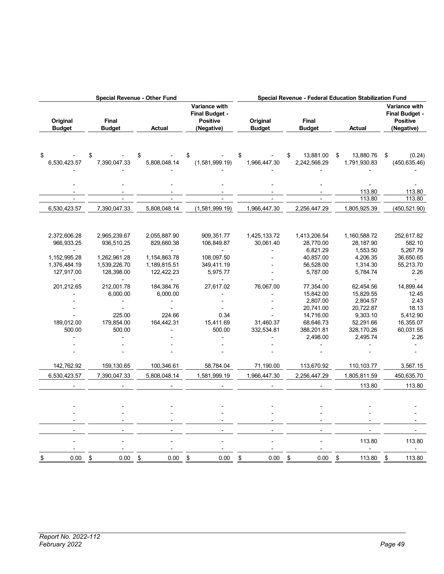| Variance with<br><b>Final Budget -</b><br><b>Positive</b><br>Original<br><b>Final</b><br>Original<br><b>Final</b><br><b>Budget</b><br><b>Budget</b><br><b>Actual</b><br>(Negative)<br><b>Budget</b><br><b>Budget</b><br><b>Actual</b>                                                                                                                                                                                                                                                                                                                                                                                                                                                                                                                                                                                                                                                                                                                 | Variance with<br><b>Final Budget -</b><br><b>Positive</b><br>(Negative)<br>\$<br>(0.24)                                                                 |
|-------------------------------------------------------------------------------------------------------------------------------------------------------------------------------------------------------------------------------------------------------------------------------------------------------------------------------------------------------------------------------------------------------------------------------------------------------------------------------------------------------------------------------------------------------------------------------------------------------------------------------------------------------------------------------------------------------------------------------------------------------------------------------------------------------------------------------------------------------------------------------------------------------------------------------------------------------|---------------------------------------------------------------------------------------------------------------------------------------------------------|
|                                                                                                                                                                                                                                                                                                                                                                                                                                                                                                                                                                                                                                                                                                                                                                                                                                                                                                                                                       |                                                                                                                                                         |
| \$<br>\$<br>13,881.00<br>\$<br>13,880.76<br>\$<br>\$<br>\$<br>\$<br>5,808,048.14<br>2,242,566.29<br>6,530,423.57<br>7,390,047.33<br>(1,581,999.19)<br>1,966,447.30<br>1,791,930.83                                                                                                                                                                                                                                                                                                                                                                                                                                                                                                                                                                                                                                                                                                                                                                    | (450, 635.46)                                                                                                                                           |
| 113.80<br>113.80                                                                                                                                                                                                                                                                                                                                                                                                                                                                                                                                                                                                                                                                                                                                                                                                                                                                                                                                      | 113.80<br>113.80                                                                                                                                        |
| 6,530,423.57<br>7,390,047.33<br>5,808,048.14<br>(1,581,999.19)<br>1,966,447.30<br>2,256,447.29<br>1,805,925.39                                                                                                                                                                                                                                                                                                                                                                                                                                                                                                                                                                                                                                                                                                                                                                                                                                        | (450, 521.90)                                                                                                                                           |
| 909, 351.77<br>1,425,133.72<br>2,372,606.28<br>2,965,239.67<br>2,055,887.90<br>1,413,206.54<br>1,160,588.72<br>966,933.25<br>936,510.25<br>829,660.38<br>106,849.87<br>30,061.40<br>28,770.00<br>28,187.90<br>6,821.29<br>1,553.50<br>1,152,995.28<br>1,262,961.28<br>1,154,863.78<br>108,097.50<br>40,857.00<br>4,206.35<br>1,539,226.70<br>1,376,484.19<br>1,189,815.51<br>349,411.19<br>56,528.00<br>1,314.30<br>128,398.00<br>122,422.23<br>5,787.00<br>5,784.74<br>127,917.00<br>5,975.77<br>212,001.78<br>201,212.65<br>184, 384. 76<br>27,617.02<br>76,067.00<br>77,354.00<br>62,454.56<br>6,000.00<br>6,000.00<br>15,842.00<br>15,829.55<br>2,807.00<br>2,804.57<br>20,741.00<br>20,722.87<br>225.00<br>224.66<br>0.34<br>14,716.00<br>9,303.10<br>189,012.00<br>179,854.00<br>164,442.31<br>15,411.69<br>31,460.37<br>68,646.73<br>52,291.66<br>388,201.81<br>500.00<br>500.00<br>500.00<br>332,534.81<br>328,170.26<br>2,498.00<br>2,495.74 | 252,617.82<br>582.10<br>5,267.79<br>36,650.65<br>55,213.70<br>2.26<br>14,899.44<br>12.45<br>2.43<br>18.13<br>5,412.90<br>16,355.07<br>60,031.55<br>2.26 |
| 142,762.92<br>159, 130.65<br>100,346.61<br>58,784.04<br>71,190.00<br>113,670.92<br>110, 103. 77                                                                                                                                                                                                                                                                                                                                                                                                                                                                                                                                                                                                                                                                                                                                                                                                                                                       | 3,567.15                                                                                                                                                |
| 6,530,423.57<br>7,390,047.33<br>5,808,048.14<br>1,581,999.19<br>1,966,447.30<br>2,256,447.29<br>1,805,811.59                                                                                                                                                                                                                                                                                                                                                                                                                                                                                                                                                                                                                                                                                                                                                                                                                                          | 450,635.70                                                                                                                                              |
| 113.80                                                                                                                                                                                                                                                                                                                                                                                                                                                                                                                                                                                                                                                                                                                                                                                                                                                                                                                                                | 113.80                                                                                                                                                  |
|                                                                                                                                                                                                                                                                                                                                                                                                                                                                                                                                                                                                                                                                                                                                                                                                                                                                                                                                                       |                                                                                                                                                         |
| 113.80                                                                                                                                                                                                                                                                                                                                                                                                                                                                                                                                                                                                                                                                                                                                                                                                                                                                                                                                                | 113.80                                                                                                                                                  |
| $\mathfrak{L}$<br>$\frac{1}{2}$<br>$\frac{3}{2}$<br>0.00<br>$$\mathbb{S}$$<br>0.00<br>$\frac{3}{2}$<br>0.00<br>$\frac{\mathcal{L}}{\mathcal{L}}$<br>$\frac{1}{2}$<br>0.00<br>0.00<br>0.00<br>113.80                                                                                                                                                                                                                                                                                                                                                                                                                                                                                                                                                                                                                                                                                                                                                   | 113.80<br>$\sqrt[6]{\frac{1}{2}}$                                                                                                                       |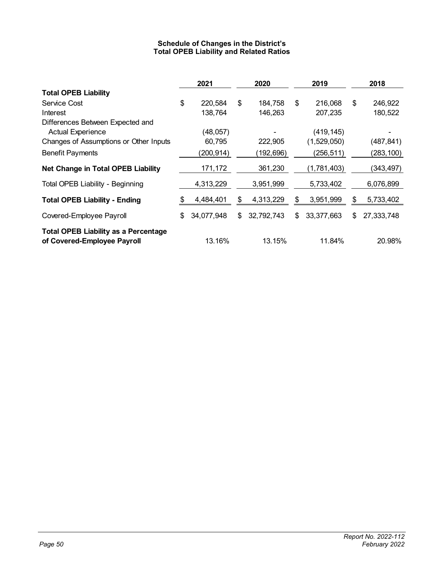#### **Schedule of Changes in the District's Total OPEB Liability and Related Ratios**

<span id="page-55-0"></span>

|                                                                            | 2021             |    | 2020       | 2019             | 2018             |
|----------------------------------------------------------------------------|------------------|----|------------|------------------|------------------|
| <b>Total OPEB Liability</b>                                                |                  |    |            |                  |                  |
| Service Cost                                                               | \$<br>220,584    | \$ | 184,758    | \$<br>216,068    | \$<br>246,922    |
| Interest                                                                   | 138,764          |    | 146,263    | 207,235          | 180,522          |
| Differences Between Expected and                                           |                  |    |            |                  |                  |
| <b>Actual Experience</b>                                                   | (48, 057)        |    |            | (419, 145)       |                  |
| Changes of Assumptions or Other Inputs                                     | 60,795           |    | 222,905    | (1,529,050)      | (487,841)        |
| <b>Benefit Payments</b>                                                    | (200,914)        |    | (192,696)  | (256, 511)       | (283, 100)       |
| Net Change in Total OPEB Liability                                         | 171,172          |    | 361,230    | (1,781,403)      | (343, 497)       |
| Total OPEB Liability - Beginning                                           | 4,313,229        |    | 3,951,999  | 5,733,402        | 6,076,899        |
| <b>Total OPEB Liability - Ending</b>                                       | 4,484,401        | S  | 4,313,229  | \$<br>3,951,999  | \$<br>5,733,402  |
| Covered-Employee Payroll                                                   | \$<br>34,077,948 | \$ | 32,792,743 | \$<br>33,377,663 | \$<br>27,333,748 |
| <b>Total OPEB Liability as a Percentage</b><br>of Covered-Employee Payroll | 13.16%           |    | 13.15%     | 11.84%           | 20.98%           |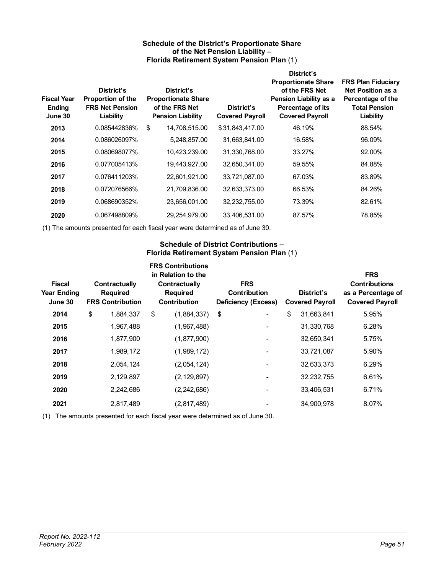#### **Schedule of the District's Proportionate Share of the Net Pension Liability – Florida Retirement System Pension Plan** (1)

<span id="page-56-0"></span>

|                    |                          |                            |                        | District's                 |                           |
|--------------------|--------------------------|----------------------------|------------------------|----------------------------|---------------------------|
|                    |                          |                            |                        | <b>Proportionate Share</b> | <b>FRS Plan Fiduciary</b> |
|                    | District's               | District's                 |                        | of the FRS Net             | Net Position as a         |
| <b>Fiscal Year</b> | <b>Proportion of the</b> | <b>Proportionate Share</b> |                        | Pension Liability as a     | Percentage of the         |
| <b>Ending</b>      | <b>FRS Net Pension</b>   | of the FRS Net             | District's             | Percentage of its          | <b>Total Pension</b>      |
| June 30            | Liability                | <b>Pension Liability</b>   | <b>Covered Payroll</b> | <b>Covered Payroll</b>     | Liability                 |
| 2013               | 0.085442836%             | \$<br>14,708,515.00        | \$31,843,417.00        | 46.19%                     | 88.54%                    |
| 2014               | 0.086026097%             | 5,248,857.00               | 31,663,841.00          | 16.58%                     | 96.09%                    |
| 2015               | 0.080698077%             | 10,423,239.00              | 31,330,768.00          | 33.27%                     | 92.00%                    |
| 2016               | 0.077005413%             | 19,443,927.00              | 32,650,341.00          | 59.55%                     | 84.88%                    |
| 2017               | 0.076411203%             | 22,601,921.00              | 33,721,087.00          | 67.03%                     | 83.89%                    |
| 2018               | 0.072076566%             | 21,709,836.00              | 32,633,373.00          | 66.53%                     | 84.26%                    |
| 2019               | 0.068690352%             | 23,656,001.00              | 32,232,755.00          | 73.39%                     | 82.61%                    |
| 2020               | 0.067498809%             | 29,254,979.00              | 33,406,531.00          | 87.57%                     | 78.85%                    |

(1) The amounts presented for each fiscal year were determined as of June 30.

#### **Schedule of District Contributions – Florida Retirement System Pension Plan** (1)

| <b>Fiscal</b><br><b>Year Ending</b><br>June 30 | <b>Contractually</b><br><b>Required</b><br><b>FRS Contribution</b> | <b>FRS Contributions</b><br>in Relation to the<br>Contractually<br><b>Required</b><br><b>Contribution</b> |                             | <b>FRS</b><br><b>Contribution</b><br>Deficiency (Excess) | District's<br><b>Covered Payroll</b> | <b>FRS</b><br><b>Contributions</b><br>as a Percentage of<br><b>Covered Payroll</b> |
|------------------------------------------------|--------------------------------------------------------------------|-----------------------------------------------------------------------------------------------------------|-----------------------------|----------------------------------------------------------|--------------------------------------|------------------------------------------------------------------------------------|
| 2014                                           | \$<br>1,884,337                                                    | \$<br>(1,884,337)                                                                                         | $\boldsymbol{\hat{\theta}}$ |                                                          | \$<br>31,663,841                     | 5.95%                                                                              |
| 2015                                           | 1.967.488                                                          | (1,967,488)                                                                                               |                             |                                                          | 31,330,768                           | 6.28%                                                                              |
| 2016                                           | 1,877,900                                                          | (1,877,900)                                                                                               |                             |                                                          | 32,650,341                           | 5.75%                                                                              |
| 2017                                           | 1,989,172                                                          | (1,989,172)                                                                                               |                             | $\blacksquare$                                           | 33,721,087                           | 5.90%                                                                              |
| 2018                                           | 2,054,124                                                          | (2,054,124)                                                                                               |                             |                                                          | 32,633,373                           | 6.29%                                                                              |
| 2019                                           | 2,129,897                                                          | (2, 129, 897)                                                                                             |                             |                                                          | 32,232,755                           | 6.61%                                                                              |
| 2020                                           | 2,242,686                                                          | (2, 242, 686)                                                                                             |                             | ۰                                                        | 33,406,531                           | 6.71%                                                                              |
| 2021                                           | 2,817,489                                                          | (2,817,489)                                                                                               |                             |                                                          | 34,900,978                           | 8.07%                                                                              |

(1) The amounts presented for each fiscal year were determined as of June 30.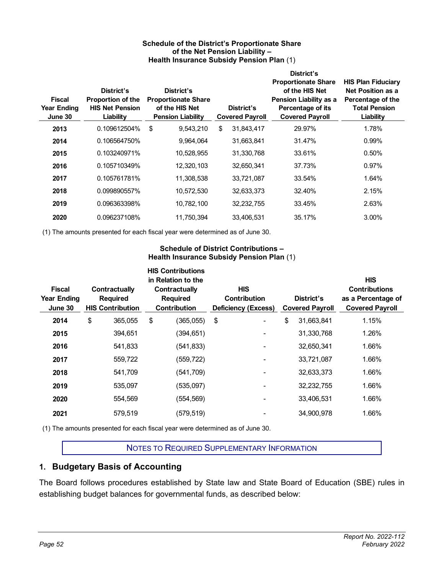#### **Schedule of the District's Proportionate Share of the Net Pension Liability – Health Insurance Subsidy Pension Plan** (1)

<span id="page-57-0"></span>

| <b>Fiscal</b>                 | District's<br><b>Proportion of the</b><br><b>HIS Net Pension</b> | District's<br><b>Proportionate Share</b><br>of the HIS Net | District's             | District's<br><b>Proportionate Share</b><br>of the HIS Net<br>Pension Liability as a | <b>HIS Plan Fiduciary</b><br>Net Position as a<br>Percentage of the<br><b>Total Pension</b> |
|-------------------------------|------------------------------------------------------------------|------------------------------------------------------------|------------------------|--------------------------------------------------------------------------------------|---------------------------------------------------------------------------------------------|
| <b>Year Ending</b><br>June 30 | Liability                                                        | <b>Pension Liability</b>                                   | <b>Covered Payroll</b> | Percentage of its<br><b>Covered Payroll</b>                                          | Liability                                                                                   |
| 2013                          | 0.109612504%                                                     | \$<br>9,543,210                                            | \$<br>31,843,417       | 29.97%                                                                               | 1.78%                                                                                       |
| 2014                          | 0.106564750%                                                     | 9,964,064                                                  | 31,663,841             | 31.47%                                                                               | 0.99%                                                                                       |
| 2015                          | 0.103240971%                                                     | 10,528,955                                                 | 31,330,768             | 33.61%                                                                               | 0.50%                                                                                       |
| 2016                          | 0.105710349%                                                     | 12,320,103                                                 | 32,650,341             | 37.73%                                                                               | $0.97\%$                                                                                    |
| 2017                          | 0.105761781%                                                     | 11,308,538                                                 | 33,721,087             | 33.54%                                                                               | 1.64%                                                                                       |
| 2018                          | 0.099890557%                                                     | 10,572,530                                                 | 32.633.373             | 32.40%                                                                               | 2.15%                                                                                       |
| 2019                          | 0.096363398%                                                     | 10,782,100                                                 | 32.232.755             | 33.45%                                                                               | 2.63%                                                                                       |
| 2020                          | 0.096237108%                                                     | 11.750.394                                                 | 33.406.531             | 35.17%                                                                               | 3.00%                                                                                       |

(1) The amounts presented for each fiscal year were determined as of June 30.

#### **Schedule of District Contributions – Health Insurance Subsidy Pension Plan** (1)

| <b>Fiscal</b><br><b>Year Ending</b><br>June 30 | Contractually<br><b>Required</b><br><b>HIS Contribution</b> | <b>HIS Contributions</b><br>in Relation to the<br><b>Contractually</b><br><b>Required</b><br><b>Contribution</b> | <b>HIS</b><br><b>Contribution</b><br>Deficiency (Excess) | District's<br><b>Covered Payroll</b> | <b>HIS</b><br><b>Contributions</b><br>as a Percentage of<br><b>Covered Payroll</b> |
|------------------------------------------------|-------------------------------------------------------------|------------------------------------------------------------------------------------------------------------------|----------------------------------------------------------|--------------------------------------|------------------------------------------------------------------------------------|
| 2014                                           | \$<br>365,055                                               | \$<br>(365, 055)                                                                                                 | \$                                                       | \$<br>31,663,841                     | 1.15%                                                                              |
| 2015                                           | 394,651                                                     | (394,651)                                                                                                        |                                                          | 31,330,768                           | 1.26%                                                                              |
| 2016                                           | 541,833                                                     | (541,833)                                                                                                        |                                                          | 32,650,341                           | 1.66%                                                                              |
| 2017                                           | 559,722                                                     | (559,722)                                                                                                        |                                                          | 33,721,087                           | 1.66%                                                                              |
| 2018                                           | 541,709                                                     | (541, 709)                                                                                                       |                                                          | 32,633,373                           | 1.66%                                                                              |
| 2019                                           | 535,097                                                     | (535,097)                                                                                                        |                                                          | 32, 232, 755                         | 1.66%                                                                              |
| 2020                                           | 554,569                                                     | (554, 569)                                                                                                       |                                                          | 33,406,531                           | 1.66%                                                                              |
| 2021                                           | 579,519                                                     | (579, 519)                                                                                                       |                                                          | 34,900,978                           | 1.66%                                                                              |
|                                                |                                                             |                                                                                                                  |                                                          |                                      |                                                                                    |

(1) The amounts presented for each fiscal year were determined as of June 30.

NOTES TO REQUIRED SUPPLEMENTARY INFORMATION

#### **1. Budgetary Basis of Accounting**

The Board follows procedures established by State law and State Board of Education (SBE) rules in establishing budget balances for governmental funds, as described below: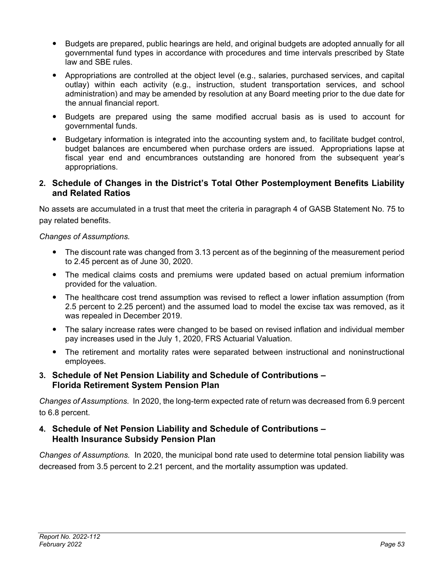- Budgets are prepared, public hearings are held, and original budgets are adopted annually for all governmental fund types in accordance with procedures and time intervals prescribed by State law and SBE rules.
- Appropriations are controlled at the object level (e.g., salaries, purchased services, and capital outlay) within each activity (e.g., instruction, student transportation services, and school administration) and may be amended by resolution at any Board meeting prior to the due date for the annual financial report.
- Budgets are prepared using the same modified accrual basis as is used to account for governmental funds.
- Budgetary information is integrated into the accounting system and, to facilitate budget control, budget balances are encumbered when purchase orders are issued. Appropriations lapse at fiscal year end and encumbrances outstanding are honored from the subsequent year's appropriations.

#### **2. Schedule of Changes in the District's Total Other Postemployment Benefits Liability and Related Ratios**

No assets are accumulated in a trust that meet the criteria in paragraph 4 of GASB Statement No. 75 to pay related benefits.

#### *Changes of Assumptions.*

- The discount rate was changed from 3.13 percent as of the beginning of the measurement period to 2.45 percent as of June 30, 2020.
- The medical claims costs and premiums were updated based on actual premium information provided for the valuation.
- The healthcare cost trend assumption was revised to reflect a lower inflation assumption (from 2.5 percent to 2.25 percent) and the assumed load to model the excise tax was removed, as it was repealed in December 2019.
- The salary increase rates were changed to be based on revised inflation and individual member pay increases used in the July 1, 2020, FRS Actuarial Valuation.
- The retirement and mortality rates were separated between instructional and noninstructional employees.
- **3. Schedule of Net Pension Liability and Schedule of Contributions Florida Retirement System Pension Plan**

*Changes of Assumptions.* In 2020, the long-term expected rate of return was decreased from 6.9 percent to 6.8 percent.

#### **4. Schedule of Net Pension Liability and Schedule of Contributions – Health Insurance Subsidy Pension Plan**

*Changes of Assumptions.* In 2020, the municipal bond rate used to determine total pension liability was decreased from 3.5 percent to 2.21 percent, and the mortality assumption was updated.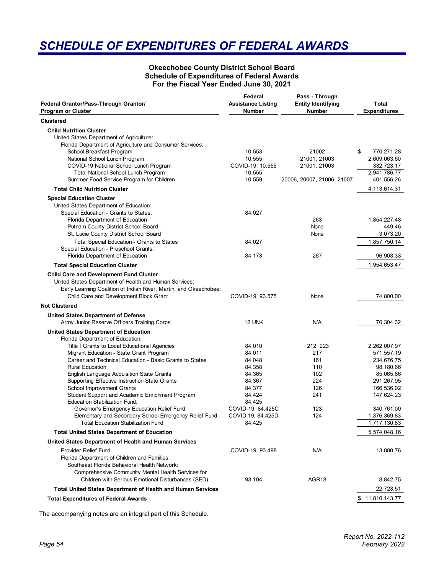# <span id="page-59-0"></span>*SCHEDULE OF EXPENDITURES OF FEDERAL AWARDS*

#### **Okeechobee County District School Board Schedule of Expenditures of Federal Awards For the Fiscal Year Ended June 30, 2021**

| Federal Grantor/Pass-Through Grantor/<br><b>Program or Cluster</b>                                                                                                                                                                                                                                                                                                                                                                                                                                                                                                                                                                                                                                                                                                                                                                                                                                                                                                                                   | Federal<br><b>Assistance Listing</b><br><b>Number</b>                                                                                                                    | Pass - Through<br><b>Entity Identifying</b><br><b>Number</b>                                        | <b>Total</b><br><b>Expenditures</b>                                                                                                                                                                 |
|------------------------------------------------------------------------------------------------------------------------------------------------------------------------------------------------------------------------------------------------------------------------------------------------------------------------------------------------------------------------------------------------------------------------------------------------------------------------------------------------------------------------------------------------------------------------------------------------------------------------------------------------------------------------------------------------------------------------------------------------------------------------------------------------------------------------------------------------------------------------------------------------------------------------------------------------------------------------------------------------------|--------------------------------------------------------------------------------------------------------------------------------------------------------------------------|-----------------------------------------------------------------------------------------------------|-----------------------------------------------------------------------------------------------------------------------------------------------------------------------------------------------------|
| <b>Clustered</b>                                                                                                                                                                                                                                                                                                                                                                                                                                                                                                                                                                                                                                                                                                                                                                                                                                                                                                                                                                                     |                                                                                                                                                                          |                                                                                                     |                                                                                                                                                                                                     |
| <b>Child Nutrition Cluster</b><br>United States Department of Agriculture:<br>Florida Department of Agriculture and Consumer Services:<br>School Breakfast Program<br>National School Lunch Program<br>COVID-19 National School Lunch Program<br><b>Total National School Lunch Program</b><br>Summer Food Service Program for Children                                                                                                                                                                                                                                                                                                                                                                                                                                                                                                                                                                                                                                                              | 10.553<br>10.555<br>COVID-19, 10.555<br>10.555<br>10.559                                                                                                                 | 21002<br>21001, 21003<br>21001, 21003<br>20006, 20007, 21006, 21007                                 | 770,271.28<br>\$<br>2,609,063.60<br>332,723.17<br>2,941,786.77<br>401,556.26                                                                                                                        |
| <b>Total Child Nutrition Cluster</b>                                                                                                                                                                                                                                                                                                                                                                                                                                                                                                                                                                                                                                                                                                                                                                                                                                                                                                                                                                 |                                                                                                                                                                          |                                                                                                     | 4,113,614.31                                                                                                                                                                                        |
| <b>Special Education Cluster</b><br>United States Department of Education:<br>Special Education - Grants to States:<br>Florida Department of Education<br>Putnam County District School Board<br>St. Lucie County District School Board                                                                                                                                                                                                                                                                                                                                                                                                                                                                                                                                                                                                                                                                                                                                                              | 84.027                                                                                                                                                                   | 263<br>None<br>None                                                                                 | 1,854,227.48<br>449.46<br>3,073.20                                                                                                                                                                  |
| <b>Total Special Education - Grants to States</b>                                                                                                                                                                                                                                                                                                                                                                                                                                                                                                                                                                                                                                                                                                                                                                                                                                                                                                                                                    | 84.027                                                                                                                                                                   |                                                                                                     | 1,857,750.14                                                                                                                                                                                        |
| Special Education - Preschool Grants:<br>Florida Department of Education                                                                                                                                                                                                                                                                                                                                                                                                                                                                                                                                                                                                                                                                                                                                                                                                                                                                                                                             | 84.173                                                                                                                                                                   | 267                                                                                                 | 96,903.33                                                                                                                                                                                           |
| <b>Total Special Education Cluster</b>                                                                                                                                                                                                                                                                                                                                                                                                                                                                                                                                                                                                                                                                                                                                                                                                                                                                                                                                                               |                                                                                                                                                                          |                                                                                                     | 1,954,653.47                                                                                                                                                                                        |
| <b>Child Care and Development Fund Cluster</b><br>United States Department of Health and Human Services:<br>Early Learning Coalition of Indian River, Martin, and Okeechobee:<br>Child Care and Development Block Grant                                                                                                                                                                                                                                                                                                                                                                                                                                                                                                                                                                                                                                                                                                                                                                              | COVID-19, 93.575                                                                                                                                                         | None                                                                                                | 74,800.00                                                                                                                                                                                           |
| <b>Not Clustered</b>                                                                                                                                                                                                                                                                                                                                                                                                                                                                                                                                                                                                                                                                                                                                                                                                                                                                                                                                                                                 |                                                                                                                                                                          |                                                                                                     |                                                                                                                                                                                                     |
| <b>United States Department of Defense</b><br>Army Junior Reserve Officers Training Corps                                                                                                                                                                                                                                                                                                                                                                                                                                                                                                                                                                                                                                                                                                                                                                                                                                                                                                            | <b>12.UNK</b>                                                                                                                                                            | N/A                                                                                                 | 70,304.32                                                                                                                                                                                           |
| <b>United States Department of Education</b><br>Florida Department of Education:<br>Title I Grants to Local Educational Agencies<br>Migrant Education - State Grant Program<br>Career and Technical Education - Basic Grants to States<br><b>Rural Education</b><br>English Language Acquisition State Grants<br>Supporting Effective Instruction State Grants<br>School Improvement Grants<br>Student Support and Academic Enrichment Program<br><b>Education Stabilization Fund:</b><br>Governor's Emergency Education Relief Fund<br>Elementary and Secondary School Emergency Relief Fund<br><b>Total Education Stabilization Fund</b><br><b>Total United States Department of Education</b><br>United States Department of Health and Human Services<br><b>Provider Relief Fund</b><br>Florida Department of Children and Families:<br>Southeast Florida Behavioral Health Network:<br>Comprehensive Community Mental Health Services for<br>Children with Serious Emotional Disturbances (SED) | 84.010<br>84.011<br>84.048<br>84.358<br>84.365<br>84.367<br>84.377<br>84.424<br>84.425<br>COVID-19, 84.425C<br>COVID 19, 84.425D<br>84.425<br>COVID-19, 93.498<br>93.104 | 212, 223<br>217<br>161<br>110<br>102<br>224<br>126<br>241<br>123<br>124<br>N/A<br>AGR <sub>18</sub> | 2,262,007.97<br>571,557.19<br>234,676.75<br>98,180.66<br>85,065.66<br>291,267.95<br>166,536.92<br>147,624.23<br>340,761.00<br>1,376,369.83<br>1,717,130.83<br>5,574,048.16<br>13,880.76<br>8,842.75 |
| <b>Total United States Department of Health and Human Services</b>                                                                                                                                                                                                                                                                                                                                                                                                                                                                                                                                                                                                                                                                                                                                                                                                                                                                                                                                   |                                                                                                                                                                          |                                                                                                     | 22,723.51                                                                                                                                                                                           |
| <b>Total Expenditures of Federal Awards</b>                                                                                                                                                                                                                                                                                                                                                                                                                                                                                                                                                                                                                                                                                                                                                                                                                                                                                                                                                          |                                                                                                                                                                          |                                                                                                     | \$11,810,143.77                                                                                                                                                                                     |

The accompanying notes are an integral part of this Schedule.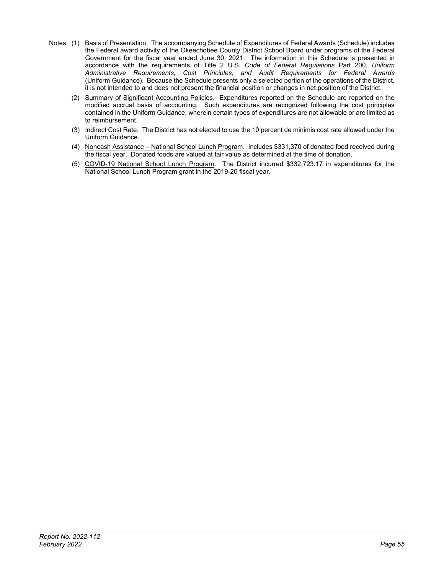- Notes: (1) Basis of Presentation. The accompanying Schedule of Expenditures of Federal Awards (Schedule) includes the Federal award activity of the Okeechobee County District School Board under programs of the Federal Government for the fiscal year ended June 30, 2021. The information in this Schedule is presented in accordance with the requirements of Title 2 U.S. *Code of Federal Regulations* Part 200, *Uniform Administrative Requirements, Cost Principles, and Audit Requirements for Federal Awards*  (Uniform Guidance). Because the Schedule presents only a selected portion of the operations of the District, it is not intended to and does not present the financial position or changes in net position of the District.
	- (2) Summary of Significant Accounting Policies. Expenditures reported on the Schedule are reported on the modified accrual basis of accounting. Such expenditures are recognized following the cost principles contained in the Uniform Guidance, wherein certain types of expenditures are not allowable or are limited as to reimbursement.
	- (3) Indirect Cost Rate. The District has not elected to use the 10 percent de minimis cost rate allowed under the Uniform Guidance.
	- (4) Noncash Assistance National School Lunch Program. Includes \$331,370 of donated food received during the fiscal year. Donated foods are valued at fair value as determined at the time of donation.
	- (5) COVID-19 National School Lunch Program. The District incurred \$332,723.17 in expenditures for the National School Lunch Program grant in the 2019-20 fiscal year.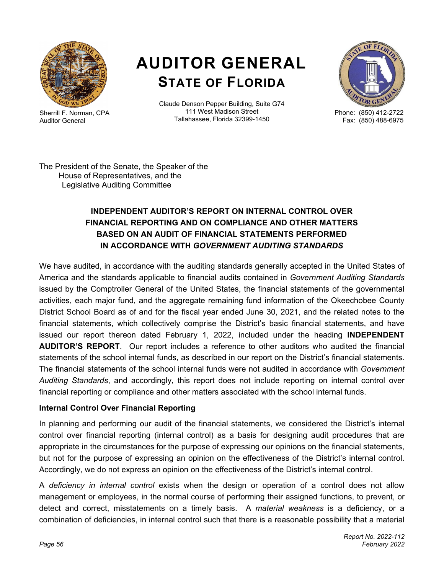<span id="page-61-0"></span>

Sherrill F. Norman, CPA Auditor General

# **AUDITOR GENERAL STATE OF FLORIDA**

Claude Denson Pepper Building, Suite G74 111 West Madison Street Tallahassee, Florida 32399-1450



Phone: (850) 412-2722 Fax: (850) 488-6975

The President of the Senate, the Speaker of the House of Representatives, and the Legislative Auditing Committee

# **INDEPENDENT AUDITOR'S REPORT ON INTERNAL CONTROL OVER FINANCIAL REPORTING AND ON COMPLIANCE AND OTHER MATTERS BASED ON AN AUDIT OF FINANCIAL STATEMENTS PERFORMED IN ACCORDANCE WITH** *GOVERNMENT AUDITING STANDARDS*

We have audited, in accordance with the auditing standards generally accepted in the United States of America and the standards applicable to financial audits contained in *Government Auditing Standards* issued by the Comptroller General of the United States, the financial statements of the governmental activities, each major fund, and the aggregate remaining fund information of the Okeechobee County District School Board as of and for the fiscal year ended June 30, 2021, and the related notes to the financial statements, which collectively comprise the District's basic financial statements, and have issued our report thereon dated February 1, 2022, included under the heading **INDEPENDENT AUDITOR'S REPORT**. Our report includes a reference to other auditors who audited the financial statements of the school internal funds, as described in our report on the District's financial statements. The financial statements of the school internal funds were not audited in accordance with *Government Auditing Standards*, and accordingly, this report does not include reporting on internal control over financial reporting or compliance and other matters associated with the school internal funds.

#### **Internal Control Over Financial Reporting**

In planning and performing our audit of the financial statements, we considered the District's internal control over financial reporting (internal control) as a basis for designing audit procedures that are appropriate in the circumstances for the purpose of expressing our opinions on the financial statements, but not for the purpose of expressing an opinion on the effectiveness of the District's internal control. Accordingly, we do not express an opinion on the effectiveness of the District's internal control.

A *deficiency in internal control* exists when the design or operation of a control does not allow management or employees, in the normal course of performing their assigned functions, to prevent, or detect and correct, misstatements on a timely basis. A *material weakness* is a deficiency, or a combination of deficiencies, in internal control such that there is a reasonable possibility that a material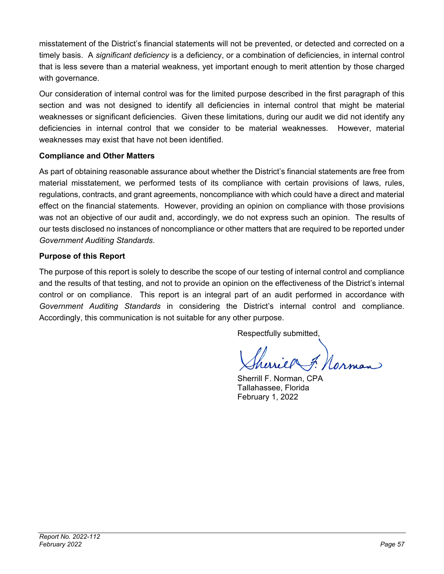misstatement of the District's financial statements will not be prevented, or detected and corrected on a timely basis. A *significant deficiency* is a deficiency, or a combination of deficiencies, in internal control that is less severe than a material weakness, yet important enough to merit attention by those charged with governance.

Our consideration of internal control was for the limited purpose described in the first paragraph of this section and was not designed to identify all deficiencies in internal control that might be material weaknesses or significant deficiencies. Given these limitations, during our audit we did not identify any deficiencies in internal control that we consider to be material weaknesses. However, material weaknesses may exist that have not been identified.

#### **Compliance and Other Matters**

As part of obtaining reasonable assurance about whether the District's financial statements are free from material misstatement, we performed tests of its compliance with certain provisions of laws, rules, regulations, contracts, and grant agreements, noncompliance with which could have a direct and material effect on the financial statements. However, providing an opinion on compliance with those provisions was not an objective of our audit and, accordingly, we do not express such an opinion. The results of our tests disclosed no instances of noncompliance or other matters that are required to be reported under *Government Auditing Standards*.

#### **Purpose of this Report**

The purpose of this report is solely to describe the scope of our testing of internal control and compliance and the results of that testing, and not to provide an opinion on the effectiveness of the District's internal control or on compliance. This report is an integral part of an audit performed in accordance with *Government Auditing Standards* in considering the District's internal control and compliance. Accordingly, this communication is not suitable for any other purpose.

Respectfully submitted,

Sherrill F. Norman, CPA Tallahassee, Florida February 1, 2022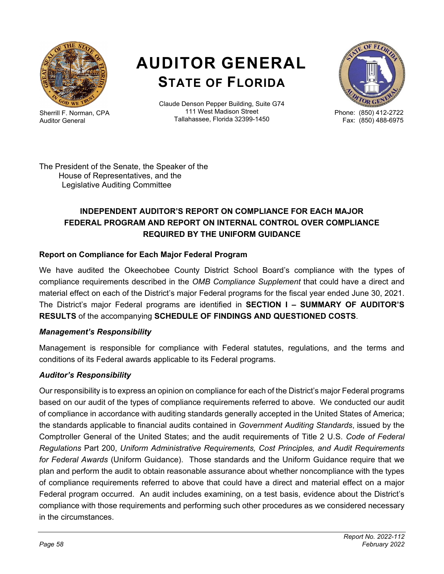<span id="page-63-0"></span>

Sherrill F. Norman, CPA Auditor General

# **AUDITOR GENERAL STATE OF FLORIDA**

Claude Denson Pepper Building, Suite G74 111 West Madison Street Tallahassee, Florida 32399-1450



Phone: (850) 412-2722 Fax: (850) 488-6975

The President of the Senate, the Speaker of the House of Representatives, and the Legislative Auditing Committee

# **INDEPENDENT AUDITOR'S REPORT ON COMPLIANCE FOR EACH MAJOR FEDERAL PROGRAM AND REPORT ON INTERNAL CONTROL OVER COMPLIANCE REQUIRED BY THE UNIFORM GUIDANCE**

#### **Report on Compliance for Each Major Federal Program**

We have audited the Okeechobee County District School Board's compliance with the types of compliance requirements described in the *OMB Compliance Supplement* that could have a direct and material effect on each of the District's major Federal programs for the fiscal year ended June 30, 2021. The District's major Federal programs are identified in **SECTION I – SUMMARY OF AUDITOR'S RESULTS** of the accompanying **SCHEDULE OF FINDINGS AND QUESTIONED COSTS**.

#### *Management's Responsibility*

Management is responsible for compliance with Federal statutes, regulations, and the terms and conditions of its Federal awards applicable to its Federal programs.

#### *Auditor's Responsibility*

Our responsibility is to express an opinion on compliance for each of the District's major Federal programs based on our audit of the types of compliance requirements referred to above. We conducted our audit of compliance in accordance with auditing standards generally accepted in the United States of America; the standards applicable to financial audits contained in *Government Auditing Standards*, issued by the Comptroller General of the United States; and the audit requirements of Title 2 U.S. *Code of Federal Regulations* Part 200, *Uniform Administrative Requirements, Cost Principles, and Audit Requirements for Federal Awards* (Uniform Guidance). Those standards and the Uniform Guidance require that we plan and perform the audit to obtain reasonable assurance about whether noncompliance with the types of compliance requirements referred to above that could have a direct and material effect on a major Federal program occurred. An audit includes examining, on a test basis, evidence about the District's compliance with those requirements and performing such other procedures as we considered necessary in the circumstances.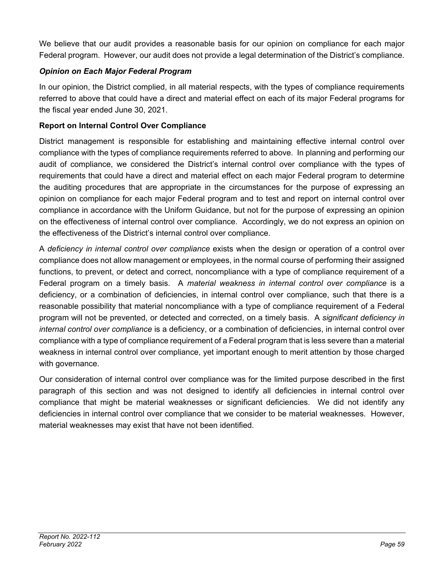We believe that our audit provides a reasonable basis for our opinion on compliance for each major Federal program. However, our audit does not provide a legal determination of the District's compliance.

#### *Opinion on Each Major Federal Program*

In our opinion, the District complied, in all material respects, with the types of compliance requirements referred to above that could have a direct and material effect on each of its major Federal programs for the fiscal year ended June 30, 2021.

#### **Report on Internal Control Over Compliance**

District management is responsible for establishing and maintaining effective internal control over compliance with the types of compliance requirements referred to above. In planning and performing our audit of compliance, we considered the District's internal control over compliance with the types of requirements that could have a direct and material effect on each major Federal program to determine the auditing procedures that are appropriate in the circumstances for the purpose of expressing an opinion on compliance for each major Federal program and to test and report on internal control over compliance in accordance with the Uniform Guidance, but not for the purpose of expressing an opinion on the effectiveness of internal control over compliance. Accordingly, we do not express an opinion on the effectiveness of the District's internal control over compliance.

A *deficiency in internal control over compliance* exists when the design or operation of a control over compliance does not allow management or employees, in the normal course of performing their assigned functions, to prevent, or detect and correct, noncompliance with a type of compliance requirement of a Federal program on a timely basis. A *material weakness in internal control over compliance* is a deficiency, or a combination of deficiencies, in internal control over compliance, such that there is a reasonable possibility that material noncompliance with a type of compliance requirement of a Federal program will not be prevented, or detected and corrected, on a timely basis. A *significant deficiency in internal control over compliance* is a deficiency, or a combination of deficiencies, in internal control over compliance with a type of compliance requirement of a Federal program that is less severe than a material weakness in internal control over compliance, yet important enough to merit attention by those charged with governance.

Our consideration of internal control over compliance was for the limited purpose described in the first paragraph of this section and was not designed to identify all deficiencies in internal control over compliance that might be material weaknesses or significant deficiencies. We did not identify any deficiencies in internal control over compliance that we consider to be material weaknesses. However, material weaknesses may exist that have not been identified.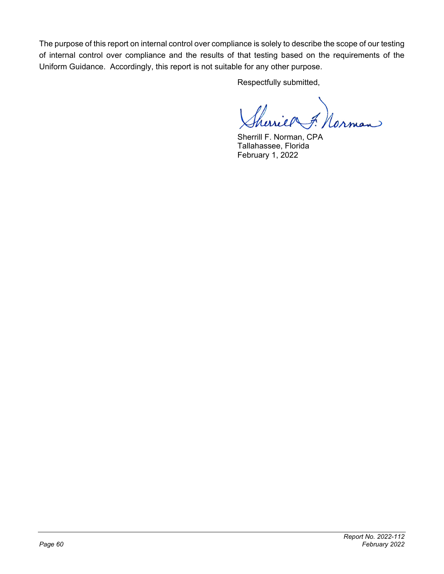The purpose of this report on internal control over compliance is solely to describe the scope of our testing of internal control over compliance and the results of that testing based on the requirements of the Uniform Guidance. Accordingly, this report is not suitable for any other purpose.

Respectfully submitted,

Verman

Sherrill F. Norman, CPA Tallahassee, Florida February 1, 2022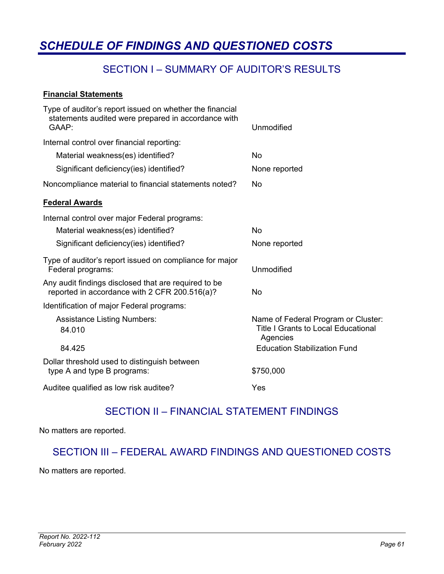# <span id="page-66-0"></span>*SCHEDULE OF FINDINGS AND QUESTIONED COSTS*

# SECTION I – SUMMARY OF AUDITOR'S RESULTS

#### **Financial Statements**

| Type of auditor's report issued on whether the financial<br>statements audited were prepared in accordance with<br>GAAP: | Unmodified                                                                                    |
|--------------------------------------------------------------------------------------------------------------------------|-----------------------------------------------------------------------------------------------|
| Internal control over financial reporting:                                                                               |                                                                                               |
| Material weakness(es) identified?                                                                                        | No                                                                                            |
| Significant deficiency(ies) identified?                                                                                  | None reported                                                                                 |
| Noncompliance material to financial statements noted?                                                                    | No                                                                                            |
| <b>Federal Awards</b>                                                                                                    |                                                                                               |
| Internal control over major Federal programs:                                                                            |                                                                                               |
| Material weakness(es) identified?                                                                                        | No                                                                                            |
| Significant deficiency(ies) identified?                                                                                  | None reported                                                                                 |
| Type of auditor's report issued on compliance for major<br>Federal programs:                                             | Unmodified                                                                                    |
| Any audit findings disclosed that are required to be<br>reported in accordance with 2 CFR 200.516(a)?                    | No                                                                                            |
| Identification of major Federal programs:                                                                                |                                                                                               |
| <b>Assistance Listing Numbers:</b><br>84.010                                                                             | Name of Federal Program or Cluster:<br><b>Title I Grants to Local Educational</b><br>Agencies |
| 84.425                                                                                                                   | <b>Education Stabilization Fund</b>                                                           |
| Dollar threshold used to distinguish between<br>type A and type B programs:                                              | \$750,000                                                                                     |
| Auditee qualified as low risk auditee?                                                                                   | Yes                                                                                           |

# SECTION II – FINANCIAL STATEMENT FINDINGS

No matters are reported.

# SECTION III – FEDERAL AWARD FINDINGS AND QUESTIONED COSTS

No matters are reported.